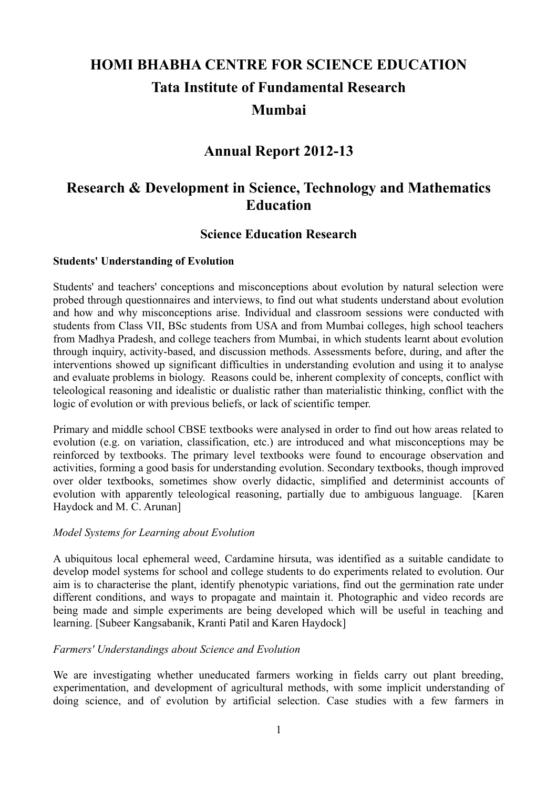# **HOMI BHABHA CENTRE FOR SCIENCE EDUCATION Tata Institute of Fundamental Research Mumbai**

# **Annual Report 2012-13**

# **Research & Development in Science, Technology and Mathematics Education**

# **Science Education Research**

#### **Students' Understanding of Evolution**

Students' and teachers' conceptions and misconceptions about evolution by natural selection were probed through questionnaires and interviews, to find out what students understand about evolution and how and why misconceptions arise. Individual and classroom sessions were conducted with students from Class VII, BSc students from USA and from Mumbai colleges, high school teachers from Madhya Pradesh, and college teachers from Mumbai, in which students learnt about evolution through inquiry, activity-based, and discussion methods. Assessments before, during, and after the interventions showed up significant difficulties in understanding evolution and using it to analyse and evaluate problems in biology. Reasons could be, inherent complexity of concepts, conflict with teleological reasoning and idealistic or dualistic rather than materialistic thinking, conflict with the logic of evolution or with previous beliefs, or lack of scientific temper.

Primary and middle school CBSE textbooks were analysed in order to find out how areas related to evolution (e.g. on variation, classification, etc.) are introduced and what misconceptions may be reinforced by textbooks. The primary level textbooks were found to encourage observation and activities, forming a good basis for understanding evolution. Secondary textbooks, though improved over older textbooks, sometimes show overly didactic, simplified and determinist accounts of evolution with apparently teleological reasoning, partially due to ambiguous language. [Karen Haydock and M. C. Arunan]

#### *Model Systems for Learning about Evolution*

A ubiquitous local ephemeral weed, Cardamine hirsuta, was identified as a suitable candidate to develop model systems for school and college students to do experiments related to evolution. Our aim is to characterise the plant, identify phenotypic variations, find out the germination rate under different conditions, and ways to propagate and maintain it. Photographic and video records are being made and simple experiments are being developed which will be useful in teaching and learning. [Subeer Kangsabanik, Kranti Patil and Karen Haydock]

#### *Farmers' Understandings about Science and Evolution*

We are investigating whether uneducated farmers working in fields carry out plant breeding, experimentation, and development of agricultural methods, with some implicit understanding of doing science, and of evolution by artificial selection. Case studies with a few farmers in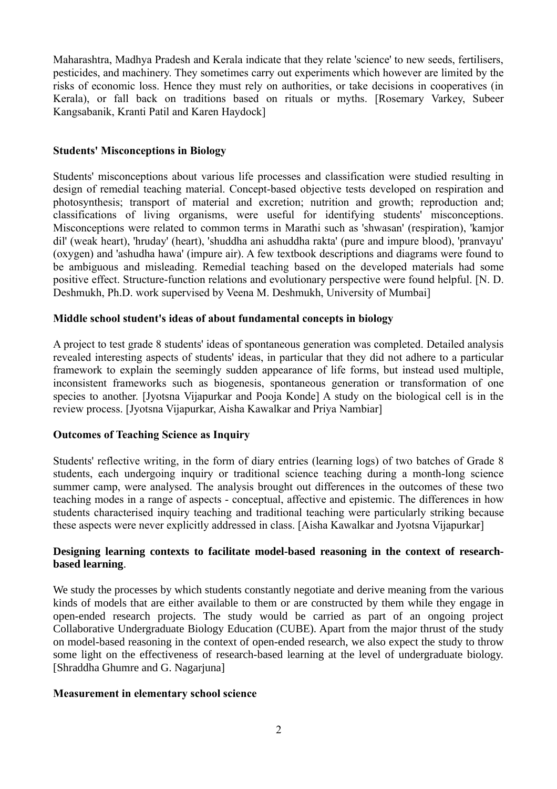Maharashtra, Madhya Pradesh and Kerala indicate that they relate 'science' to new seeds, fertilisers, pesticides, and machinery. They sometimes carry out experiments which however are limited by the risks of economic loss. Hence they must rely on authorities, or take decisions in cooperatives (in Kerala), or fall back on traditions based on rituals or myths. [Rosemary Varkey, Subeer Kangsabanik, Kranti Patil and Karen Haydock]

#### **Students' Misconceptions in Biology**

Students' misconceptions about various life processes and classification were studied resulting in design of remedial teaching material. Concept-based objective tests developed on respiration and photosynthesis; transport of material and excretion; nutrition and growth; reproduction and; classifications of living organisms, were useful for identifying students' misconceptions. Misconceptions were related to common terms in Marathi such as 'shwasan' (respiration), 'kamjor dil' (weak heart), 'hruday' (heart), 'shuddha ani ashuddha rakta' (pure and impure blood), 'pranvayu' (oxygen) and 'ashudha hawa' (impure air). A few textbook descriptions and diagrams were found to be ambiguous and misleading. Remedial teaching based on the developed materials had some positive effect. Structure-function relations and evolutionary perspective were found helpful. [N. D. Deshmukh, Ph.D. work supervised by Veena M. Deshmukh, University of Mumbai]

#### **Middle school student's ideas of about fundamental concepts in biology**

A project to test grade 8 students' ideas of spontaneous generation was completed. Detailed analysis revealed interesting aspects of students' ideas, in particular that they did not adhere to a particular framework to explain the seemingly sudden appearance of life forms, but instead used multiple, inconsistent frameworks such as biogenesis, spontaneous generation or transformation of one species to another. [Jyotsna Vijapurkar and Pooja Konde] A study on the biological cell is in the review process. [Jyotsna Vijapurkar, Aisha Kawalkar and Priya Nambiar]

## **Outcomes of Teaching Science as Inquiry**

Students' reflective writing, in the form of diary entries (learning logs) of two batches of Grade 8 students, each undergoing inquiry or traditional science teaching during a month-long science summer camp, were analysed. The analysis brought out differences in the outcomes of these two teaching modes in a range of aspects - conceptual, affective and epistemic. The differences in how students characterised inquiry teaching and traditional teaching were particularly striking because these aspects were never explicitly addressed in class. [Aisha Kawalkar and Jyotsna Vijapurkar]

#### **Designing learning contexts to facilitate model-based reasoning in the context of researchbased learning**.

We study the processes by which students constantly negotiate and derive meaning from the various kinds of models that are either available to them or are constructed by them while they engage in open-ended research projects. The study would be carried as part of an ongoing project Collaborative Undergraduate Biology Education (CUBE). Apart from the major thrust of the study on model-based reasoning in the context of open-ended research, we also expect the study to throw some light on the effectiveness of research-based learning at the level of undergraduate biology. [Shraddha Ghumre and G. Nagarjuna]

#### **Measurement in elementary school science**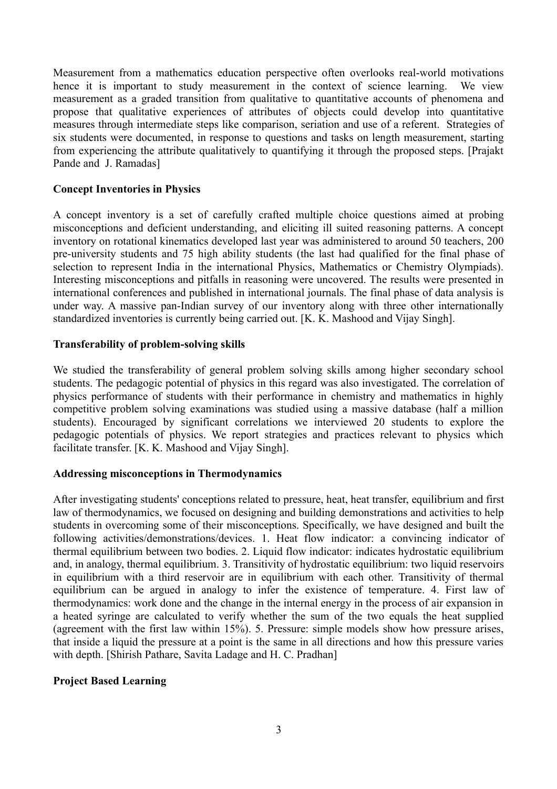Measurement from a mathematics education perspective often overlooks real-world motivations hence it is important to study measurement in the context of science learning. We view measurement as a graded transition from qualitative to quantitative accounts of phenomena and propose that qualitative experiences of attributes of objects could develop into quantitative measures through intermediate steps like comparison, seriation and use of a referent. Strategies of six students were documented, in response to questions and tasks on length measurement, starting from experiencing the attribute qualitatively to quantifying it through the proposed steps. [Prajakt Pande and J. Ramadas]

#### **Concept Inventories in Physics**

A concept inventory is a set of carefully crafted multiple choice questions aimed at probing misconceptions and deficient understanding, and eliciting ill suited reasoning patterns. A concept inventory on rotational kinematics developed last year was administered to around 50 teachers, 200 pre-university students and 75 high ability students (the last had qualified for the final phase of selection to represent India in the international Physics, Mathematics or Chemistry Olympiads). Interesting misconceptions and pitfalls in reasoning were uncovered. The results were presented in international conferences and published in international journals. The final phase of data analysis is under way. A massive pan-Indian survey of our inventory along with three other internationally standardized inventories is currently being carried out. [K. K. Mashood and Vijay Singh].

#### **Transferability of problem-solving skills**

We studied the transferability of general problem solving skills among higher secondary school students. The pedagogic potential of physics in this regard was also investigated. The correlation of physics performance of students with their performance in chemistry and mathematics in highly competitive problem solving examinations was studied using a massive database (half a million students). Encouraged by significant correlations we interviewed 20 students to explore the pedagogic potentials of physics. We report strategies and practices relevant to physics which facilitate transfer. [K. K. Mashood and Vijay Singh].

#### **Addressing misconceptions in Thermodynamics**

After investigating students' conceptions related to pressure, heat, heat transfer, equilibrium and first law of thermodynamics, we focused on designing and building demonstrations and activities to help students in overcoming some of their misconceptions. Specifically, we have designed and built the following activities/demonstrations/devices. 1. Heat flow indicator: a convincing indicator of thermal equilibrium between two bodies. 2. Liquid flow indicator: indicates hydrostatic equilibrium and, in analogy, thermal equilibrium. 3. Transitivity of hydrostatic equilibrium: two liquid reservoirs in equilibrium with a third reservoir are in equilibrium with each other. Transitivity of thermal equilibrium can be argued in analogy to infer the existence of temperature. 4. First law of thermodynamics: work done and the change in the internal energy in the process of air expansion in a heated syringe are calculated to verify whether the sum of the two equals the heat supplied (agreement with the first law within 15%). 5. Pressure: simple models show how pressure arises, that inside a liquid the pressure at a point is the same in all directions and how this pressure varies with depth. [Shirish Pathare, Savita Ladage and H. C. Pradhan]

#### **Project Based Learning**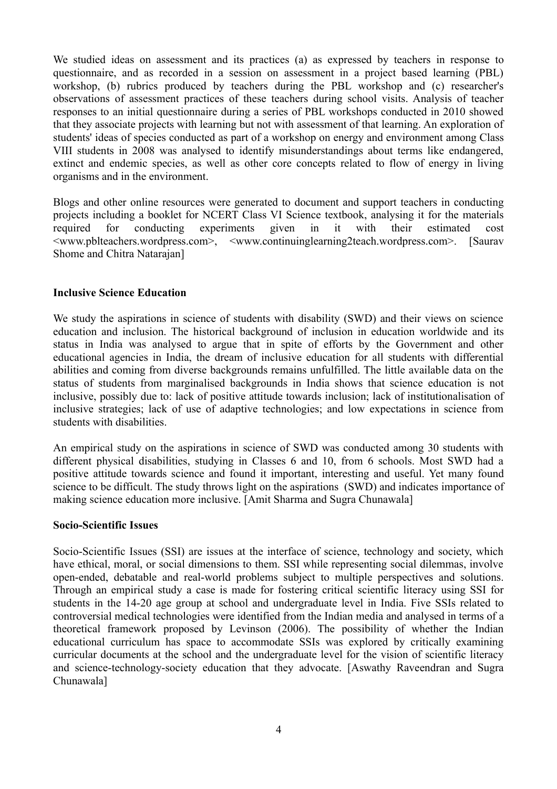We studied ideas on assessment and its practices (a) as expressed by teachers in response to questionnaire, and as recorded in a session on assessment in a project based learning (PBL) workshop, (b) rubrics produced by teachers during the PBL workshop and (c) researcher's observations of assessment practices of these teachers during school visits. Analysis of teacher responses to an initial questionnaire during a series of PBL workshops conducted in 2010 showed that they associate projects with learning but not with assessment of that learning. An exploration of students' ideas of species conducted as part of a workshop on energy and environment among Class VIII students in 2008 was analysed to identify misunderstandings about terms like endangered, extinct and endemic species, as well as other core concepts related to flow of energy in living organisms and in the environment.

Blogs and other online resources were generated to document and support teachers in conducting projects including a booklet for NCERT Class VI Science textbook, analysing it for the materials required for conducting experiments given in it with their estimated cost <www.pblteachers.wordpress.com>, <www.continuinglearning2teach.wordpress.com>. [Saurav Shome and Chitra Natarajan]

#### **Inclusive Science Education**

We study the aspirations in science of students with disability (SWD) and their views on science education and inclusion. The historical background of inclusion in education worldwide and its status in India was analysed to argue that in spite of efforts by the Government and other educational agencies in India, the dream of inclusive education for all students with differential abilities and coming from diverse backgrounds remains unfulfilled. The little available data on the status of students from marginalised backgrounds in India shows that science education is not inclusive, possibly due to: lack of positive attitude towards inclusion; lack of institutionalisation of inclusive strategies; lack of use of adaptive technologies; and low expectations in science from students with disabilities.

An empirical study on the aspirations in science of SWD was conducted among 30 students with different physical disabilities, studying in Classes 6 and 10, from 6 schools. Most SWD had a positive attitude towards science and found it important, interesting and useful. Yet many found science to be difficult. The study throws light on the aspirations (SWD) and indicates importance of making science education more inclusive. [Amit Sharma and Sugra Chunawala]

#### **Socio-Scientific Issues**

Socio-Scientific Issues (SSI) are issues at the interface of science, technology and society, which have ethical, moral, or social dimensions to them. SSI while representing social dilemmas, involve open-ended, debatable and real-world problems subject to multiple perspectives and solutions. Through an empirical study a case is made for fostering critical scientific literacy using SSI for students in the 14-20 age group at school and undergraduate level in India. Five SSIs related to controversial medical technologies were identified from the Indian media and analysed in terms of a theoretical framework proposed by Levinson (2006). The possibility of whether the Indian educational curriculum has space to accommodate SSIs was explored by critically examining curricular documents at the school and the undergraduate level for the vision of scientific literacy and science-technology-society education that they advocate. [Aswathy Raveendran and Sugra Chunawala]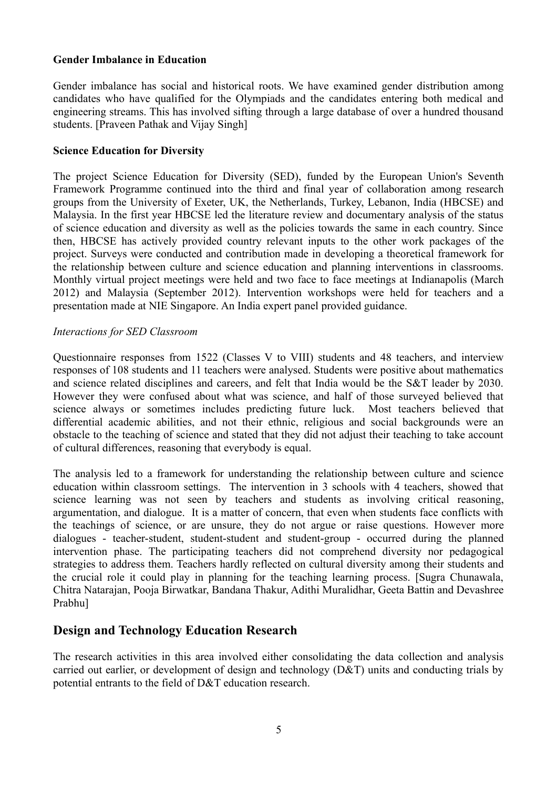#### **Gender Imbalance in Education**

Gender imbalance has social and historical roots. We have examined gender distribution among candidates who have qualified for the Olympiads and the candidates entering both medical and engineering streams. This has involved sifting through a large database of over a hundred thousand students. [Praveen Pathak and Vijay Singh]

#### **Science Education for Diversity**

The project Science Education for Diversity (SED), funded by the European Union's Seventh Framework Programme continued into the third and final year of collaboration among research groups from the University of Exeter, UK, the Netherlands, Turkey, Lebanon, India (HBCSE) and Malaysia. In the first year HBCSE led the literature review and documentary analysis of the status of science education and diversity as well as the policies towards the same in each country. Since then, HBCSE has actively provided country relevant inputs to the other work packages of the project. Surveys were conducted and contribution made in developing a theoretical framework for the relationship between culture and science education and planning interventions in classrooms. Monthly virtual project meetings were held and two face to face meetings at Indianapolis (March 2012) and Malaysia (September 2012). Intervention workshops were held for teachers and a presentation made at NIE Singapore. An India expert panel provided guidance.

#### *Interactions for SED Classroom*

Questionnaire responses from 1522 (Classes V to VIII) students and 48 teachers, and interview responses of 108 students and 11 teachers were analysed. Students were positive about mathematics and science related disciplines and careers, and felt that India would be the S&T leader by 2030. However they were confused about what was science, and half of those surveyed believed that science always or sometimes includes predicting future luck. Most teachers believed that differential academic abilities, and not their ethnic, religious and social backgrounds were an obstacle to the teaching of science and stated that they did not adjust their teaching to take account of cultural differences, reasoning that everybody is equal.

The analysis led to a framework for understanding the relationship between culture and science education within classroom settings. The intervention in 3 schools with 4 teachers, showed that science learning was not seen by teachers and students as involving critical reasoning, argumentation, and dialogue. It is a matter of concern, that even when students face conflicts with the teachings of science, or are unsure, they do not argue or raise questions. However more dialogues - teacher-student, student-student and student-group - occurred during the planned intervention phase. The participating teachers did not comprehend diversity nor pedagogical strategies to address them. Teachers hardly reflected on cultural diversity among their students and the crucial role it could play in planning for the teaching learning process. [Sugra Chunawala, Chitra Natarajan, Pooja Birwatkar, Bandana Thakur, Adithi Muralidhar, Geeta Battin and Devashree Prabhu]

# **Design and Technology Education Research**

The research activities in this area involved either consolidating the data collection and analysis carried out earlier, or development of design and technology (D&T) units and conducting trials by potential entrants to the field of D&T education research.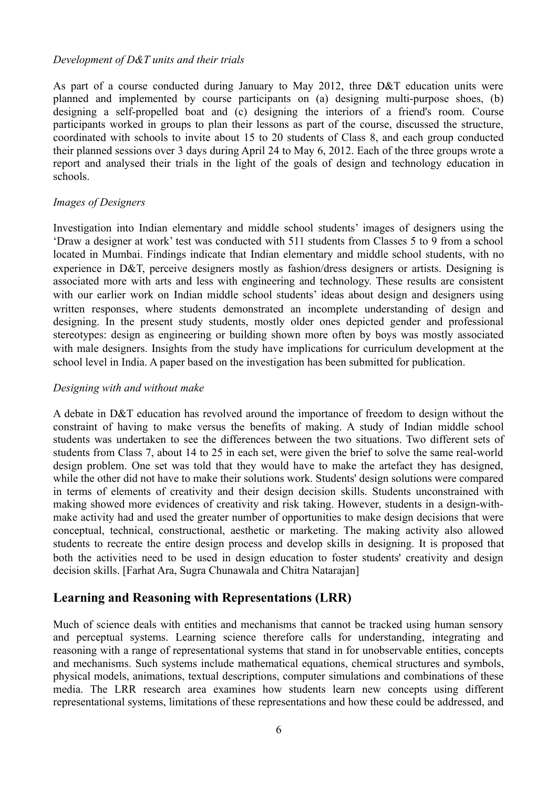#### *Development of D&T units and their trials*

As part of a course conducted during January to May 2012, three D&T education units were planned and implemented by course participants on (a) designing multi-purpose shoes, (b) designing a self-propelled boat and (c) designing the interiors of a friend's room. Course participants worked in groups to plan their lessons as part of the course, discussed the structure, coordinated with schools to invite about 15 to 20 students of Class 8, and each group conducted their planned sessions over 3 days during April 24 to May 6, 2012. Each of the three groups wrote a report and analysed their trials in the light of the goals of design and technology education in schools.

#### *Images of Designers*

Investigation into Indian elementary and middle school students' images of designers using the 'Draw a designer at work' test was conducted with 511 students from Classes 5 to 9 from a school located in Mumbai. Findings indicate that Indian elementary and middle school students, with no experience in D&T, perceive designers mostly as fashion/dress designers or artists. Designing is associated more with arts and less with engineering and technology. These results are consistent with our earlier work on Indian middle school students' ideas about design and designers using written responses, where students demonstrated an incomplete understanding of design and designing. In the present study students, mostly older ones depicted gender and professional stereotypes: design as engineering or building shown more often by boys was mostly associated with male designers. Insights from the study have implications for curriculum development at the school level in India. A paper based on the investigation has been submitted for publication.

#### *Designing with and without make*

A debate in D&T education has revolved around the importance of freedom to design without the constraint of having to make versus the benefits of making. A study of Indian middle school students was undertaken to see the differences between the two situations. Two different sets of students from Class 7, about 14 to 25 in each set, were given the brief to solve the same real-world design problem. One set was told that they would have to make the artefact they has designed, while the other did not have to make their solutions work. Students' design solutions were compared in terms of elements of creativity and their design decision skills. Students unconstrained with making showed more evidences of creativity and risk taking. However, students in a design-withmake activity had and used the greater number of opportunities to make design decisions that were conceptual, technical, constructional, aesthetic or marketing. The making activity also allowed students to recreate the entire design process and develop skills in designing. It is proposed that both the activities need to be used in design education to foster students' creativity and design decision skills. [Farhat Ara, Sugra Chunawala and Chitra Natarajan]

## **Learning and Reasoning with Representations (LRR)**

Much of science deals with entities and mechanisms that cannot be tracked using human sensory and perceptual systems. Learning science therefore calls for understanding, integrating and reasoning with a range of representational systems that stand in for unobservable entities, concepts and mechanisms. Such systems include mathematical equations, chemical structures and symbols, physical models, animations, textual descriptions, computer simulations and combinations of these media. The LRR research area examines how students learn new concepts using different representational systems, limitations of these representations and how these could be addressed, and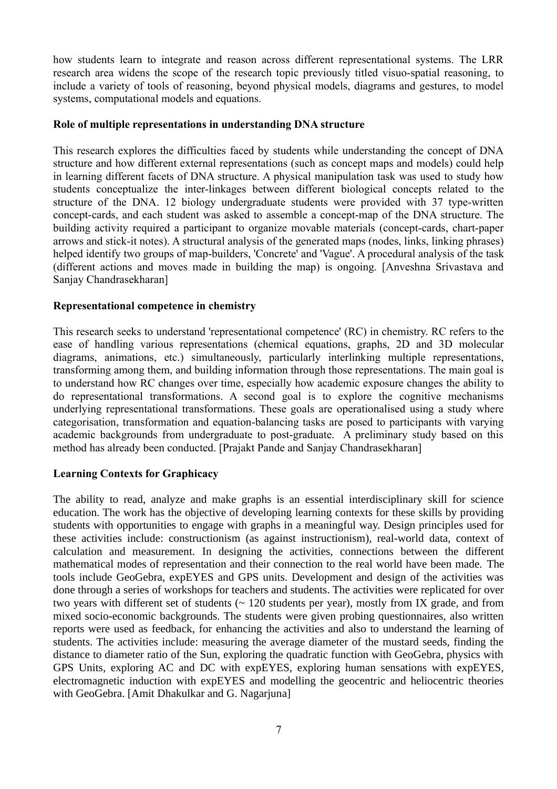how students learn to integrate and reason across different representational systems. The LRR research area widens the scope of the research topic previously titled visuo-spatial reasoning, to include a variety of tools of reasoning, beyond physical models, diagrams and gestures, to model systems, computational models and equations.

#### **Role of multiple representations in understanding DNA structure**

This research explores the difficulties faced by students while understanding the concept of DNA structure and how different external representations (such as concept maps and models) could help in learning different facets of DNA structure. A physical manipulation task was used to study how students conceptualize the inter-linkages between different biological concepts related to the structure of the DNA. 12 biology undergraduate students were provided with 37 type-written concept-cards, and each student was asked to assemble a concept-map of the DNA structure. The building activity required a participant to organize movable materials (concept-cards, chart-paper arrows and stick-it notes). A structural analysis of the generated maps (nodes, links, linking phrases) helped identify two groups of map-builders, 'Concrete' and 'Vague'. A procedural analysis of the task (different actions and moves made in building the map) is ongoing. [Anveshna Srivastava and Sanjay Chandrasekharan]

#### **Representational competence in chemistry**

This research seeks to understand 'representational competence' (RC) in chemistry. RC refers to the ease of handling various representations (chemical equations, graphs, 2D and 3D molecular diagrams, animations, etc.) simultaneously, particularly interlinking multiple representations, transforming among them, and building information through those representations. The main goal is to understand how RC changes over time, especially how academic exposure changes the ability to do representational transformations. A second goal is to explore the cognitive mechanisms underlying representational transformations. These goals are operationalised using a study where categorisation, transformation and equation-balancing tasks are posed to participants with varying academic backgrounds from undergraduate to post-graduate. A preliminary study based on this method has already been conducted. [Prajakt Pande and Sanjay Chandrasekharan]

## **Learning Contexts for Graphicacy**

The ability to read, analyze and make graphs is an essential interdisciplinary skill for science education. The work has the objective of developing learning contexts for these skills by providing students with opportunities to engage with graphs in a meaningful way. Design principles used for these activities include: constructionism (as against instructionism), real-world data, context of calculation and measurement. In designing the activities, connections between the different mathematical modes of representation and their connection to the real world have been made. The tools include GeoGebra, expEYES and GPS units. Development and design of the activities was done through a series of workshops for teachers and students. The activities were replicated for over two years with different set of students ( $\sim$  120 students per year), mostly from IX grade, and from mixed socio-economic backgrounds. The students were given probing questionnaires, also written reports were used as feedback, for enhancing the activities and also to understand the learning of students. The activities include: measuring the average diameter of the mustard seeds, finding the distance to diameter ratio of the Sun, exploring the quadratic function with GeoGebra, physics with GPS Units, exploring AC and DC with expEYES, exploring human sensations with expEYES, electromagnetic induction with expEYES and modelling the geocentric and heliocentric theories with GeoGebra. [Amit Dhakulkar and G. Nagarjuna]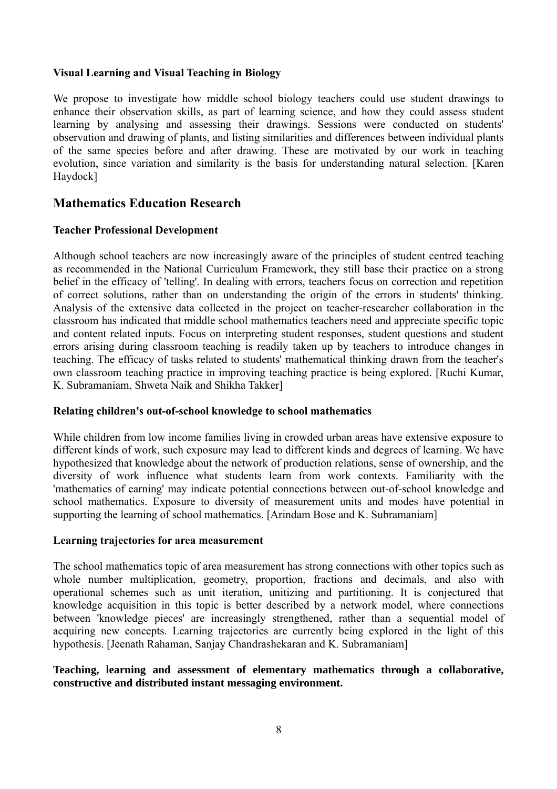#### **Visual Learning and Visual Teaching in Biology**

We propose to investigate how middle school biology teachers could use student drawings to enhance their observation skills, as part of learning science, and how they could assess student learning by analysing and assessing their drawings. Sessions were conducted on students' observation and drawing of plants, and listing similarities and differences between individual plants of the same species before and after drawing. These are motivated by our work in teaching evolution, since variation and similarity is the basis for understanding natural selection. [Karen Haydock]

# **Mathematics Education Research**

## **Teacher Professional Development**

Although school teachers are now increasingly aware of the principles of student centred teaching as recommended in the National Curriculum Framework, they still base their practice on a strong belief in the efficacy of 'telling'. In dealing with errors, teachers focus on correction and repetition of correct solutions, rather than on understanding the origin of the errors in students' thinking. Analysis of the extensive data collected in the project on teacher-researcher collaboration in the classroom has indicated that middle school mathematics teachers need and appreciate specific topic and content related inputs. Focus on interpreting student responses, student questions and student errors arising during classroom teaching is readily taken up by teachers to introduce changes in teaching. The efficacy of tasks related to students' mathematical thinking drawn from the teacher's own classroom teaching practice in improving teaching practice is being explored. [Ruchi Kumar, K. Subramaniam, Shweta Naik and Shikha Takker]

#### **Relating children's out-of-school knowledge to school mathematics**

While children from low income families living in crowded urban areas have extensive exposure to different kinds of work, such exposure may lead to different kinds and degrees of learning. We have hypothesized that knowledge about the network of production relations, sense of ownership, and the diversity of work influence what students learn from work contexts. Familiarity with the 'mathematics of earning' may indicate potential connections between out-of-school knowledge and school mathematics. Exposure to diversity of measurement units and modes have potential in supporting the learning of school mathematics. [Arindam Bose and K. Subramaniam]

#### **Learning trajectories for area measurement**

The school mathematics topic of area measurement has strong connections with other topics such as whole number multiplication, geometry, proportion, fractions and decimals, and also with operational schemes such as unit iteration, unitizing and partitioning. It is conjectured that knowledge acquisition in this topic is better described by a network model, where connections between 'knowledge pieces' are increasingly strengthened, rather than a sequential model of acquiring new concepts. Learning trajectories are currently being explored in the light of this hypothesis. [Jeenath Rahaman, Sanjay Chandrashekaran and K. Subramaniam]

#### **Teaching, learning and assessment of elementary mathematics through a collaborative, constructive and distributed instant messaging environment.**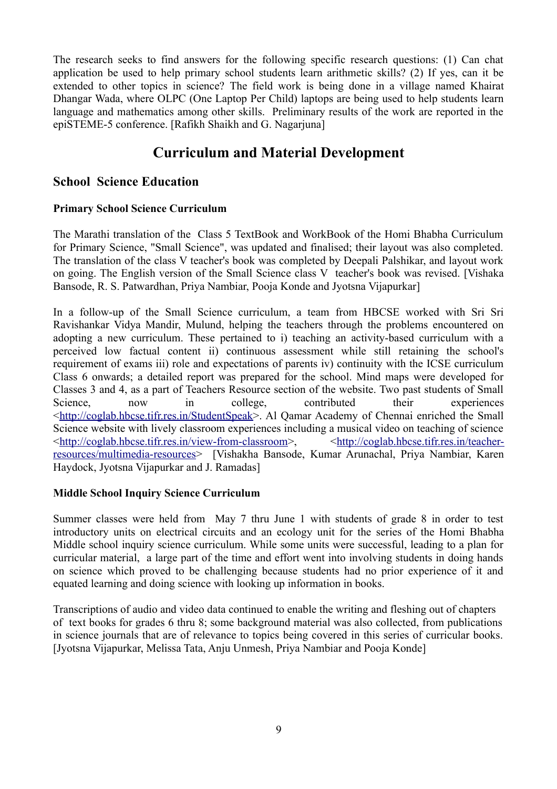The research seeks to find answers for the following specific research questions: (1) Can chat application be used to help primary school students learn arithmetic skills? (2) If yes, can it be extended to other topics in science? The field work is being done in a village named Khairat Dhangar Wada, where OLPC (One Laptop Per Child) laptops are being used to help students learn language and mathematics among other skills. Preliminary results of the work are reported in the epiSTEME-5 conference. [Rafikh Shaikh and G. Nagarjuna]

# **Curriculum and Material Development**

# **School Science Education**

## **Primary School Science Curriculum**

The Marathi translation of the Class 5 TextBook and WorkBook of the Homi Bhabha Curriculum for Primary Science, "Small Science", was updated and finalised; their layout was also completed. The translation of the class V teacher's book was completed by Deepali Palshikar, and layout work on going. The English version of the Small Science class V teacher's book was revised. [Vishaka Bansode, R. S. Patwardhan, Priya Nambiar, Pooja Konde and Jyotsna Vijapurkar]

In a follow-up of the Small Science curriculum, a team from HBCSE worked with Sri Sri Ravishankar Vidya Mandir, Mulund, helping the teachers through the problems encountered on adopting a new curriculum. These pertained to i) teaching an activity-based curriculum with a perceived low factual content ii) continuous assessment while still retaining the school's requirement of exams iii) role and expectations of parents iv) continuity with the ICSE curriculum Class 6 onwards; a detailed report was prepared for the school. Mind maps were developed for Classes 3 and 4, as a part of Teachers Resource section of the website. Two past students of Small Science, now in college, contributed their experiences [<http://coglab.hbcse.tifr.res.in/StudentSpeak>](http://coglab.hbcse.tifr.res.in/StudentSpeak). Al Qamar Academy of Chennai enriched the Small Science website with lively classroom experiences including a musical video on teaching of science [<http://coglab.hbcse.tifr.res.in/view-from-classroom>](http://coglab.hbcse.tifr.res.in/view-from-classroom), [<http://coglab.hbcse.tifr.res.in/teacher](http://coglab.hbcse.tifr.res.in/teacher-resources/multimedia-resources)[resources/multimedia-resources>](http://coglab.hbcse.tifr.res.in/teacher-resources/multimedia-resources) [Vishakha Bansode, Kumar Arunachal, Priya Nambiar, Karen Haydock, Jyotsna Vijapurkar and J. Ramadas]

## **Middle School Inquiry Science Curriculum**

Summer classes were held from May 7 thru June 1 with students of grade 8 in order to test introductory units on electrical circuits and an ecology unit for the series of the Homi Bhabha Middle school inquiry science curriculum. While some units were successful, leading to a plan for curricular material, a large part of the time and effort went into involving students in doing hands on science which proved to be challenging because students had no prior experience of it and equated learning and doing science with looking up information in books.

Transcriptions of audio and video data continued to enable the writing and fleshing out of chapters of text books for grades 6 thru 8; some background material was also collected, from publications in science journals that are of relevance to topics being covered in this series of curricular books. [Jyotsna Vijapurkar, Melissa Tata, Anju Unmesh, Priya Nambiar and Pooja Konde]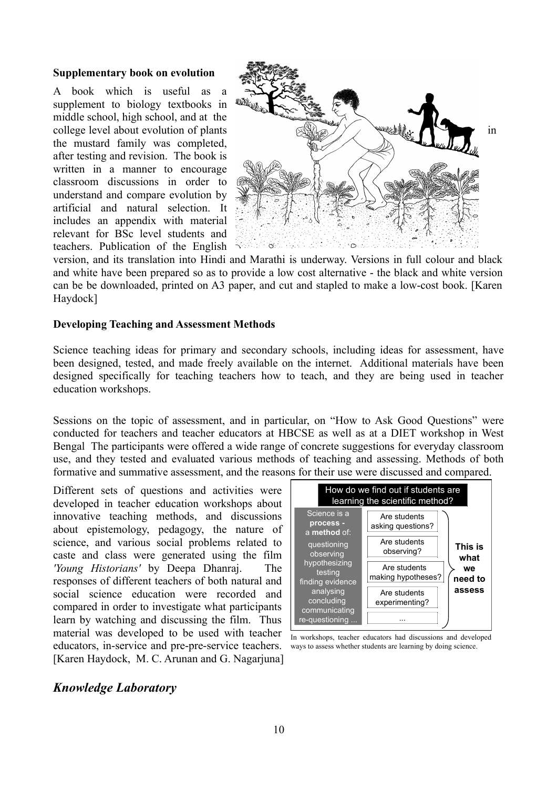#### **Supplementary book on evolution**

A book which is useful as a supplement to biology textbooks in middle school, high school, and at the the mustard family was completed, after testing and revision. The book is written in a manner to encourage classroom discussions in order to understand and compare evolution by artificial and natural selection. It includes an appendix with material relevant for BSc level students and teachers. Publication of the English



version, and its translation into Hindi and Marathi is underway. Versions in full colour and black and white have been prepared so as to provide a low cost alternative - the black and white version can be be downloaded, printed on A3 paper, and cut and stapled to make a low-cost book. [Karen Haydock]

#### **Developing Teaching and Assessment Methods**

Science teaching ideas for primary and secondary schools, including ideas for assessment, have been designed, tested, and made freely available on the internet. Additional materials have been designed specifically for teaching teachers how to teach, and they are being used in teacher education workshops.

Sessions on the topic of assessment, and in particular, on "How to Ask Good Questions" were conducted for teachers and teacher educators at HBCSE as well as at a DIET workshop in West Bengal The participants were offered a wide range of concrete suggestions for everyday classroom use, and they tested and evaluated various methods of teaching and assessing. Methods of both formative and summative assessment, and the reasons for their use were discussed and compared.

Different sets of questions and activities were developed in teacher education workshops about innovative teaching methods, and discussions about epistemology, pedagogy, the nature of science, and various social problems related to caste and class were generated using the film *'Young Historians'* by Deepa Dhanraj. The responses of different teachers of both natural and social science education were recorded and compared in order to investigate what participants learn by watching and discussing the film. Thus material was developed to be used with teacher educators, in-service and pre-pre-service teachers. [Karen Haydock, M. C. Arunan and G. Nagarjuna]



In workshops, teacher educators had discussions and developed ways to assess whether students are learning by doing science.

## *Knowledge Laboratory*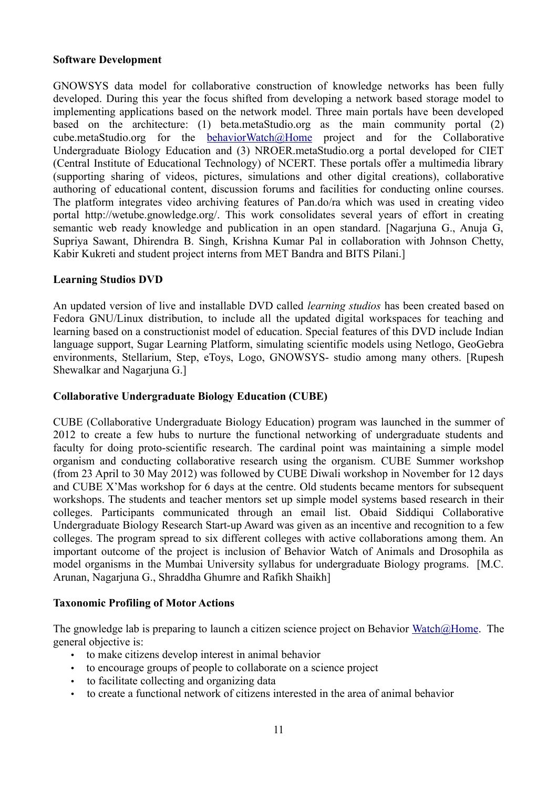#### **Software Development**

GNOWSYS data model for collaborative construction of knowledge networks has been fully developed. During this year the focus shifted from developing a network based storage model to implementing applications based on the network model. Three main portals have been developed based on the architecture: (1) beta.metaStudio.org as the main community portal (2) cube.metaStudio.org for the [behaviorWatch@Home](mailto:behaviorWatch@Home) project and for the Collaborative Undergraduate Biology Education and (3) NROER.metaStudio.org a portal developed for CIET (Central Institute of Educational Technology) of NCERT. These portals offer a multimedia library (supporting sharing of videos, pictures, simulations and other digital creations), collaborative authoring of educational content, discussion forums and facilities for conducting online courses. The platform integrates video archiving features of Pan.do/ra which was used in creating video portal http://wetube.gnowledge.org/. This work consolidates several years of effort in creating semantic web ready knowledge and publication in an open standard. [Nagarjuna G., Anuja G, Supriya Sawant, Dhirendra B. Singh, Krishna Kumar Pal in collaboration with Johnson Chetty, Kabir Kukreti and student project interns from MET Bandra and BITS Pilani.]

#### **Learning Studios DVD**

An updated version of live and installable DVD called *learning studios* has been created based on Fedora GNU/Linux distribution, to include all the updated digital workspaces for teaching and learning based on a constructionist model of education. Special features of this DVD include Indian language support, Sugar Learning Platform, simulating scientific models using Netlogo, GeoGebra environments, Stellarium, Step, eToys, Logo, GNOWSYS- studio among many others. [Rupesh Shewalkar and Nagarjuna G.]

#### **Collaborative Undergraduate Biology Education (CUBE)**

CUBE (Collaborative Undergraduate Biology Education) program was launched in the summer of 2012 to create a few hubs to nurture the functional networking of undergraduate students and faculty for doing proto-scientific research. The cardinal point was maintaining a simple model organism and conducting collaborative research using the organism. CUBE Summer workshop (from 23 April to 30 May 2012) was followed by CUBE Diwali workshop in November for 12 days and CUBE X'Mas workshop for 6 days at the centre. Old students became mentors for subsequent workshops. The students and teacher mentors set up simple model systems based research in their colleges. Participants communicated through an email list. Obaid Siddiqui Collaborative Undergraduate Biology Research Start-up Award was given as an incentive and recognition to a few colleges. The program spread to six different colleges with active collaborations among them. An important outcome of the project is inclusion of Behavior Watch of Animals and Drosophila as model organisms in the Mumbai University syllabus for undergraduate Biology programs. [M.C. Arunan, Nagarjuna G., Shraddha Ghumre and Rafikh Shaikh]

## **Taxonomic Profiling of Motor Actions**

The gnowledge lab is preparing to launch a citizen science project on Behavior [Watch@Home.](mailto:Watch@Home) The general objective is:

- to make citizens develop interest in animal behavior
- to encourage groups of people to collaborate on a science project
- to facilitate collecting and organizing data
- to create a functional network of citizens interested in the area of animal behavior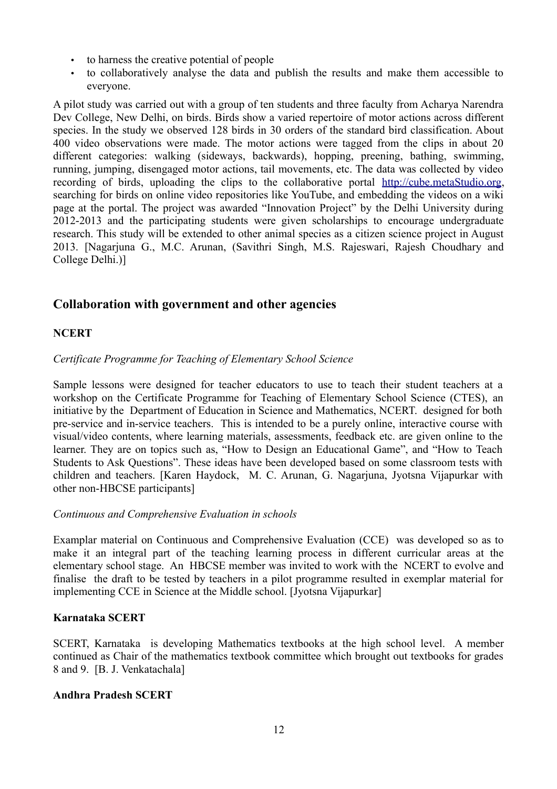- to harness the creative potential of people
- to collaboratively analyse the data and publish the results and make them accessible to everyone.

A pilot study was carried out with a group of ten students and three faculty from Acharya Narendra Dev College, New Delhi, on birds. Birds show a varied repertoire of motor actions across different species. In the study we observed 128 birds in 30 orders of the standard bird classification. About 400 video observations were made. The motor actions were tagged from the clips in about 20 different categories: walking (sideways, backwards), hopping, preening, bathing, swimming, running, jumping, disengaged motor actions, tail movements, etc. The data was collected by video recording of birds, uploading the clips to the collaborative portal [http://cube.metaStudio.org,](http://cube.metaStudio.org/) searching for birds on online video repositories like YouTube, and embedding the videos on a wiki page at the portal. The project was awarded "Innovation Project" by the Delhi University during 2012-2013 and the participating students were given scholarships to encourage undergraduate research. This study will be extended to other animal species as a citizen science project in August 2013. [Nagarjuna G., M.C. Arunan, (Savithri Singh, M.S. Rajeswari, Rajesh Choudhary and College Delhi.)]

# **Collaboration with government and other agencies**

## **NCERT**

#### *Certificate Programme for Teaching of Elementary School Science*

Sample lessons were designed for teacher educators to use to teach their student teachers at a workshop on the Certificate Programme for Teaching of Elementary School Science (CTES), an initiative by the Department of Education in Science and Mathematics, NCERT. designed for both pre-service and in-service teachers. This is intended to be a purely online, interactive course with visual/video contents, where learning materials, assessments, feedback etc. are given online to the learner. They are on topics such as, "How to Design an Educational Game", and "How to Teach Students to Ask Questions". These ideas have been developed based on some classroom tests with children and teachers. [Karen Haydock, M. C. Arunan, G. Nagarjuna, Jyotsna Vijapurkar with other non-HBCSE participants]

#### *Continuous and Comprehensive Evaluation in schools*

Examplar material on Continuous and Comprehensive Evaluation (CCE) was developed so as to make it an integral part of the teaching learning process in different curricular areas at the elementary school stage. An HBCSE member was invited to work with the NCERT to evolve and finalise the draft to be tested by teachers in a pilot programme resulted in exemplar material for implementing CCE in Science at the Middle school. [Jyotsna Vijapurkar]

#### **Karnataka SCERT**

SCERT, Karnataka is developing Mathematics textbooks at the high school level. A member continued as Chair of the mathematics textbook committee which brought out textbooks for grades 8 and 9. [B. J. Venkatachala]

#### **Andhra Pradesh SCERT**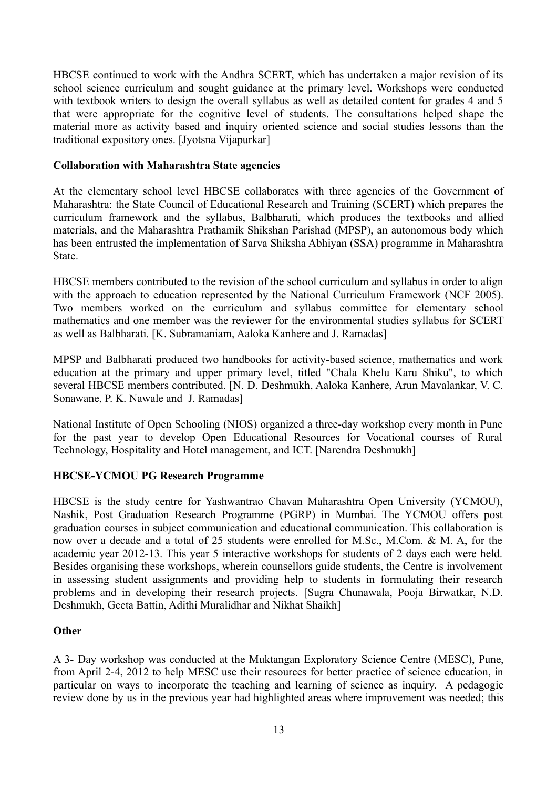HBCSE continued to work with the Andhra SCERT, which has undertaken a major revision of its school science curriculum and sought guidance at the primary level. Workshops were conducted with textbook writers to design the overall syllabus as well as detailed content for grades 4 and 5 that were appropriate for the cognitive level of students. The consultations helped shape the material more as activity based and inquiry oriented science and social studies lessons than the traditional expository ones. [Jyotsna Vijapurkar]

#### **Collaboration with Maharashtra State agencies**

At the elementary school level HBCSE collaborates with three agencies of the Government of Maharashtra: the State Council of Educational Research and Training (SCERT) which prepares the curriculum framework and the syllabus, Balbharati, which produces the textbooks and allied materials, and the Maharashtra Prathamik Shikshan Parishad (MPSP), an autonomous body which has been entrusted the implementation of Sarva Shiksha Abhiyan (SSA) programme in Maharashtra State.

HBCSE members contributed to the revision of the school curriculum and syllabus in order to align with the approach to education represented by the National Curriculum Framework (NCF 2005). Two members worked on the curriculum and syllabus committee for elementary school mathematics and one member was the reviewer for the environmental studies syllabus for SCERT as well as Balbharati. [K. Subramaniam, Aaloka Kanhere and J. Ramadas]

MPSP and Balbharati produced two handbooks for activity-based science, mathematics and work education at the primary and upper primary level, titled "Chala Khelu Karu Shiku", to which several HBCSE members contributed. [N. D. Deshmukh, Aaloka Kanhere, Arun Mavalankar, V. C. Sonawane, P. K. Nawale and J. Ramadas]

National Institute of Open Schooling (NIOS) organized a three-day workshop every month in Pune for the past year to develop Open Educational Resources for Vocational courses of Rural Technology, Hospitality and Hotel management, and ICT. [Narendra Deshmukh]

## **HBCSE-YCMOU PG Research Programme**

HBCSE is the study centre for Yashwantrao Chavan Maharashtra Open University (YCMOU), Nashik, Post Graduation Research Programme (PGRP) in Mumbai. The YCMOU offers post graduation courses in subject communication and educational communication. This collaboration is now over a decade and a total of 25 students were enrolled for M.Sc., M.Com. & M. A, for the academic year 2012-13. This year 5 interactive workshops for students of 2 days each were held. Besides organising these workshops, wherein counsellors guide students, the Centre is involvement in assessing student assignments and providing help to students in formulating their research problems and in developing their research projects. [Sugra Chunawala, Pooja Birwatkar, N.D. Deshmukh, Geeta Battin, Adithi Muralidhar and Nikhat Shaikh]

#### **Other**

A 3- Day workshop was conducted at the Muktangan Exploratory Science Centre (MESC), Pune, from April 2-4, 2012 to help MESC use their resources for better practice of science education, in particular on ways to incorporate the teaching and learning of science as inquiry. A pedagogic review done by us in the previous year had highlighted areas where improvement was needed; this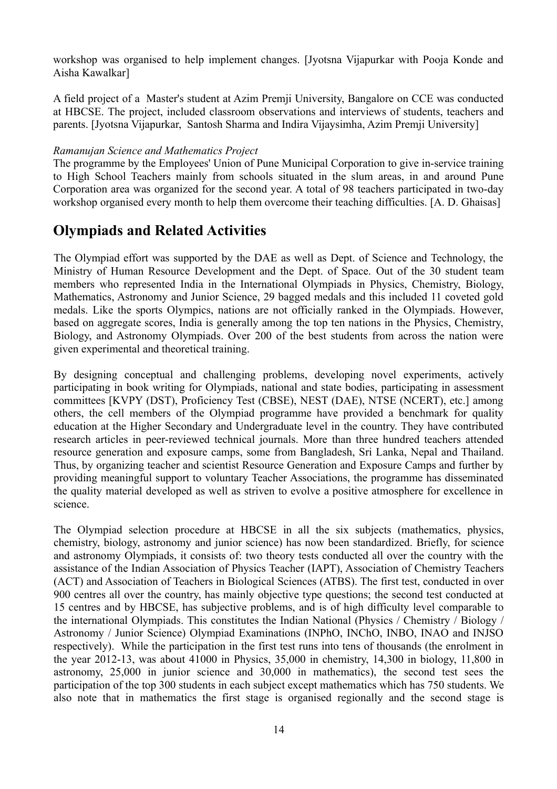workshop was organised to help implement changes. [Jyotsna Vijapurkar with Pooja Konde and Aisha Kawalkar]

A field project of a Master's student at Azim Premji University, Bangalore on CCE was conducted at HBCSE. The project, included classroom observations and interviews of students, teachers and parents. [Jyotsna Vijapurkar, Santosh Sharma and Indira Vijaysimha, Azim Premji University]

#### *Ramanujan Science and Mathematics Project*

The programme by the Employees' Union of Pune Municipal Corporation to give in-service training to High School Teachers mainly from schools situated in the slum areas, in and around Pune Corporation area was organized for the second year. A total of 98 teachers participated in two-day workshop organised every month to help them overcome their teaching difficulties. [A. D. Ghaisas]

# **Olympiads and Related Activities**

The Olympiad effort was supported by the DAE as well as Dept. of Science and Technology, the Ministry of Human Resource Development and the Dept. of Space. Out of the 30 student team members who represented India in the International Olympiads in Physics, Chemistry, Biology, Mathematics, Astronomy and Junior Science, 29 bagged medals and this included 11 coveted gold medals. Like the sports Olympics, nations are not officially ranked in the Olympiads. However, based on aggregate scores, India is generally among the top ten nations in the Physics, Chemistry, Biology, and Astronomy Olympiads. Over 200 of the best students from across the nation were given experimental and theoretical training.

By designing conceptual and challenging problems, developing novel experiments, actively participating in book writing for Olympiads, national and state bodies, participating in assessment committees [KVPY (DST), Proficiency Test (CBSE), NEST (DAE), NTSE (NCERT), etc.] among others, the cell members of the Olympiad programme have provided a benchmark for quality education at the Higher Secondary and Undergraduate level in the country. They have contributed research articles in peer-reviewed technical journals. More than three hundred teachers attended resource generation and exposure camps, some from Bangladesh, Sri Lanka, Nepal and Thailand. Thus, by organizing teacher and scientist Resource Generation and Exposure Camps and further by providing meaningful support to voluntary Teacher Associations, the programme has disseminated the quality material developed as well as striven to evolve a positive atmosphere for excellence in science.

The Olympiad selection procedure at HBCSE in all the six subjects (mathematics, physics, chemistry, biology, astronomy and junior science) has now been standardized. Briefly, for science and astronomy Olympiads, it consists of: two theory tests conducted all over the country with the assistance of the Indian Association of Physics Teacher (IAPT), Association of Chemistry Teachers (ACT) and Association of Teachers in Biological Sciences (ATBS). The first test, conducted in over 900 centres all over the country, has mainly objective type questions; the second test conducted at 15 centres and by HBCSE, has subjective problems, and is of high difficulty level comparable to the international Olympiads. This constitutes the Indian National (Physics / Chemistry / Biology / Astronomy / Junior Science) Olympiad Examinations (INPhO, INChO, INBO, INAO and INJSO respectively). While the participation in the first test runs into tens of thousands (the enrolment in the year 2012-13, was about 41000 in Physics, 35,000 in chemistry, 14,300 in biology, 11,800 in astronomy, 25,000 in junior science and 30,000 in mathematics), the second test sees the participation of the top 300 students in each subject except mathematics which has 750 students. We also note that in mathematics the first stage is organised regionally and the second stage is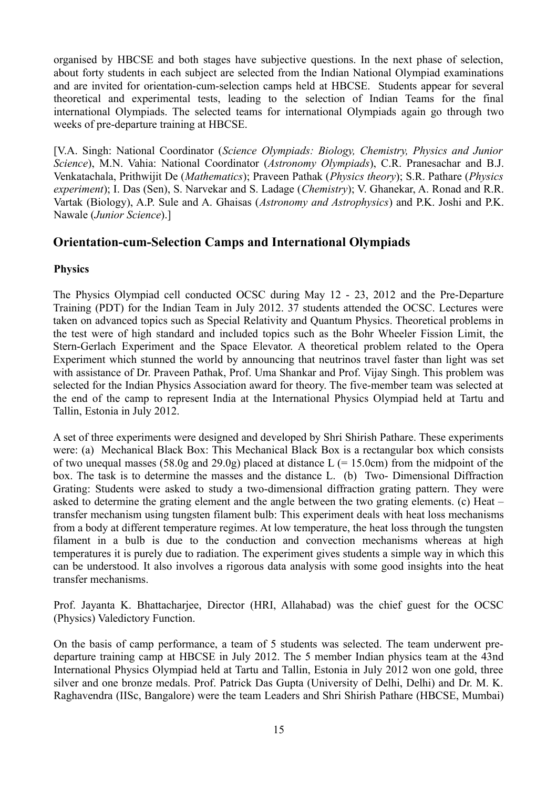organised by HBCSE and both stages have subjective questions. In the next phase of selection, about forty students in each subject are selected from the Indian National Olympiad examinations and are invited for orientation-cum-selection camps held at HBCSE. Students appear for several theoretical and experimental tests, leading to the selection of Indian Teams for the final international Olympiads. The selected teams for international Olympiads again go through two weeks of pre-departure training at HBCSE.

[V.A. Singh: National Coordinator (*Science Olympiads: Biology, Chemistry, Physics and Junior Science*), M.N. Vahia: National Coordinator (*Astronomy Olympiads*), C.R. Pranesachar and B.J. Venkatachala, Prithwijit De (*Mathematics*); Praveen Pathak (*Physics theory*); S.R. Pathare (*Physics experiment*); I. Das (Sen), S. Narvekar and S. Ladage (*Chemistry*); V. Ghanekar, A. Ronad and R.R. Vartak (Biology), A.P. Sule and A. Ghaisas (*Astronomy and Astrophysics*) and P.K. Joshi and P.K. Nawale (*Junior Science*).]

# **Orientation-cum-Selection Camps and International Olympiads**

## **Physics**

The Physics Olympiad cell conducted OCSC during May 12 - 23, 2012 and the Pre-Departure Training (PDT) for the Indian Team in July 2012. 37 students attended the OCSC. Lectures were taken on advanced topics such as Special Relativity and Quantum Physics. Theoretical problems in the test were of high standard and included topics such as the Bohr Wheeler Fission Limit, the Stern-Gerlach Experiment and the Space Elevator. A theoretical problem related to the Opera Experiment which stunned the world by announcing that neutrinos travel faster than light was set with assistance of Dr. Praveen Pathak, Prof. Uma Shankar and Prof. Vijay Singh. This problem was selected for the Indian Physics Association award for theory. The five-member team was selected at the end of the camp to represent India at the International Physics Olympiad held at Tartu and Tallin, Estonia in July 2012.

A set of three experiments were designed and developed by Shri Shirish Pathare. These experiments were: (a) Mechanical Black Box: This Mechanical Black Box is a rectangular box which consists of two unequal masses (58.0g and 29.0g) placed at distance  $L$  (= 15.0cm) from the midpoint of the box. The task is to determine the masses and the distance L. (b) Two- Dimensional Diffraction Grating: Students were asked to study a two-dimensional diffraction grating pattern. They were asked to determine the grating element and the angle between the two grating elements. (c) Heat – transfer mechanism using tungsten filament bulb: This experiment deals with heat loss mechanisms from a body at different temperature regimes. At low temperature, the heat loss through the tungsten filament in a bulb is due to the conduction and convection mechanisms whereas at high temperatures it is purely due to radiation. The experiment gives students a simple way in which this can be understood. It also involves a rigorous data analysis with some good insights into the heat transfer mechanisms.

Prof. Jayanta K. Bhattacharjee, Director (HRI, Allahabad) was the chief guest for the OCSC (Physics) Valedictory Function.

On the basis of camp performance, a team of 5 students was selected. The team underwent predeparture training camp at HBCSE in July 2012. The 5 member Indian physics team at the 43nd International Physics Olympiad held at Tartu and Tallin, Estonia in July 2012 won one gold, three silver and one bronze medals. Prof. Patrick Das Gupta (University of Delhi, Delhi) and Dr. M. K. Raghavendra (IISc, Bangalore) were the team Leaders and Shri Shirish Pathare (HBCSE, Mumbai)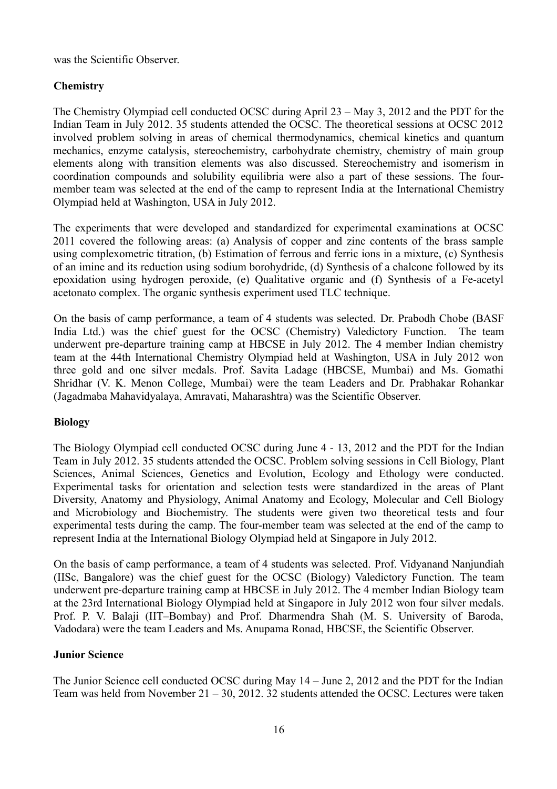was the Scientific Observer.

## **Chemistry**

The Chemistry Olympiad cell conducted OCSC during April 23 – May 3, 2012 and the PDT for the Indian Team in July 2012. 35 students attended the OCSC. The theoretical sessions at OCSC 2012 involved problem solving in areas of chemical thermodynamics, chemical kinetics and quantum mechanics, enzyme catalysis, stereochemistry, carbohydrate chemistry, chemistry of main group elements along with transition elements was also discussed. Stereochemistry and isomerism in coordination compounds and solubility equilibria were also a part of these sessions. The fourmember team was selected at the end of the camp to represent India at the International Chemistry Olympiad held at Washington, USA in July 2012.

The experiments that were developed and standardized for experimental examinations at OCSC 2011 covered the following areas: (a) Analysis of copper and zinc contents of the brass sample using complexometric titration, (b) Estimation of ferrous and ferric ions in a mixture, (c) Synthesis of an imine and its reduction using sodium borohydride, (d) Synthesis of a chalcone followed by its epoxidation using hydrogen peroxide, (e) Qualitative organic and (f) Synthesis of a Fe-acetyl acetonato complex. The organic synthesis experiment used TLC technique.

On the basis of camp performance, a team of 4 students was selected. Dr. Prabodh Chobe (BASF India Ltd.) was the chief guest for the OCSC (Chemistry) Valedictory Function. The team underwent pre-departure training camp at HBCSE in July 2012. The 4 member Indian chemistry team at the 44th International Chemistry Olympiad held at Washington, USA in July 2012 won three gold and one silver medals. Prof. Savita Ladage (HBCSE, Mumbai) and Ms. Gomathi Shridhar (V. K. Menon College, Mumbai) were the team Leaders and Dr. Prabhakar Rohankar (Jagadmaba Mahavidyalaya, Amravati, Maharashtra) was the Scientific Observer.

## **Biology**

The Biology Olympiad cell conducted OCSC during June 4 - 13, 2012 and the PDT for the Indian Team in July 2012. 35 students attended the OCSC. Problem solving sessions in Cell Biology, Plant Sciences, Animal Sciences, Genetics and Evolution, Ecology and Ethology were conducted. Experimental tasks for orientation and selection tests were standardized in the areas of Plant Diversity, Anatomy and Physiology, Animal Anatomy and Ecology, Molecular and Cell Biology and Microbiology and Biochemistry. The students were given two theoretical tests and four experimental tests during the camp. The four-member team was selected at the end of the camp to represent India at the International Biology Olympiad held at Singapore in July 2012.

On the basis of camp performance, a team of 4 students was selected. Prof. Vidyanand Nanjundiah (IISc, Bangalore) was the chief guest for the OCSC (Biology) Valedictory Function. The team underwent pre-departure training camp at HBCSE in July 2012. The 4 member Indian Biology team at the 23rd International Biology Olympiad held at Singapore in July 2012 won four silver medals. Prof. P. V. Balaji (IIT–Bombay) and Prof. Dharmendra Shah (M. S. University of Baroda, Vadodara) were the team Leaders and Ms. Anupama Ronad, HBCSE, the Scientific Observer.

#### **Junior Science**

The Junior Science cell conducted OCSC during May 14 – June 2, 2012 and the PDT for the Indian Team was held from November 21 – 30, 2012. 32 students attended the OCSC. Lectures were taken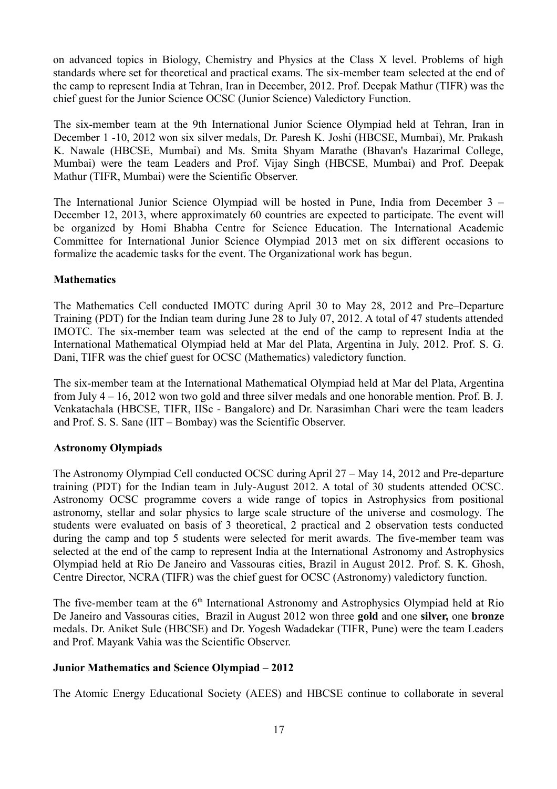on advanced topics in Biology, Chemistry and Physics at the Class X level. Problems of high standards where set for theoretical and practical exams. The six-member team selected at the end of the camp to represent India at Tehran, Iran in December, 2012. Prof. Deepak Mathur (TIFR) was the chief guest for the Junior Science OCSC (Junior Science) Valedictory Function.

The six-member team at the 9th International Junior Science Olympiad held at Tehran, Iran in December 1 -10, 2012 won six silver medals, Dr. Paresh K. Joshi (HBCSE, Mumbai), Mr. Prakash K. Nawale (HBCSE, Mumbai) and Ms. Smita Shyam Marathe (Bhavan's Hazarimal College, Mumbai) were the team Leaders and Prof. Vijay Singh (HBCSE, Mumbai) and Prof. Deepak Mathur (TIFR, Mumbai) were the Scientific Observer.

The International Junior Science Olympiad will be hosted in Pune, India from December 3 – December 12, 2013, where approximately 60 countries are expected to participate. The event will be organized by Homi Bhabha Centre for Science Education. The International Academic Committee for International Junior Science Olympiad 2013 met on six different occasions to formalize the academic tasks for the event. The Organizational work has begun.

## **Mathematics**

The Mathematics Cell conducted IMOTC during April 30 to May 28, 2012 and Pre–Departure Training (PDT) for the Indian team during June 28 to July 07, 2012. A total of 47 students attended IMOTC. The six-member team was selected at the end of the camp to represent India at the International Mathematical Olympiad held at Mar del Plata, Argentina in July, 2012. Prof. S. G. Dani, TIFR was the chief guest for OCSC (Mathematics) valedictory function.

The six-member team at the International Mathematical Olympiad held at Mar del Plata, Argentina from July 4 – 16, 2012 won two gold and three silver medals and one honorable mention. Prof. B. J. Venkatachala (HBCSE, TIFR, IISc - Bangalore) and Dr. Narasimhan Chari were the team leaders and Prof. S. S. Sane (IIT – Bombay) was the Scientific Observer.

# **Astronomy Olympiads**

The Astronomy Olympiad Cell conducted OCSC during April 27 – May 14, 2012 and Pre-departure training (PDT) for the Indian team in July-August 2012. A total of 30 students attended OCSC. Astronomy OCSC programme covers a wide range of topics in Astrophysics from positional astronomy, stellar and solar physics to large scale structure of the universe and cosmology. The students were evaluated on basis of 3 theoretical, 2 practical and 2 observation tests conducted during the camp and top 5 students were selected for merit awards. The five-member team was selected at the end of the camp to represent India at the International Astronomy and Astrophysics Olympiad held at Rio De Janeiro and Vassouras cities, Brazil in August 2012. Prof. S. K. Ghosh, Centre Director, NCRA (TIFR) was the chief guest for OCSC (Astronomy) valedictory function.

The five-member team at the 6<sup>th</sup> International Astronomy and Astrophysics Olympiad held at Rio De Janeiro and Vassouras cities, Brazil in August 2012 won three **gold** and one **silver,** one **bronze** medals. Dr. Aniket Sule (HBCSE) and Dr. Yogesh Wadadekar (TIFR, Pune) were the team Leaders and Prof. Mayank Vahia was the Scientific Observer.

# **Junior Mathematics and Science Olympiad – 2012**

The Atomic Energy Educational Society (AEES) and HBCSE continue to collaborate in several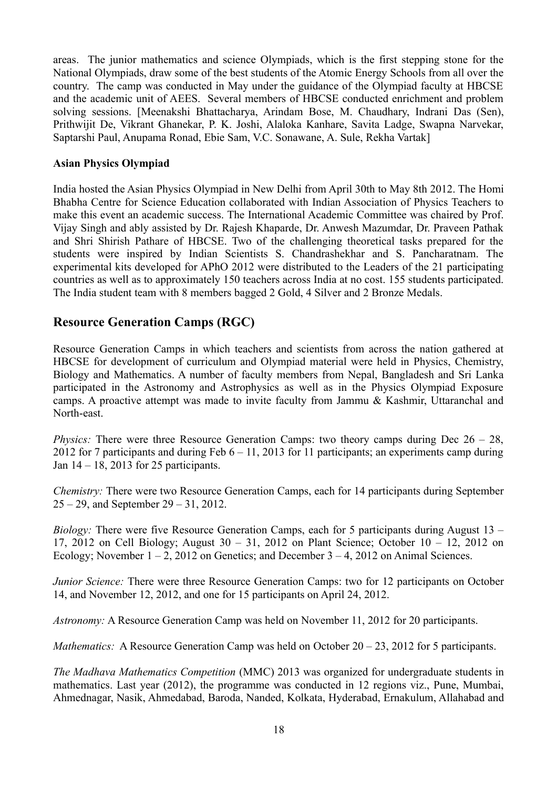areas. The junior mathematics and science Olympiads, which is the first stepping stone for the National Olympiads, draw some of the best students of the Atomic Energy Schools from all over the country. The camp was conducted in May under the guidance of the Olympiad faculty at HBCSE and the academic unit of AEES. Several members of HBCSE conducted enrichment and problem solving sessions. [Meenakshi Bhattacharya, Arindam Bose, M. Chaudhary, Indrani Das (Sen), Prithwijit De, Vikrant Ghanekar, P. K. Joshi, Alaloka Kanhare, Savita Ladge, Swapna Narvekar, Saptarshi Paul, Anupama Ronad, Ebie Sam, V.C. Sonawane, A. Sule, Rekha Vartak]

#### **Asian Physics Olympiad**

India hosted the Asian Physics Olympiad in New Delhi from April 30th to May 8th 2012. The Homi Bhabha Centre for Science Education collaborated with Indian Association of Physics Teachers to make this event an academic success. The International Academic Committee was chaired by Prof. Vijay Singh and ably assisted by Dr. Rajesh Khaparde, Dr. Anwesh Mazumdar, Dr. Praveen Pathak and Shri Shirish Pathare of HBCSE. Two of the challenging theoretical tasks prepared for the students were inspired by Indian Scientists S. Chandrashekhar and S. Pancharatnam. The experimental kits developed for APhO 2012 were distributed to the Leaders of the 21 participating countries as well as to approximately 150 teachers across India at no cost. 155 students participated. The India student team with 8 members bagged 2 Gold, 4 Silver and 2 Bronze Medals.

# **Resource Generation Camps (RGC)**

Resource Generation Camps in which teachers and scientists from across the nation gathered at HBCSE for development of curriculum and Olympiad material were held in Physics, Chemistry, Biology and Mathematics. A number of faculty members from Nepal, Bangladesh and Sri Lanka participated in the Astronomy and Astrophysics as well as in the Physics Olympiad Exposure camps. A proactive attempt was made to invite faculty from Jammu & Kashmir, Uttaranchal and North-east.

*Physics:* There were three Resource Generation Camps: two theory camps during Dec  $26 - 28$ , 2012 for 7 participants and during Feb  $6 - 11$ , 2013 for 11 participants; an experiments camp during Jan 14 – 18, 2013 for 25 participants.

*Chemistry:* There were two Resource Generation Camps, each for 14 participants during September 25 – 29, and September 29 – 31, 2012.

*Biology:* There were five Resource Generation Camps, each for 5 participants during August 13 – 17, 2012 on Cell Biology; August 30 – 31, 2012 on Plant Science; October 10 – 12, 2012 on Ecology; November  $1 - 2$ , 2012 on Genetics; and December  $3 - 4$ , 2012 on Animal Sciences.

*Junior Science:* There were three Resource Generation Camps: two for 12 participants on October 14, and November 12, 2012, and one for 15 participants on April 24, 2012.

*Astronomy:* A Resource Generation Camp was held on November 11, 2012 for 20 participants.

*Mathematics:* A Resource Generation Camp was held on October 20 – 23, 2012 for 5 participants.

*The Madhava Mathematics Competition* (MMC) 2013 was organized for undergraduate students in mathematics. Last year (2012), the programme was conducted in 12 regions viz., Pune, Mumbai, Ahmednagar, Nasik, Ahmedabad, Baroda, Nanded, Kolkata, Hyderabad, Ernakulum, Allahabad and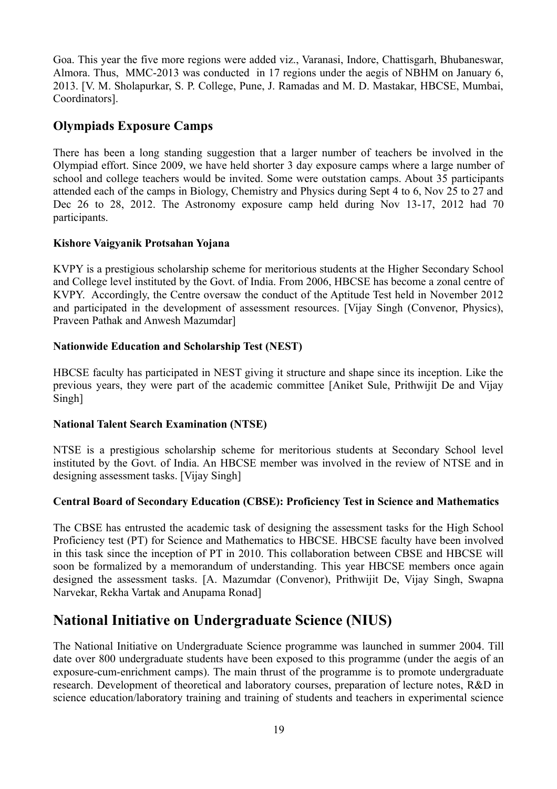Goa. This year the five more regions were added viz., Varanasi, Indore, Chattisgarh, Bhubaneswar, Almora. Thus, MMC-2013 was conducted in 17 regions under the aegis of NBHM on January 6, 2013. [V. M. Sholapurkar, S. P. College, Pune, J. Ramadas and M. D. Mastakar, HBCSE, Mumbai, Coordinators].

# **Olympiads Exposure Camps**

There has been a long standing suggestion that a larger number of teachers be involved in the Olympiad effort. Since 2009, we have held shorter 3 day exposure camps where a large number of school and college teachers would be invited. Some were outstation camps. About 35 participants attended each of the camps in Biology, Chemistry and Physics during Sept 4 to 6, Nov 25 to 27 and Dec 26 to 28, 2012. The Astronomy exposure camp held during Nov 13-17, 2012 had 70 participants.

## **Kishore Vaigyanik Protsahan Yojana**

KVPY is a prestigious scholarship scheme for meritorious students at the Higher Secondary School and College level instituted by the Govt. of India. From 2006, HBCSE has become a zonal centre of KVPY. Accordingly, the Centre oversaw the conduct of the Aptitude Test held in November 2012 and participated in the development of assessment resources. [Vijay Singh (Convenor, Physics), Praveen Pathak and Anwesh Mazumdar]

## **Nationwide Education and Scholarship Test (NEST)**

HBCSE faculty has participated in NEST giving it structure and shape since its inception. Like the previous years, they were part of the academic committee [Aniket Sule, Prithwijit De and Vijay Singh]

## **National Talent Search Examination (NTSE)**

NTSE is a prestigious scholarship scheme for meritorious students at Secondary School level instituted by the Govt. of India. An HBCSE member was involved in the review of NTSE and in designing assessment tasks. [Vijay Singh]

## **Central Board of Secondary Education (CBSE): Proficiency Test in Science and Mathematics**

The CBSE has entrusted the academic task of designing the assessment tasks for the High School Proficiency test (PT) for Science and Mathematics to HBCSE. HBCSE faculty have been involved in this task since the inception of PT in 2010. This collaboration between CBSE and HBCSE will soon be formalized by a memorandum of understanding. This year HBCSE members once again designed the assessment tasks. [A. Mazumdar (Convenor), Prithwijit De, Vijay Singh, Swapna Narvekar, Rekha Vartak and Anupama Ronad]

# **National Initiative on Undergraduate Science (NIUS)**

The National Initiative on Undergraduate Science programme was launched in summer 2004. Till date over 800 undergraduate students have been exposed to this programme (under the aegis of an exposure-cum-enrichment camps). The main thrust of the programme is to promote undergraduate research. Development of theoretical and laboratory courses, preparation of lecture notes, R&D in science education/laboratory training and training of students and teachers in experimental science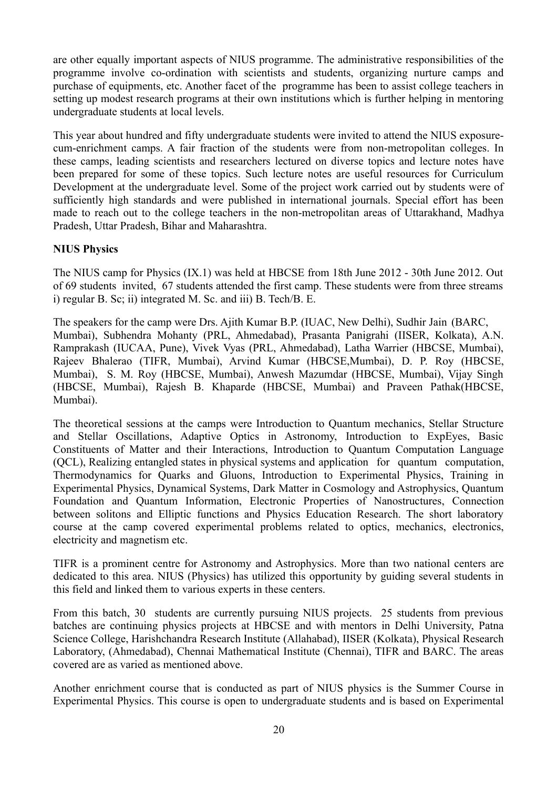are other equally important aspects of NIUS programme. The administrative responsibilities of the programme involve co-ordination with scientists and students, organizing nurture camps and purchase of equipments, etc. Another facet of the programme has been to assist college teachers in setting up modest research programs at their own institutions which is further helping in mentoring undergraduate students at local levels.

This year about hundred and fifty undergraduate students were invited to attend the NIUS exposurecum-enrichment camps. A fair fraction of the students were from non-metropolitan colleges. In these camps, leading scientists and researchers lectured on diverse topics and lecture notes have been prepared for some of these topics. Such lecture notes are useful resources for Curriculum Development at the undergraduate level. Some of the project work carried out by students were of sufficiently high standards and were published in international journals. Special effort has been made to reach out to the college teachers in the non-metropolitan areas of Uttarakhand, Madhya Pradesh, Uttar Pradesh, Bihar and Maharashtra.

## **NIUS Physics**

The NIUS camp for Physics (IX.1) was held at HBCSE from 18th June 2012 - 30th June 2012. Out of 69 students invited, 67 students attended the first camp. These students were from three streams i) regular B. Sc; ii) integrated M. Sc. and iii) B. Tech/B. E.

The speakers for the camp were Drs. Ajith Kumar B.P. (IUAC, New Delhi), Sudhir Jain (BARC, Mumbai), Subhendra Mohanty (PRL, Ahmedabad), Prasanta Panigrahi (IISER, Kolkata), A.N. Ramprakash (IUCAA, Pune), Vivek Vyas (PRL, Ahmedabad), Latha Warrier (HBCSE, Mumbai), Rajeev Bhalerao (TIFR, Mumbai), Arvind Kumar (HBCSE,Mumbai), D. P. Roy (HBCSE, Mumbai), S. M. Roy (HBCSE, Mumbai), Anwesh Mazumdar (HBCSE, Mumbai), Vijay Singh (HBCSE, Mumbai), Rajesh B. Khaparde (HBCSE, Mumbai) and Praveen Pathak(HBCSE, Mumbai).

The theoretical sessions at the camps were Introduction to Quantum mechanics, Stellar Structure and Stellar Oscillations, Adaptive Optics in Astronomy, Introduction to ExpEyes, Basic Constituents of Matter and their Interactions, Introduction to Quantum Computation Language (QCL), Realizing entangled states in physical systems and application for quantum computation, Thermodynamics for Quarks and Gluons, Introduction to Experimental Physics, Training in Experimental Physics, Dynamical Systems, Dark Matter in Cosmology and Astrophysics, Quantum Foundation and Quantum Information, Electronic Properties of Nanostructures, Connection between solitons and Elliptic functions and Physics Education Research. The short laboratory course at the camp covered experimental problems related to optics, mechanics, electronics, electricity and magnetism etc.

TIFR is a prominent centre for Astronomy and Astrophysics. More than two national centers are dedicated to this area. NIUS (Physics) has utilized this opportunity by guiding several students in this field and linked them to various experts in these centers.

From this batch, 30 students are currently pursuing NIUS projects. 25 students from previous batches are continuing physics projects at HBCSE and with mentors in Delhi University, Patna Science College, Harishchandra Research Institute (Allahabad), IISER (Kolkata), Physical Research Laboratory, (Ahmedabad), Chennai Mathematical Institute (Chennai), TIFR and BARC. The areas covered are as varied as mentioned above.

Another enrichment course that is conducted as part of NIUS physics is the Summer Course in Experimental Physics. This course is open to undergraduate students and is based on Experimental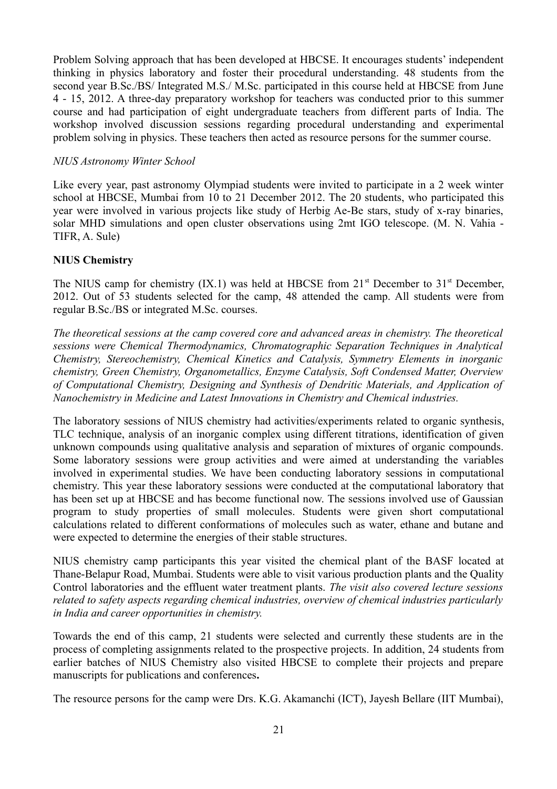Problem Solving approach that has been developed at HBCSE. It encourages students' independent thinking in physics laboratory and foster their procedural understanding. 48 students from the second year B.Sc./BS/ Integrated M.S./ M.Sc. participated in this course held at HBCSE from June 4 - 15, 2012. A three-day preparatory workshop for teachers was conducted prior to this summer course and had participation of eight undergraduate teachers from different parts of India. The workshop involved discussion sessions regarding procedural understanding and experimental problem solving in physics. These teachers then acted as resource persons for the summer course.

#### *NIUS Astronomy Winter School*

Like every year, past astronomy Olympiad students were invited to participate in a 2 week winter school at HBCSE, Mumbai from 10 to 21 December 2012. The 20 students, who participated this year were involved in various projects like study of Herbig Ae-Be stars, study of x-ray binaries, solar MHD simulations and open cluster observations using 2mt IGO telescope. (M. N. Vahia - TIFR, A. Sule)

#### **NIUS Chemistry**

The NIUS camp for chemistry  $(IX,1)$  was held at HBCSE from  $21<sup>st</sup>$  December to  $31<sup>st</sup>$  December, 2012. Out of 53 students selected for the camp, 48 attended the camp. All students were from regular B.Sc./BS or integrated M.Sc. courses.

*The theoretical sessions at the camp covered core and advanced areas in chemistry. The theoretical sessions were Chemical Thermodynamics, Chromatographic Separation Techniques in Analytical Chemistry, Stereochemistry, Chemical Kinetics and Catalysis, Symmetry Elements in inorganic chemistry, Green Chemistry, Organometallics, Enzyme Catalysis, Soft Condensed Matter, Overview of Computational Chemistry, Designing and Synthesis of Dendritic Materials, and Application of Nanochemistry in Medicine and Latest Innovations in Chemistry and Chemical industries.* 

The laboratory sessions of NIUS chemistry had activities/experiments related to organic synthesis, TLC technique, analysis of an inorganic complex using different titrations, identification of given unknown compounds using qualitative analysis and separation of mixtures of organic compounds. Some laboratory sessions were group activities and were aimed at understanding the variables involved in experimental studies. We have been conducting laboratory sessions in computational chemistry. This year these laboratory sessions were conducted at the computational laboratory that has been set up at HBCSE and has become functional now. The sessions involved use of Gaussian program to study properties of small molecules. Students were given short computational calculations related to different conformations of molecules such as water, ethane and butane and were expected to determine the energies of their stable structures.

NIUS chemistry camp participants this year visited the chemical plant of the BASF located at Thane-Belapur Road, Mumbai. Students were able to visit various production plants and the Quality Control laboratories and the effluent water treatment plants. *The visit also covered lecture sessions related to safety aspects regarding chemical industries, overview of chemical industries particularly in India and career opportunities in chemistry.* 

Towards the end of this camp, 21 students were selected and currently these students are in the process of completing assignments related to the prospective projects. In addition, 24 students from earlier batches of NIUS Chemistry also visited HBCSE to complete their projects and prepare manuscripts for publications and conferences**.**

The resource persons for the camp were Drs. K.G. Akamanchi (ICT), Jayesh Bellare (IIT Mumbai),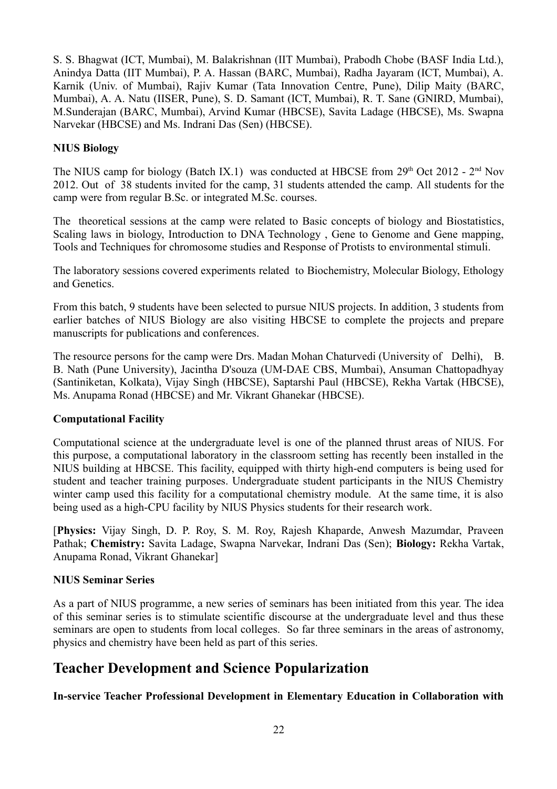S. S. Bhagwat (ICT, Mumbai), M. Balakrishnan (IIT Mumbai), Prabodh Chobe (BASF India Ltd.), Anindya Datta (IIT Mumbai), P. A. Hassan (BARC, Mumbai), Radha Jayaram (ICT, Mumbai), A. Karnik (Univ. of Mumbai), Rajiv Kumar (Tata Innovation Centre, Pune), Dilip Maity (BARC, Mumbai), A. A. Natu (IISER, Pune), S. D. Samant (ICT, Mumbai), R. T. Sane (GNIRD, Mumbai), M.Sunderajan (BARC, Mumbai), Arvind Kumar (HBCSE), Savita Ladage (HBCSE), Ms. Swapna Narvekar (HBCSE) and Ms. Indrani Das (Sen) (HBCSE).

#### **NIUS Biology**

The NIUS camp for biology (Batch IX.1) was conducted at HBCSE from  $29<sup>th</sup>$  Oct 2012 -  $2<sup>nd</sup>$  Nov 2012. Out of 38 students invited for the camp, 31 students attended the camp. All students for the camp were from regular B.Sc. or integrated M.Sc. courses.

The theoretical sessions at the camp were related to Basic concepts of biology and Biostatistics, Scaling laws in biology, Introduction to DNA Technology , Gene to Genome and Gene mapping, Tools and Techniques for chromosome studies and Response of Protists to environmental stimuli.

The laboratory sessions covered experiments related to Biochemistry, Molecular Biology, Ethology and Genetics.

From this batch, 9 students have been selected to pursue NIUS projects. In addition, 3 students from earlier batches of NIUS Biology are also visiting HBCSE to complete the projects and prepare manuscripts for publications and conferences.

The resource persons for the camp were Drs. Madan Mohan Chaturvedi (University of Delhi), B. B. Nath (Pune University), Jacintha D'souza (UM-DAE CBS, Mumbai), Ansuman Chattopadhyay (Santiniketan, Kolkata), Vijay Singh (HBCSE), Saptarshi Paul (HBCSE), Rekha Vartak (HBCSE), Ms. Anupama Ronad (HBCSE) and Mr. Vikrant Ghanekar (HBCSE).

## **Computational Facility**

Computational science at the undergraduate level is one of the planned thrust areas of NIUS. For this purpose, a computational laboratory in the classroom setting has recently been installed in the NIUS building at HBCSE. This facility, equipped with thirty high-end computers is being used for student and teacher training purposes. Undergraduate student participants in the NIUS Chemistry winter camp used this facility for a computational chemistry module. At the same time, it is also being used as a high-CPU facility by NIUS Physics students for their research work.

[**Physics:** Vijay Singh, D. P. Roy, S. M. Roy, Rajesh Khaparde, Anwesh Mazumdar, Praveen Pathak; **Chemistry:** Savita Ladage, Swapna Narvekar, Indrani Das (Sen); **Biology:** Rekha Vartak, Anupama Ronad, Vikrant Ghanekar]

#### **NIUS Seminar Series**

As a part of NIUS programme, a new series of seminars has been initiated from this year. The idea of this seminar series is to stimulate scientific discourse at the undergraduate level and thus these seminars are open to students from local colleges. So far three seminars in the areas of astronomy, physics and chemistry have been held as part of this series.

# **Teacher Development and Science Popularization**

**In-service Teacher Professional Development in Elementary Education in Collaboration with**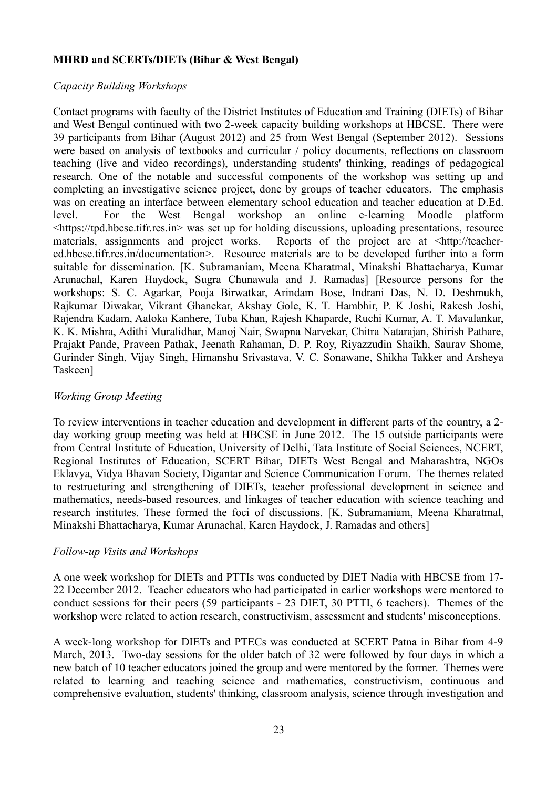#### **MHRD and SCERTs/DIETs (Bihar & West Bengal)**

#### *Capacity Building Workshops*

Contact programs with faculty of the District Institutes of Education and Training (DIETs) of Bihar and West Bengal continued with two 2-week capacity building workshops at HBCSE. There were 39 participants from Bihar (August 2012) and 25 from West Bengal (September 2012). Sessions were based on analysis of textbooks and curricular / policy documents, reflections on classroom teaching (live and video recordings), understanding students' thinking, readings of pedagogical research. One of the notable and successful components of the workshop was setting up and completing an investigative science project, done by groups of teacher educators. The emphasis was on creating an interface between elementary school education and teacher education at D.Ed. level. For the West Bengal workshop an online e-learning Moodle platform <https://tpd.hbcse.tifr.res.in> was set up for holding discussions, uploading presentations, resource materials, assignments and project works. Reports of the project are at <http://teachered.hbcse.tifr.res.in/documentation>. Resource materials are to be developed further into a form suitable for dissemination. [K. Subramaniam, Meena Kharatmal, Minakshi Bhattacharya, Kumar Arunachal, Karen Haydock, Sugra Chunawala and J. Ramadas] [Resource persons for the workshops: S. C. Agarkar, Pooja Birwatkar, Arindam Bose, Indrani Das, N. D. Deshmukh, Rajkumar Diwakar, Vikrant Ghanekar, Akshay Gole, K. T. Hambhir, P. K Joshi, Rakesh Joshi, Rajendra Kadam, Aaloka Kanhere, Tuba Khan, Rajesh Khaparde, Ruchi Kumar, A. T. Mavalankar, K. K. Mishra, Adithi Muralidhar, Manoj Nair, Swapna Narvekar, Chitra Natarajan, Shirish Pathare, Prajakt Pande, Praveen Pathak, Jeenath Rahaman, D. P. Roy, Riyazzudin Shaikh, Saurav Shome, Gurinder Singh, Vijay Singh, Himanshu Srivastava, V. C. Sonawane, Shikha Takker and Arsheya Taskeen]

#### *Working Group Meeting*

To review interventions in teacher education and development in different parts of the country, a 2 day working group meeting was held at HBCSE in June 2012. The 15 outside participants were from Central Institute of Education, University of Delhi, Tata Institute of Social Sciences, NCERT, Regional Institutes of Education, SCERT Bihar, DIETs West Bengal and Maharashtra, NGOs Eklavya, Vidya Bhavan Society, Digantar and Science Communication Forum. The themes related to restructuring and strengthening of DIETs, teacher professional development in science and mathematics, needs-based resources, and linkages of teacher education with science teaching and research institutes. These formed the foci of discussions. [K. Subramaniam, Meena Kharatmal, Minakshi Bhattacharya, Kumar Arunachal, Karen Haydock, J. Ramadas and others]

#### *Follow-up Visits and Workshops*

A one week workshop for DIETs and PTTIs was conducted by DIET Nadia with HBCSE from 17- 22 December 2012. Teacher educators who had participated in earlier workshops were mentored to conduct sessions for their peers (59 participants - 23 DIET, 30 PTTI, 6 teachers). Themes of the workshop were related to action research, constructivism, assessment and students' misconceptions.

A week-long workshop for DIETs and PTECs was conducted at SCERT Patna in Bihar from 4-9 March, 2013. Two-day sessions for the older batch of 32 were followed by four days in which a new batch of 10 teacher educators joined the group and were mentored by the former. Themes were related to learning and teaching science and mathematics, constructivism, continuous and comprehensive evaluation, students' thinking, classroom analysis, science through investigation and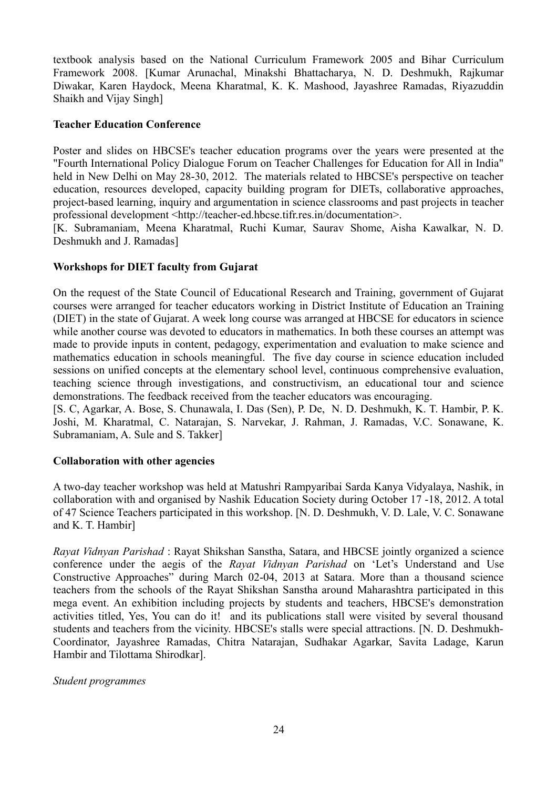textbook analysis based on the National Curriculum Framework 2005 and Bihar Curriculum Framework 2008. [Kumar Arunachal, Minakshi Bhattacharya, N. D. Deshmukh, Rajkumar Diwakar, Karen Haydock, Meena Kharatmal, K. K. Mashood, Jayashree Ramadas, Riyazuddin Shaikh and Vijay Singh]

#### **Teacher Education Conference**

Poster and slides on HBCSE's teacher education programs over the years were presented at the "Fourth International Policy Dialogue Forum on Teacher Challenges for Education for All in India" held in New Delhi on May 28-30, 2012. The materials related to HBCSE's perspective on teacher education, resources developed, capacity building program for DIETs, collaborative approaches, project-based learning, inquiry and argumentation in science classrooms and past projects in teacher professional development <http://teacher-ed.hbcse.tifr.res.in/documentation>.

[K. Subramaniam, Meena Kharatmal, Ruchi Kumar, Saurav Shome, Aisha Kawalkar, N. D. Deshmukh and J. Ramadas]

#### **Workshops for DIET faculty from Gujarat**

On the request of the State Council of Educational Research and Training, government of Gujarat courses were arranged for teacher educators working in District Institute of Education an Training (DIET) in the state of Gujarat. A week long course was arranged at HBCSE for educators in science while another course was devoted to educators in mathematics. In both these courses an attempt was made to provide inputs in content, pedagogy, experimentation and evaluation to make science and mathematics education in schools meaningful. The five day course in science education included sessions on unified concepts at the elementary school level, continuous comprehensive evaluation, teaching science through investigations, and constructivism, an educational tour and science demonstrations. The feedback received from the teacher educators was encouraging.

[S. C, Agarkar, A. Bose, S. Chunawala, I. Das (Sen), P. De, N. D. Deshmukh, K. T. Hambir, P. K. Joshi, M. Kharatmal, C. Natarajan, S. Narvekar, J. Rahman, J. Ramadas, V.C. Sonawane, K. Subramaniam, A. Sule and S. Takker]

#### **Collaboration with other agencies**

A two-day teacher workshop was held at Matushri Rampyaribai Sarda Kanya Vidyalaya, Nashik, in collaboration with and organised by Nashik Education Society during October 17 -18, 2012. A total of 47 Science Teachers participated in this workshop. [N. D. Deshmukh, V. D. Lale, V. C. Sonawane and K. T. Hambir]

*Rayat Vidnyan Parishad* : Rayat Shikshan Sanstha, Satara, and HBCSE jointly organized a science conference under the aegis of the *Rayat Vidnyan Parishad* on 'Let's Understand and Use Constructive Approaches" during March 02-04, 2013 at Satara. More than a thousand science teachers from the schools of the Rayat Shikshan Sanstha around Maharashtra participated in this mega event. An exhibition including projects by students and teachers, HBCSE's demonstration activities titled, Yes, You can do it! and its publications stall were visited by several thousand students and teachers from the vicinity. HBCSE's stalls were special attractions. [N. D. Deshmukh-Coordinator, Jayashree Ramadas, Chitra Natarajan, Sudhakar Agarkar, Savita Ladage, Karun Hambir and Tilottama Shirodkar].

#### *Student programmes*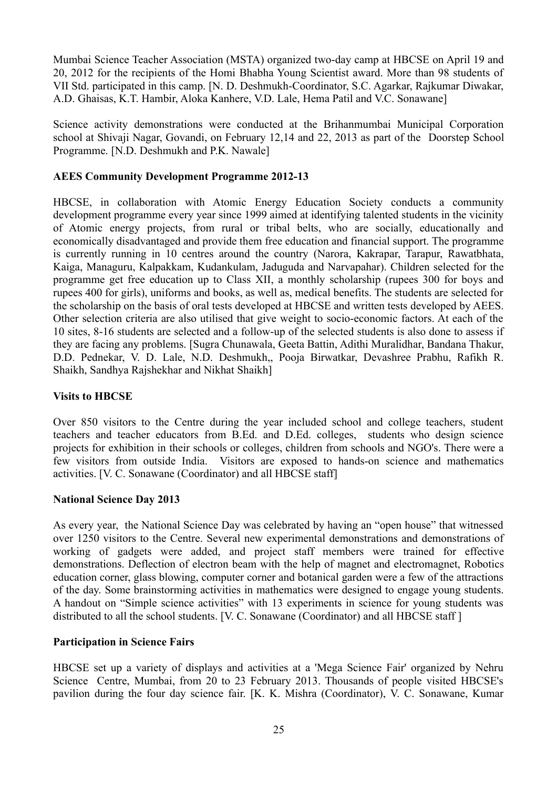Mumbai Science Teacher Association (MSTA) organized two-day camp at HBCSE on April 19 and 20, 2012 for the recipients of the Homi Bhabha Young Scientist award. More than 98 students of VII Std. participated in this camp. [N. D. Deshmukh-Coordinator, S.C. Agarkar, Rajkumar Diwakar, A.D. Ghaisas, K.T. Hambir, Aloka Kanhere, V.D. Lale, Hema Patil and V.C. Sonawane]

Science activity demonstrations were conducted at the Brihanmumbai Municipal Corporation school at Shivaji Nagar, Govandi, on February 12,14 and 22, 2013 as part of the Doorstep School Programme. [N.D. Deshmukh and P.K. Nawale]

#### **AEES Community Development Programme 2012-13**

HBCSE, in collaboration with Atomic Energy Education Society conducts a community development programme every year since 1999 aimed at identifying talented students in the vicinity of Atomic energy projects, from rural or tribal belts, who are socially, educationally and economically disadvantaged and provide them free education and financial support. The programme is currently running in 10 centres around the country (Narora, Kakrapar, Tarapur, Rawatbhata, Kaiga, Managuru, Kalpakkam, Kudankulam, Jaduguda and Narvapahar). Children selected for the programme get free education up to Class XII, a monthly scholarship (rupees 300 for boys and rupees 400 for girls), uniforms and books, as well as, medical benefits. The students are selected for the scholarship on the basis of oral tests developed at HBCSE and written tests developed by AEES. Other selection criteria are also utilised that give weight to socio-economic factors. At each of the 10 sites, 8-16 students are selected and a follow-up of the selected students is also done to assess if they are facing any problems. [Sugra Chunawala, Geeta Battin, Adithi Muralidhar, Bandana Thakur, D.D. Pednekar, V. D. Lale, N.D. Deshmukh,, Pooja Birwatkar, Devashree Prabhu, Rafikh R. Shaikh, Sandhya Rajshekhar and Nikhat Shaikh]

#### **Visits to HBCSE**

Over 850 visitors to the Centre during the year included school and college teachers, student teachers and teacher educators from B.Ed. and D.Ed. colleges, students who design science projects for exhibition in their schools or colleges, children from schools and NGO's. There were a few visitors from outside India. Visitors are exposed to hands-on science and mathematics activities. [V. C. Sonawane (Coordinator) and all HBCSE staff]

#### **National Science Day 2013**

As every year, the National Science Day was celebrated by having an "open house" that witnessed over 1250 visitors to the Centre. Several new experimental demonstrations and demonstrations of working of gadgets were added, and project staff members were trained for effective demonstrations. Deflection of electron beam with the help of magnet and electromagnet, Robotics education corner, glass blowing, computer corner and botanical garden were a few of the attractions of the day. Some brainstorming activities in mathematics were designed to engage young students. A handout on "Simple science activities" with 13 experiments in science for young students was distributed to all the school students. [V. C. Sonawane (Coordinator) and all HBCSE staff ]

#### **Participation in Science Fairs**

HBCSE set up a variety of displays and activities at a 'Mega Science Fair' organized by Nehru Science Centre, Mumbai, from 20 to 23 February 2013. Thousands of people visited HBCSE's pavilion during the four day science fair. [K. K. Mishra (Coordinator), V. C. Sonawane, Kumar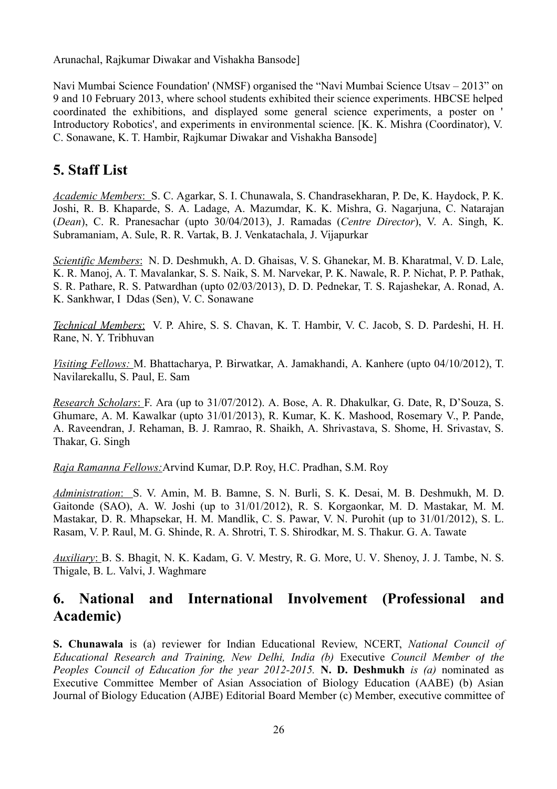Arunachal, Rajkumar Diwakar and Vishakha Bansode]

Navi Mumbai Science Foundation' (NMSF) organised the "Navi Mumbai Science Utsav – 2013" on 9 and 10 February 2013, where school students exhibited their science experiments. HBCSE helped coordinated the exhibitions, and displayed some general science experiments, a poster on ' Introductory Robotics', and experiments in environmental science. [K. K. Mishra (Coordinator), V. C. Sonawane, K. T. Hambir, Rajkumar Diwakar and Vishakha Bansode]

# **5. Staff List**

 *Academic Members* :S. C. Agarkar, S. I. Chunawala, S. Chandrasekharan, P. De, K. Haydock, P. K. Joshi, R. B. Khaparde, S. A. Ladage, A. Mazumdar, K. K. Mishra, G. Nagarjuna, C. Natarajan (*Dean*), C. R. Pranesachar (upto 30/04/2013), J. Ramadas (*Centre Director*), V. A. Singh, K. Subramaniam, A. Sule, R. R. Vartak, B. J. Venkatachala, J. Vijapurkar

 *Scientific Members* : N. D. Deshmukh, A. D. Ghaisas, V. S. Ghanekar, M. B. Kharatmal, V. D. Lale, K. R. Manoj, A. T. Mavalankar, S. S. Naik, S. M. Narvekar, P. K. Nawale, R. P. Nichat, P. P. Pathak, S. R. Pathare, R. S. Patwardhan (upto 02/03/2013), D. D. Pednekar, T. S. Rajashekar, A. Ronad, A. K. Sankhwar, I Ddas (Sen), V. C. Sonawane

 *Technical Members* : V. P. Ahire, S. S. Chavan, K. T. Hambir, V. C. Jacob, S. D. Pardeshi, H. H. Rane, N. Y. Tribhuvan

 *Visiting Fellows:* M. Bhattacharya, P. Birwatkar, A. Jamakhandi, A. Kanhere (upto 04/10/2012), T. Navilarekallu, S. Paul, E. Sam

 *Research Scholars* : F. Ara (up to 31/07/2012). A. Bose, A. R. Dhakulkar, G. Date, R, D'Souza, S. Ghumare, A. M. Kawalkar (upto 31/01/2013), R. Kumar, K. K. Mashood, Rosemary V., P. Pande, A. Raveendran, J. Rehaman, B. J. Ramrao, R. Shaikh, A. Shrivastava, S. Shome, H. Srivastav, S. Thakar, G. Singh

*Raja Ramanna Fellows:*Arvind Kumar, D.P. Roy, H.C. Pradhan, S.M. Roy

 *Administration* :S. V. Amin, M. B. Bamne, S. N. Burli, S. K. Desai, M. B. Deshmukh, M. D. Gaitonde (SAO), A. W. Joshi (up to 31/01/2012), R. S. Korgaonkar, M. D. Mastakar, M. M. Mastakar, D. R. Mhapsekar, H. M. Mandlik, C. S. Pawar, V. N. Purohit (up to 31/01/2012), S. L. Rasam, V. P. Raul, M. G. Shinde, R. A. Shrotri, T. S. Shirodkar, M. S. Thakur. G. A. Tawate

 *Auxiliary* :B. S. Bhagit, N. K. Kadam, G. V. Mestry, R. G. More, U. V. Shenoy, J. J. Tambe, N. S. Thigale, B. L. Valvi, J. Waghmare

# **6. National and International Involvement (Professional and Academic)**

**S. Chunawala** is (a) reviewer for Indian Educational Review, NCERT, *National Council of Educational Research and Training, New Delhi, India (b)* Executive *Council Member of the Peoples Council of Education for the year 2012-2015.* **N. D. Deshmukh** *is (a)* nominated as Executive Committee Member of Asian Association of Biology Education (AABE) (b) Asian Journal of Biology Education (AJBE) Editorial Board Member (c) Member, executive committee of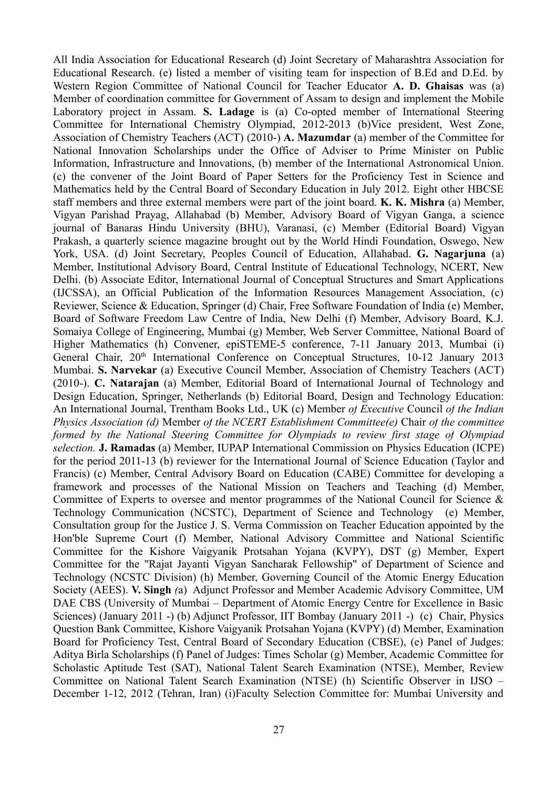All India Association for Educational Research (d) Joint Secretary of Maharashtra Association for Educational Research. (e) listed a member of visiting team for inspection of B.Ed and D.Ed. by Western Region Committee of National Council for Teacher Educator **A. D. Ghaisas** was (a) Member of coordination committee for Government of Assam to design and implement the Mobile Laboratory project in Assam. **S. Ladage** is (a) Co-opted member of International Steering Committee for International Chemistry Olympiad, 2012-2013 (b)Vice president, West Zone, Association of Chemistry Teachers (ACT) (2010-) **A. Mazumdar** (a) member of the Committee for National Innovation Scholarships under the Office of Adviser to Prime Minister on Public Information, Infrastructure and Innovations, (b) member of the International Astronomical Union. (c) the convener of the Joint Board of Paper Setters for the Proficiency Test in Science and Mathematics held by the Central Board of Secondary Education in July 2012. Eight other HBCSE staff members and three external members were part of the joint board. **K. K. Mishra** (a) Member, Vigyan Parishad Prayag, Allahabad (b) Member, Advisory Board of Vigyan Ganga, a science journal of Banaras Hindu University (BHU), Varanasi, (c) Member (Editorial Board) Vigyan Prakash, a quarterly science magazine brought out by the World Hindi Foundation, Oswego, New York, USA. (d) Joint Secretary, Peoples Council of Education, Allahabad. **G. Nagarjuna** (a) Member, Institutional Advisory Board, Central Institute of Educational Technology, NCERT, New Delhi. (b) Associate Editor, International Journal of Conceptual Structures and Smart Applications (IJCSSA), an Official Publication of the Information Resources Management Association, (c) Reviewer, Science & Education, Springer (d) Chair, Free Software Foundation of India (e) Member, Board of Software Freedom Law Centre of India, New Delhi (f) Member, Advisory Board, K.J. Somaiya College of Engineering, Mumbai (g) Member, Web Server Committee, National Board of Higher Mathematics (h) Convener, epiSTEME-5 conference, 7-11 January 2013, Mumbai (i) General Chair, 20<sup>th</sup> International Conference on Conceptual Structures, 10-12 January 2013 Mumbai. **S. Narvekar** (a) Executive Council Member, Association of Chemistry Teachers (ACT) (2010-). **C. Natarajan** (a) Member, Editorial Board of International Journal of Technology and Design Education, Springer, Netherlands (b) Editorial Board, Design and Technology Education: An International Journal, Trentham Books Ltd., UK (c) Member *of Executive* Council *of the Indian Physics Association (d)* Member *of the NCERT Establishment Committee(e)* Chair *of the committee formed by the National Steering Committee for Olympiads to review first stage of Olympiad selection.* **J. Ramadas** (a) Member, IUPAP International Commission on Physics Education (ICPE) for the period 2011-13 (b) reviewer for the International Journal of Science Education (Taylor and Francis) (c) Member, Central Advisory Board on Education (CABE) Committee for developing a framework and processes of the National Mission on Teachers and Teaching (d) Member, Committee of Experts to oversee and mentor programmes of the National Council for Science & Technology Communication (NCSTC), Department of Science and Technology (e) Member, Consultation group for the Justice J. S. Verma Commission on Teacher Education appointed by the Hon'ble Supreme Court (f) Member, National Advisory Committee and National Scientific Committee for the Kishore Vaigyanik Protsahan Yojana (KVPY), DST (g) Member, Expert Committee for the "Rajat Jayanti Vigyan Sancharak Fellowship" of Department of Science and Technology (NCSTC Division) (h) Member, Governing Council of the Atomic Energy Education Society (AEES). **V. Singh** *(*a) Adjunct Professor and Member Academic Advisory Committee, UM DAE CBS (University of Mumbai – Department of Atomic Energy Centre for Excellence in Basic Sciences) (January 2011 -) (b) Adjunct Professor, IIT Bombay (January 2011 -) (c) Chair, Physics Question Bank Committee, Kishore Vaigyanik Protsahan Yojana (KVPY) (d) Member, Examination Board for Proficiency Test, Central Board of Secondary Education (CBSE), (e) Panel of Judges: Aditya Birla Scholarships (f) Panel of Judges: Times Scholar (g) Member, Academic Committee for Scholastic Aptitude Test (SAT), National Talent Search Examination (NTSE), Member, Review Committee on National Talent Search Examination (NTSE) (h) Scientific Observer in IJSO – December 1-12, 2012 (Tehran, Iran) (i)Faculty Selection Committee for: Mumbai University and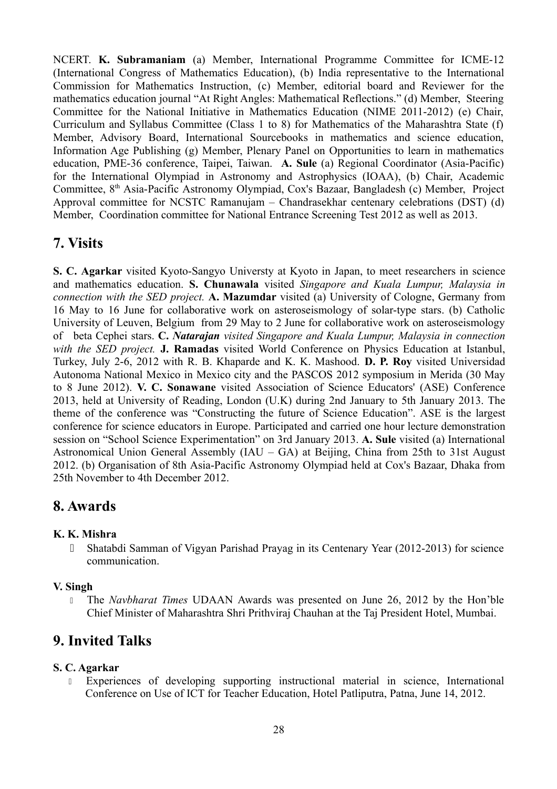NCERT. **K. Subramaniam** (a) Member, International Programme Committee for ICME-12 (International Congress of Mathematics Education), (b) India representative to the International Commission for Mathematics Instruction, (c) Member, editorial board and Reviewer for the mathematics education journal "At Right Angles: Mathematical Reflections." (d) Member, Steering Committee for the National Initiative in Mathematics Education (NIME 2011-2012) (e) Chair, Curriculum and Syllabus Committee (Class 1 to 8) for Mathematics of the Maharashtra State (f) Member, Advisory Board, International Sourcebooks in mathematics and science education, Information Age Publishing (g) Member, Plenary Panel on Opportunities to learn in mathematics education, PME-36 conference, Taipei, Taiwan. **A. Sule** (a) Regional Coordinator (Asia-Pacific) for the International Olympiad in Astronomy and Astrophysics (IOAA), (b) Chair, Academic Committee, 8<sup>th</sup> Asia-Pacific Astronomy Olympiad, Cox's Bazaar, Bangladesh (c) Member, Project Approval committee for NCSTC Ramanujam – Chandrasekhar centenary celebrations (DST) (d) Member, Coordination committee for National Entrance Screening Test 2012 as well as 2013.

# **7. Visits**

**S. C. Agarkar** visited Kyoto-Sangyo Universty at Kyoto in Japan, to meet researchers in science and mathematics education. **S. Chunawala** visited *Singapore and Kuala Lumpur, Malaysia in connection with the SED project.* **A. Mazumdar** visited (a) University of Cologne, Germany from 16 May to 16 June for collaborative work on asteroseismology of solar-type stars. (b) Catholic University of Leuven, Belgium from 29 May to 2 June for collaborative work on asteroseismology of beta Cephei stars. **C.** *Natarajan visited Singapore and Kuala Lumpur, Malaysia in connection with the SED project.* **J. Ramadas** visited World Conference on Physics Education at Istanbul, Turkey, July 2-6, 2012 with R. B. Khaparde and K. K. Mashood. **D. P. Roy** visited Universidad Autonoma National Mexico in Mexico city and the PASCOS 2012 symposium in Merida (30 May to 8 June 2012). **V. C. Sonawane** visited Association of Science Educators' (ASE) Conference 2013, held at University of Reading, London (U.K) during 2nd January to 5th January 2013. The theme of the conference was "Constructing the future of Science Education". ASE is the largest conference for science educators in Europe. Participated and carried one hour lecture demonstration session on "School Science Experimentation" on 3rd January 2013. **A. Sule** visited (a) International Astronomical Union General Assembly (IAU – GA) at Beijing, China from 25th to 31st August 2012. (b) Organisation of 8th Asia-Pacific Astronomy Olympiad held at Cox's Bazaar, Dhaka from 25th November to 4th December 2012.

# **8. Awards**

# **K. K. Mishra**

 Shatabdi Samman of Vigyan Parishad Prayag in its Centenary Year (2012-2013) for science communication.

# **V. Singh**

 The *Navbharat Times* UDAAN Awards was presented on June 26, 2012 by the Hon'ble Chief Minister of Maharashtra Shri Prithviraj Chauhan at the Taj President Hotel, Mumbai.

# **9. Invited Talks**

# **S. C. Agarkar**

 Experiences of developing supporting instructional material in science, International Conference on Use of ICT for Teacher Education, Hotel Patliputra, Patna, June 14, 2012.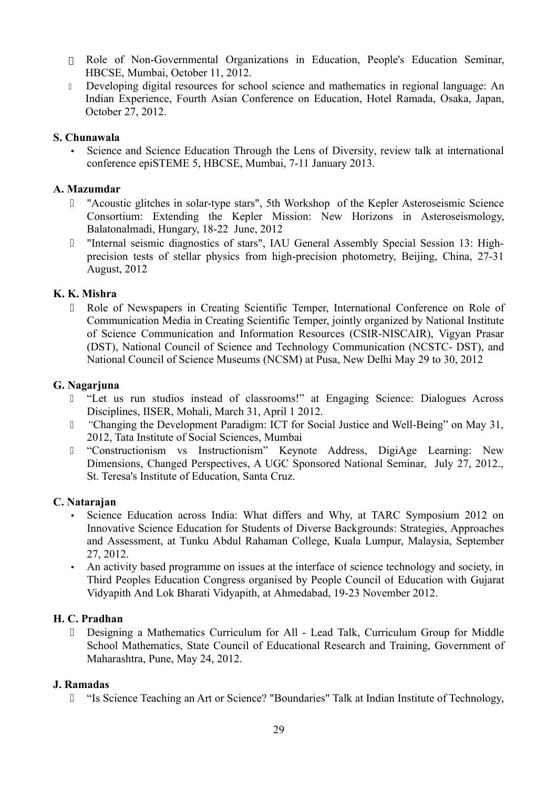- Role of Non-Governmental Organizations in Education, People's Education Seminar, HBCSE, Mumbai, October 11, 2012.
- Developing digital resources for school science and mathematics in regional language: An Indian Experience, Fourth Asian Conference on Education, Hotel Ramada, Osaka, Japan, October 27, 2012.

## **S. Chunawala**

• Science and Science Education Through the Lens of Diversity, review talk at international conference epiSTEME 5, HBCSE, Mumbai, 7-11 January 2013.

## **A. Mazumdar**

- "Acoustic glitches in solar-type stars", 5th Workshop of the Kepler Asteroseismic Science Consortium: Extending the Kepler Mission: New Horizons in Asteroseismology, Balatonalmadi, Hungary, 18-22 June, 2012
- "Internal seismic diagnostics of stars", IAU General Assembly Special Session 13: Highprecision tests of stellar physics from high-precision photometry, Beijing, China, 27-31 August, 2012

## **K. K. Mishra**

 Role of Newspapers in Creating Scientific Temper, International Conference on Role of Communication Media in Creating Scientific Temper, jointly organized by National Institute of Science Communication and Information Resources (CSIR-NISCAIR), Vigyan Prasar (DST), National Council of Science and Technology Communication (NCSTC- DST), and National Council of Science Museums (NCSM) at Pusa, New Delhi May 29 to 30, 2012

## **G. Nagarjuna**

- "Let us run studios instead of classrooms!" at Engaging Science: Dialogues Across Disciplines, IISER, Mohali, March 31, April 1 2012.
- *"*Changing the Development Paradigm: ICT for Social Justice and Well-Being" on May 31, 2012, Tata Institute of Social Sciences, Mumbai
- "Constructionism vs Instructionism" Keynote Address, DigiAge Learning: New Dimensions, Changed Perspectives, A UGC Sponsored National Seminar, July 27, 2012., St. Teresa's Institute of Education, Santa Cruz.

## **C. Natarajan**

- Science Education across India: What differs and Why, at TARC Symposium 2012 on Innovative Science Education for Students of Diverse Backgrounds: Strategies, Approaches and Assessment, at Tunku Abdul Rahaman College, Kuala Lumpur, Malaysia, September 27, 2012.
- An activity based programme on issues at the interface of science technology and society, in Third Peoples Education Congress organised by People Council of Education with Gujarat Vidyapith And Lok Bharati Vidyapith, at Ahmedabad, 19-23 November 2012.

## **H. C. Pradhan**

 Designing a Mathematics Curriculum for All - Lead Talk, Curriculum Group for Middle School Mathematics, State Council of Educational Research and Training, Government of Maharashtra, Pune, May 24, 2012.

## **J. Ramadas**

"Is Science Teaching an Art or Science? "Boundaries" Talk at Indian Institute of Technology,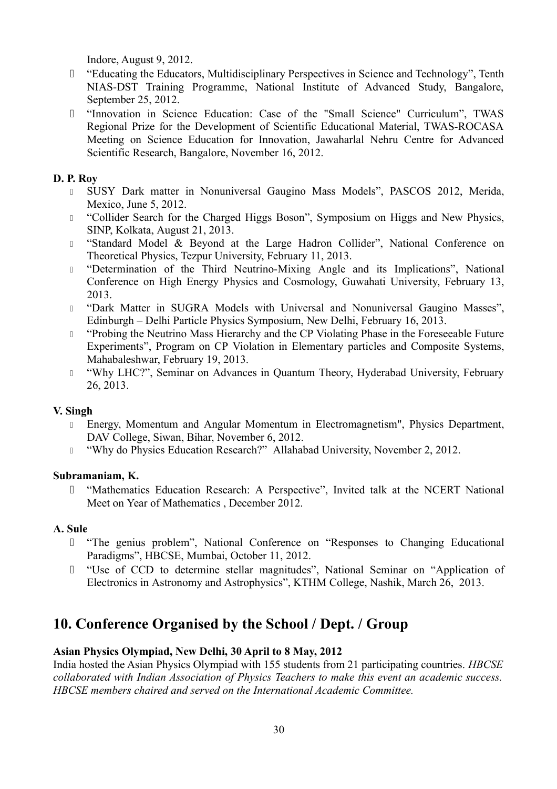Indore, August 9, 2012.

- "Educating the Educators, Multidisciplinary Perspectives in Science and Technology", Tenth NIAS-DST Training Programme, National Institute of Advanced Study, Bangalore, September 25, 2012.
- "Innovation in Science Education: Case of the "Small Science" Curriculum", TWAS Regional Prize for the Development of Scientific Educational Material, TWAS-ROCASA Meeting on Science Education for Innovation, Jawaharlal Nehru Centre for Advanced Scientific Research, Bangalore, November 16, 2012.

## **D. P. Roy**

- I SUSY Dark matter in Nonuniversal Gaugino Mass Models", PASCOS 2012, Merida, Mexico, June 5, 2012.
- <sup>1</sup> "Collider Search for the Charged Higgs Boson", Symposium on Higgs and New Physics, SINP, Kolkata, August 21, 2013.
- "Standard Model & Beyond at the Large Hadron Collider", National Conference on Theoretical Physics, Tezpur University, February 11, 2013.
- <sup>1</sup> "Determination of the Third Neutrino-Mixing Angle and its Implications", National Conference on High Energy Physics and Cosmology, Guwahati University, February 13, 2013.
- "Dark Matter in SUGRA Models with Universal and Nonuniversal Gaugino Masses", Edinburgh – Delhi Particle Physics Symposium, New Delhi, February 16, 2013.
- <sup>1</sup> "Probing the Neutrino Mass Hierarchy and the CP Violating Phase in the Foreseeable Future Experiments", Program on CP Violation in Elementary particles and Composite Systems, Mahabaleshwar, February 19, 2013.
- <sup>1</sup> "Why LHC?", Seminar on Advances in Quantum Theory, Hyderabad University, February 26, 2013.

## **V. Singh**

- Energy, Momentum and Angular Momentum in Electromagnetism", Physics Department, DAV College, Siwan, Bihar, November 6, 2012.
- <sup>1</sup> "Why do Physics Education Research?" Allahabad University, November 2, 2012.

## **Subramaniam, K.**

 "Mathematics Education Research: A Perspective", Invited talk at the NCERT National Meet on Year of Mathematics , December 2012.

## **A. Sule**

- "The genius problem", National Conference on "Responses to Changing Educational Paradigms", HBCSE, Mumbai, October 11, 2012.
- "Use of CCD to determine stellar magnitudes", National Seminar on "Application of Electronics in Astronomy and Astrophysics", KTHM College, Nashik, March 26, 2013.

# **10. Conference Organised by the School / Dept. / Group**

## **Asian Physics Olympiad, New Delhi, 30 April to 8 May, 2012**

India hosted the Asian Physics Olympiad with 155 students from 21 participating countries. *HBCSE collaborated with Indian Association of Physics Teachers to make this event an academic success. HBCSE members chaired and served on the International Academic Committee.*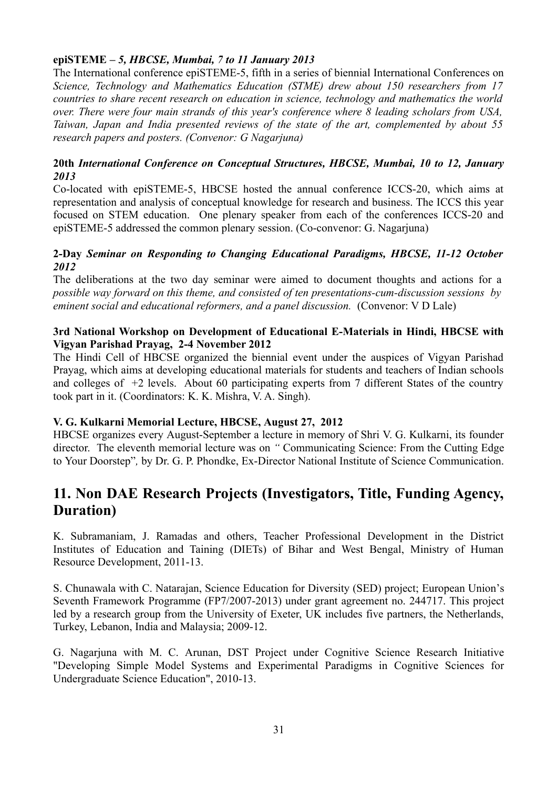## **epiSTEME** *– 5, HBCSE, Mumbai, 7 to 11 January 2013*

The International conference epiSTEME-5, fifth in a series of biennial International Conferences on *Science, Technology and Mathematics Education (STME) drew about 150 researchers from 17 countries to share recent research on education in science, technology and mathematics the world over. There were four main strands of this year's conference where 8 leading scholars from USA, Taiwan, Japan and India presented reviews of the state of the art, complemented by about 55 research papers and posters. (Convenor: G Nagarjuna)*

## **20th** *International Conference on Conceptual Structures, HBCSE, Mumbai, 10 to 12, January 2013*

Co-located with epiSTEME-5, HBCSE hosted the annual conference ICCS-20, which aims at representation and analysis of conceptual knowledge for research and business. The ICCS this year focused on STEM education. One plenary speaker from each of the conferences ICCS-20 and epiSTEME-5 addressed the common plenary session. (Co-convenor: G. Nagarjuna)

#### **2-Day** *Seminar on Responding to Changing Educational Paradigms, HBCSE, 11-12 October 2012*

The deliberations at the two day seminar were aimed to document thoughts and actions for a *possible way forward on this theme, and consisted of ten presentations-cum-discussion sessions by eminent social and educational reformers, and a panel discussion.* (Convenor: V D Lale)

#### **3rd National Workshop on Development of Educational E-Materials in Hindi, HBCSE with Vigyan Parishad Prayag, 2-4 November 2012**

The Hindi Cell of HBCSE organized the biennial event under the auspices of Vigyan Parishad Prayag, which aims at developing educational materials for students and teachers of Indian schools and colleges of +2 levels. About 60 participating experts from 7 different States of the country took part in it. (Coordinators: K. K. Mishra, V. A. Singh).

## **V. G. Kulkarni Memorial Lecture, HBCSE, August 27, 2012**

HBCSE organizes every August-September a lecture in memory of Shri V. G. Kulkarni, its founder director. The eleventh memorial lecture was on *"* Communicating Science: From the Cutting Edge to Your Doorstep"*,* by Dr. G. P. Phondke, Ex-Director National Institute of Science Communication.

# **11. Non DAE Research Projects (Investigators, Title, Funding Agency, Duration)**

K. Subramaniam, J. Ramadas and others, Teacher Professional Development in the District Institutes of Education and Taining (DIETs) of Bihar and West Bengal, Ministry of Human Resource Development, 2011-13.

S. Chunawala with C. Natarajan, Science Education for Diversity (SED) project; European Union's Seventh Framework Programme (FP7/2007-2013) under grant agreement no. 244717. This project led by a research group from the University of Exeter, UK includes five partners, the Netherlands, Turkey, Lebanon, India and Malaysia; 2009-12.

G. Nagarjuna with M. C. Arunan, DST Project under Cognitive Science Research Initiative "Developing Simple Model Systems and Experimental Paradigms in Cognitive Sciences for Undergraduate Science Education", 2010-13.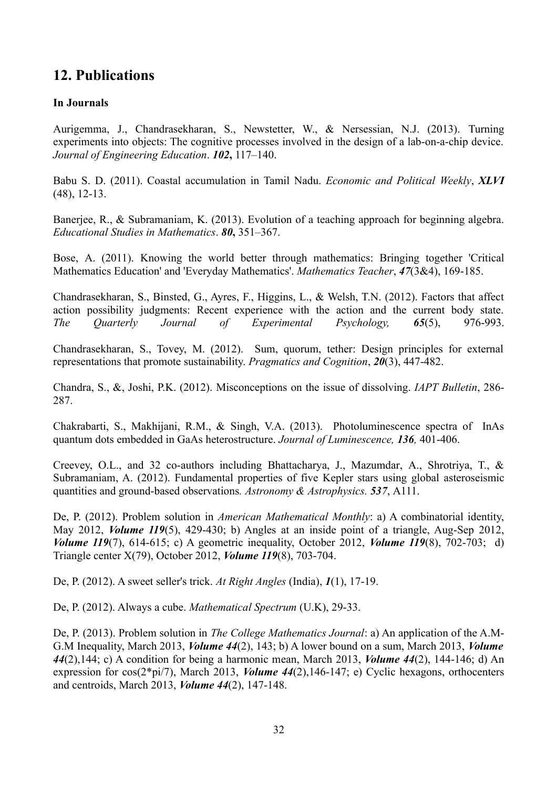# **12. Publications**

## **In Journals**

Aurigemma, J., Chandrasekharan, S., Newstetter, W., & Nersessian, N.J. (2013). Turning experiments into objects: The cognitive processes involved in the design of a lab-on-a-chip device. *Journal of Engineering Education*. *102***,** 117–140.

Babu S. D. (2011). Coastal accumulation in Tamil Nadu. *Economic and Political Weekly*, *XLVI* (48), 12-13.

Banerjee, R., & Subramaniam, K. (2013). Evolution of a teaching approach for beginning algebra. *Educational Studies in Mathematics*. *80***,** 351–367.

Bose, A. (2011). Knowing the world better through mathematics: Bringing together 'Critical Mathematics Education' and 'Everyday Mathematics'. *Mathematics Teacher*, *47*(3&4), 169-185.

Chandrasekharan, S., Binsted, G., Ayres, F., Higgins, L., & Welsh, T.N. (2012). Factors that affect action possibility judgments: Recent experience with the action and the current body state. *The Quarterly Journal of Experimental Psychology, 65*(5), 976-993.

Chandrasekharan, S., Tovey, M. (2012). Sum, quorum, tether: Design principles for external representations that promote sustainability. *Pragmatics and Cognition*, *20*(3), 447-482.

Chandra, S., &, Joshi, P.K. (2012). Misconceptions on the issue of dissolving. *IAPT Bulletin*, 286- 287.

Chakrabarti, S., Makhijani, R.M., & Singh, V.A. (2013). Photoluminescence spectra of InAs quantum dots embedded in GaAs heterostructure. *Journal of Luminescence, 136,* 401-406.

Creevey, O.L., and 32 co-authors including Bhattacharya, J., Mazumdar, A., Shrotriya, T., & Subramaniam, A. (2012). Fundamental properties of five Kepler stars using global asteroseismic quantities and ground-based observations*. Astronomy & Astrophysics. 537*, A111.

De, P. (2012). Problem solution in *American Mathematical Monthly*: a) A combinatorial identity, May 2012, *Volume 119*(5), 429-430; b) Angles at an inside point of a triangle, Aug-Sep 2012, *Volume 119*(7), 614-615; c) A geometric inequality, October 2012, *Volume 119*(8), 702-703; d) Triangle center X(79), October 2012, *Volume 119*(8), 703-704.

De, P. (2012). A sweet seller's trick. *At Right Angles* (India), *1*(1), 17-19.

De, P. (2012). Always a cube. *Mathematical Spectrum* (U.K), 29-33.

De, P. (2013). Problem solution in *The College Mathematics Journal*: a) An application of the A.M-G.M Inequality, March 2013, *Volume 44*(2), 143; b) A lower bound on a sum, March 2013, *Volume 44*(2),144; c) A condition for being a harmonic mean, March 2013, *Volume 44*(2), 144-146; d) An expression for cos(2\*pi/7), March 2013, *Volume 44*(2),146-147; e) Cyclic hexagons, orthocenters and centroids, March 2013, *Volume 44*(2), 147-148.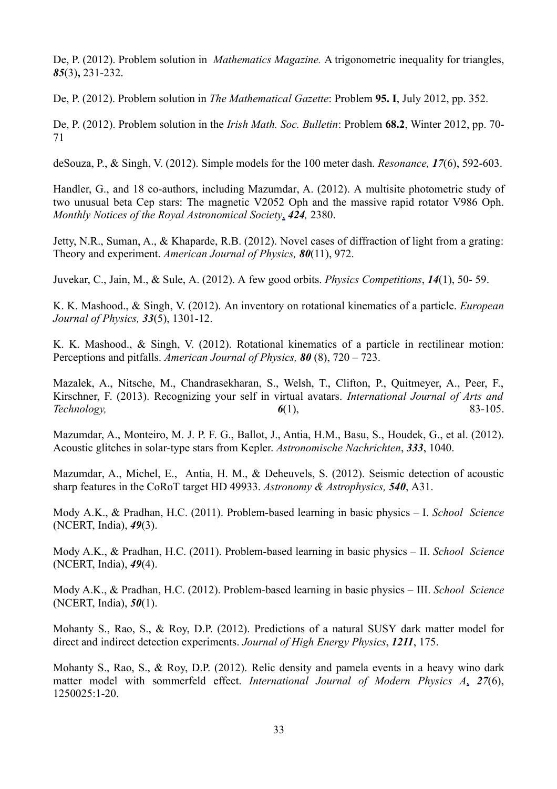De, P. (2012). Problem solution in *Mathematics Magazine.* A trigonometric inequality for triangles, *85*(3)**,** 231-232.

De, P. (2012). Problem solution in *The Mathematical Gazette*: Problem **95. I**, July 2012, pp. 352.

De, P. (2012). Problem solution in the *Irish Math. Soc. Bulletin*: Problem **68.2**, Winter 2012, pp. 70- 71

deSouza, P., & Singh, V. (2012). Simple models for the 100 meter dash. *Resonance, 17*(6), 592-603.

Handler, G., and 18 co-authors, including Mazumdar, A. (2012). A multisite photometric study of two unusual beta Cep stars: The magnetic V2052 Oph and the massive rapid rotator V986 Oph. *Monthly Notices of the Royal Astronomical Society*[,](http://adsabs.harvard.edu/abs/2012MNRAS.424.2380H) *424,* 2380.

Jetty, N.R., Suman, A., & Khaparde, R.B. (2012). Novel cases of diffraction of light from a grating: Theory and experiment. *American Journal of Physics, 80*(11), 972.

Juvekar, C., Jain, M., & Sule, A. (2012). A few good orbits. *Physics Competitions*, *14*(1), 50- 59.

K. K. Mashood., & Singh, V. (2012). An inventory on rotational kinematics of a particle. *European Journal of Physics, 33*(5), 1301-12.

K. K. Mashood., & Singh, V. (2012). Rotational kinematics of a particle in rectilinear motion: Perceptions and pitfalls. *American Journal of Physics, 80* (8), 720 – 723.

Mazalek, A., Nitsche, M., Chandrasekharan, S., Welsh, T., Clifton, P., Quitmeyer, A., Peer, F., Kirschner, F. (2013). Recognizing your self in virtual avatars. *International Journal of Arts and Technology, 6*(1), 83-105.

Mazumdar, A., Monteiro, M. J. P. F. G., Ballot, J., Antia, H.M., Basu, S., Houdek, G., et al. (2012). Acoustic glitches in solar-type stars from Kepler. *Astronomische Nachrichten*, *333*, 1040.

Mazumdar, A., Michel, E., Antia, H. M., & Deheuvels, S. (2012). Seismic detection of acoustic sharp features in the CoRoT target HD 49933. *Astronomy & Astrophysics, 540*, A31.

Mody A.K., & Pradhan, H.C. (2011). Problem-based learning in basic physics – I. *School Science* (NCERT, India), *49*(3).

Mody A.K., & Pradhan, H.C. (2011). Problem-based learning in basic physics – II. *School Science* (NCERT, India), *49*(4).

Mody A.K., & Pradhan, H.C. (2012). Problem-based learning in basic physics – III. *School Science* (NCERT, India), *50*(1).

Mohanty S., Rao, S., & Roy, D.P. (2012). Predictions of a natural SUSY dark matter model for direct and indirect detection experiments. *Journal of High Energy Physics*, *1211*, 175.

Mohanty S., Rao, S., & Roy, D.P. (2012). Relic density and pamela events in a heavy wino dark matter model with sommerfeld effect. *International Journal of Modern Physics A*[,](http://www.worldscientific.com/doi/abs/10.1142/S0217751X1250025X) *27*(6), 1250025:1-20.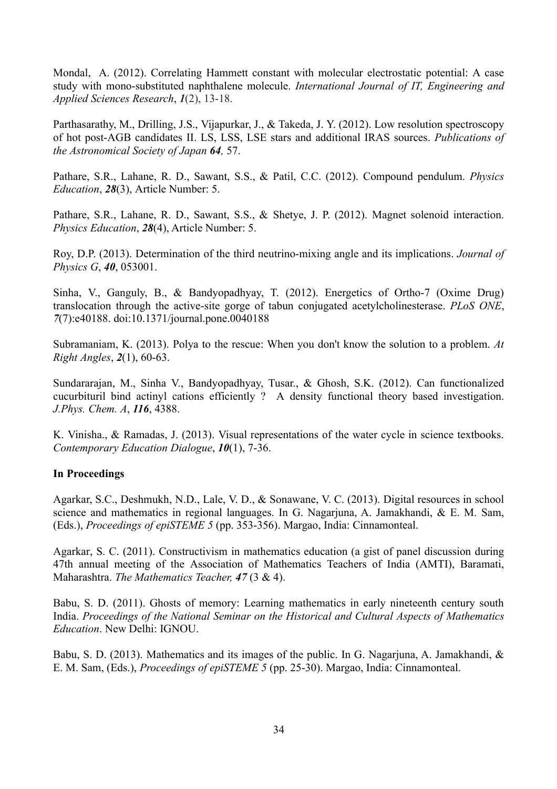Mondal, A. (2012). Correlating Hammett constant with molecular electrostatic potential: A case study with mono-substituted naphthalene molecule. *International Journal of IT, Engineering and Applied Sciences Research*, *1*(2), 13-18.

Parthasarathy, M., Drilling, J.S., Vijapurkar, J., & Takeda, J. Y. (2012). Low resolution spectroscopy of hot post-AGB candidates II. LS, LSS, LSE stars and additional IRAS sources. *Publications of the Astronomical Society of Japan 64,* 57.

Pathare, S.R., Lahane, R. D., Sawant, S.S., & Patil, C.C. (2012). Compound pendulum. *Physics Education*, *28*(3), Article Number: 5.

Pathare, S.R., Lahane, R. D., Sawant, S.S., & Shetye, J. P. (2012). Magnet solenoid interaction. *Physics Education*, *28*(4), Article Number: 5.

Roy, D.P. (2013). Determination of the third neutrino-mixing angle and its implications. *Journal of Physics G*, *40*, 053001.

Sinha, V., Ganguly, B., & Bandyopadhyay, T. (2012). Energetics of Ortho-7 (Oxime Drug) translocation through the active-site gorge of tabun conjugated acetylcholinesterase. *PLoS ONE*, *7*(7):e40188. doi:10.1371/journal.pone.0040188

Subramaniam, K. (2013). Polya to the rescue: When you don't know the solution to a problem. *At Right Angles*, *2*(1), 60-63.

Sundararajan, M., Sinha V., Bandyopadhyay, Tusar., & Ghosh, S.K. (2012). Can functionalized cucurbituril bind actinyl cations efficiently ? A density functional theory based investigation. *J.Phys. Chem. A*, *116*, 4388.

K. Vinisha., & Ramadas, J. (2013). Visual representations of the water cycle in science textbooks. *Contemporary Education Dialogue*, *10*(1), 7-36.

## **In Proceedings**

Agarkar, S.C., Deshmukh, N.D., Lale, V. D., & Sonawane, V. C. (2013). Digital resources in school science and mathematics in regional languages. In G. Nagarjuna, A. Jamakhandi, & E. M. Sam, (Eds.), *Proceedings of epiSTEME 5* (pp. 353-356). Margao, India: Cinnamonteal.

Agarkar, S. C. (2011). Constructivism in mathematics education (a gist of panel discussion during 47th annual meeting of the Association of Mathematics Teachers of India (AMTI), Baramati, Maharashtra. *The Mathematics Teacher, 47* (3 & 4).

Babu, S. D. (2011). Ghosts of memory: Learning mathematics in early nineteenth century south India. *Proceedings of the National Seminar on the Historical and Cultural Aspects of Mathematics Education*. New Delhi: IGNOU.

Babu, S. D. (2013). Mathematics and its images of the public. In G. Nagarjuna, A. Jamakhandi, & E. M. Sam, (Eds.), *Proceedings of epiSTEME 5* (pp. 25-30). Margao, India: Cinnamonteal.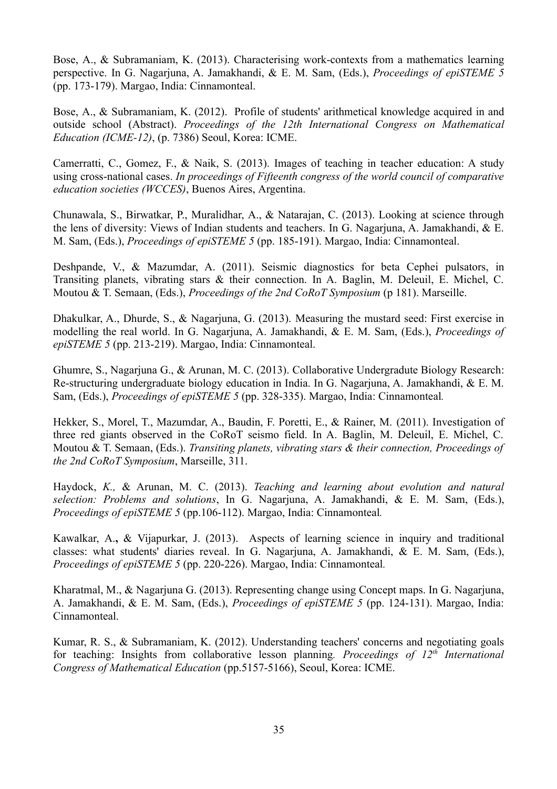Bose, A., & Subramaniam, K. (2013). Characterising work-contexts from a mathematics learning perspective. In G. Nagarjuna, A. Jamakhandi, & E. M. Sam, (Eds.), *Proceedings of epiSTEME 5* (pp. 173-179). Margao, India: Cinnamonteal.

Bose, A., & Subramaniam, K. (2012). Profile of students' arithmetical knowledge acquired in and outside school (Abstract). *Proceedings of the 12th International Congress on Mathematical Education (ICME-12)*, (p. 7386) Seoul, Korea: ICME.

Camerratti, C., Gomez, F., & Naik, S. (2013). Images of teaching in teacher education: A study using cross-national cases. *In proceedings of Fifteenth congress of the world council of comparative education societies (WCCES)*, Buenos Aires, Argentina.

Chunawala, S., Birwatkar, P., Muralidhar, A., & Natarajan, C. (2013). Looking at science through the lens of diversity: Views of Indian students and teachers. In G. Nagarjuna, A. Jamakhandi, & E. M. Sam, (Eds.), *Proceedings of epiSTEME 5* (pp. 185-191). Margao, India: Cinnamonteal.

Deshpande, V., & Mazumdar, A. (2011). Seismic diagnostics for beta Cephei pulsators, in Transiting planets, vibrating stars & their connection. In A. Baglin, M. Deleuil, E. Michel, C. Moutou & T. Semaan, (Eds.), *Proceedings of the 2nd CoRoT Symposium* (p 181). Marseille.

Dhakulkar, A., Dhurde, S., & Nagarjuna, G. (2013). Measuring the mustard seed: First exercise in modelling the real world. In G. Nagarjuna, A. Jamakhandi, & E. M. Sam, (Eds.), *Proceedings of epiSTEME 5* (pp. 213-219). Margao, India: Cinnamonteal.

Ghumre, S., Nagarjuna G., & Arunan, M. C. (2013). Collaborative Undergradute Biology Research: Re-structuring undergraduate biology education in India. In G. Nagarjuna, A. Jamakhandi, & E. M. Sam, (Eds.), *Proceedings of epiSTEME 5* (pp. 328-335). Margao, India: Cinnamonteal*.*

Hekker, S., Morel, T., Mazumdar, A., Baudin, F. Poretti, E., & Rainer, M. (2011). Investigation of three red giants observed in the CoRoT seismo field. In A. Baglin, M. Deleuil, E. Michel, C. Moutou & T. Semaan, (Eds.). *Transiting planets, vibrating stars & their connection, Proceedings of the 2nd CoRoT Symposium*, Marseille, 311.

Haydock, *K.,* & Arunan, M. C. (2013). *Teaching and learning about evolution and natural selection: Problems and solutions*, In G. Nagarjuna, A. Jamakhandi, & E. M. Sam, (Eds.), *Proceedings of epiSTEME 5* (pp.106-112). Margao, India: Cinnamonteal*.*

Kawalkar, A.**,** & Vijapurkar, J. (2013). Aspects of learning science in inquiry and traditional classes: what students' diaries reveal. In G. Nagarjuna, A. Jamakhandi, & E. M. Sam, (Eds.), *Proceedings of epiSTEME 5* (pp. 220-226). Margao, India: Cinnamonteal*.*

Kharatmal, M., & Nagarjuna G. (2013). Representing change using Concept maps. In G. Nagarjuna, A. Jamakhandi, & E. M. Sam, (Eds.), *Proceedings of epiSTEME 5* (pp. 124-131). Margao, India: Cinnamonteal.

Kumar, R. S., & Subramaniam, K. (2012). Understanding teachers' concerns and negotiating goals for teaching: Insights from collaborative lesson planning*. Proceedings of 12th International Congress of Mathematical Education* (pp.5157-5166), Seoul, Korea: ICME.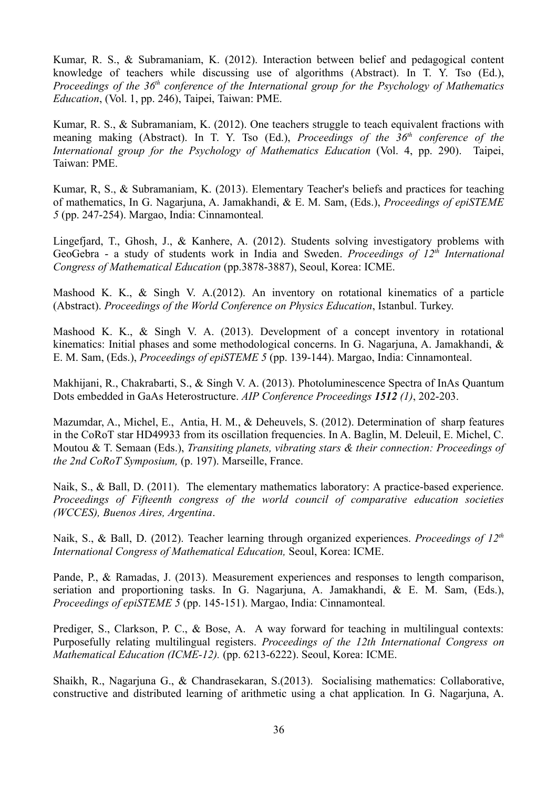Kumar, R. S., & Subramaniam, K. (2012). Interaction between belief and pedagogical content knowledge of teachers while discussing use of algorithms (Abstract). In T. Y. Tso (Ed.), *Proceedings of the 36th conference of the International group for the Psychology of Mathematics Education*, (Vol. 1, pp. 246), Taipei, Taiwan: PME.

Kumar, R. S., & Subramaniam, K. (2012). One teachers struggle to teach equivalent fractions with meaning making (Abstract). In T. Y. Tso (Ed.), *Proceedings of the 36th conference of the International group for the Psychology of Mathematics Education* (Vol. 4, pp. 290). Taipei, Taiwan: PME.

Kumar, R, S., & Subramaniam, K. (2013). Elementary Teacher's beliefs and practices for teaching of mathematics, In G. Nagarjuna, A. Jamakhandi, & E. M. Sam, (Eds.), *Proceedings of epiSTEME 5* (pp. 247-254). Margao, India: Cinnamonteal*.*

Lingefjard, T., Ghosh, J., & Kanhere, A. (2012). Students solving investigatory problems with GeoGebra - a study of students work in India and Sweden. *Proceedings of 12th International Congress of Mathematical Education* (pp.3878-3887), Seoul, Korea: ICME.

Mashood K. K., & Singh V. A.(2012). An inventory on rotational kinematics of a particle (Abstract). *Proceedings of the World Conference on Physics Education*, Istanbul. Turkey.

Mashood K. K., & Singh V. A. (2013). Development of a concept inventory in rotational kinematics: Initial phases and some methodological concerns. In G. Nagariuna, A. Jamakhandi, & E. M. Sam, (Eds.), *Proceedings of epiSTEME 5* (pp. 139-144). Margao, India: Cinnamonteal.

Makhijani, R., Chakrabarti, S., & Singh V. A. (2013). Photoluminescence Spectra of InAs Quantum Dots embedded in GaAs Heterostructure. *AIP Conference Proceedings 1512 (1)*, 202-203.

Mazumdar, A., Michel, E., Antia, H. M., & Deheuvels, S. (2012). Determination of sharp features in the CoRoT star HD49933 from its oscillation frequencies. In A. Baglin, M. Deleuil, E. Michel, C. Moutou & T. Semaan (Eds.), *Transiting planets, vibrating stars & their connection: Proceedings of the 2nd CoRoT Symposium,* (p. 197). Marseille, France.

Naik, S., & Ball, D. (2011). The elementary mathematics laboratory: A practice-based experience. *Proceedings of Fifteenth congress of the world council of comparative education societies (WCCES), Buenos Aires, Argentina*.

Naik, S., & Ball, D. (2012). Teacher learning through organized experiences. *Proceedings of 12th International Congress of Mathematical Education,* Seoul, Korea: ICME.

Pande, P., & Ramadas, J. (2013). Measurement experiences and responses to length comparison, seriation and proportioning tasks. In G. Nagarjuna, A. Jamakhandi, & E. M. Sam, (Eds.), *Proceedings of epiSTEME 5* (pp. 145-151). Margao, India: Cinnamonteal*.*

Prediger, S., Clarkson, P. C., & Bose, A. A way forward for teaching in multilingual contexts: Purposefully relating multilingual registers. *Proceedings of the 12th International Congress on Mathematical Education (ICME-12).* (pp. 6213-6222). Seoul, Korea: ICME.

Shaikh, R., Nagarjuna G., & Chandrasekaran, S.(2013). Socialising mathematics: Collaborative, constructive and distributed learning of arithmetic using a chat application*.* In G. Nagarjuna, A.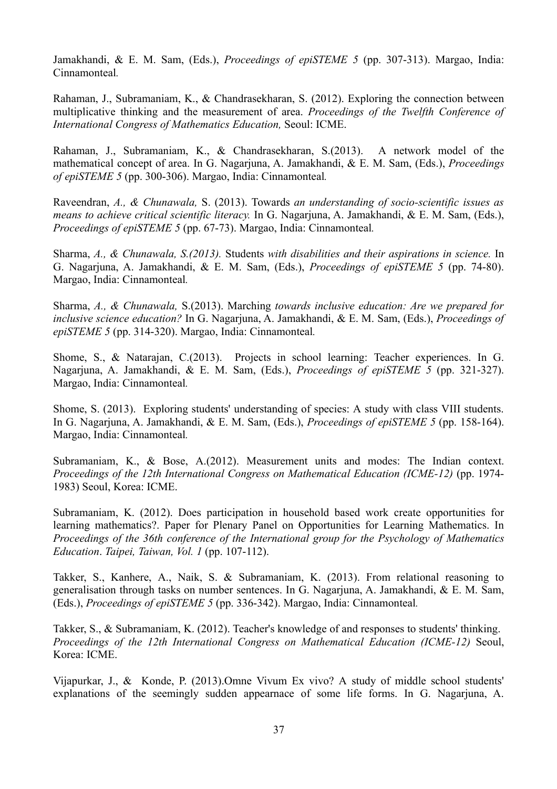Jamakhandi, & E. M. Sam, (Eds.), *Proceedings of epiSTEME 5* (pp. 307-313). Margao, India: Cinnamonteal*.*

Rahaman, J., Subramaniam, K., & Chandrasekharan, S. (2012). Exploring the connection between multiplicative thinking and the measurement of area. *Proceedings of the Twelfth Conference of International Congress of Mathematics Education,* Seoul: ICME.

Rahaman, J., Subramaniam, K., & Chandrasekharan, S.(2013). A network model of the mathematical concept of area. In G. Nagarjuna, A. Jamakhandi, & E. M. Sam, (Eds.), *Proceedings of epiSTEME 5* (pp. 300-306). Margao, India: Cinnamonteal*.*

Raveendran, *A., & Chunawala,* S. (2013). Towards *an understanding of socio-scientific issues as means to achieve critical scientific literacy.* In G. Nagarjuna, A. Jamakhandi, & E. M. Sam, (Eds.), *Proceedings of epiSTEME 5* (pp. 67-73). Margao, India: Cinnamonteal*.*

Sharma, *A., & Chunawala, S.(2013).* Students *with disabilities and their aspirations in science.* In G. Nagarjuna, A. Jamakhandi, & E. M. Sam, (Eds.), *Proceedings of epiSTEME 5* (pp. 74-80). Margao, India: Cinnamonteal*.*

Sharma, *A., & Chunawala,* S.(2013). Marching *towards inclusive education: Are we prepared for inclusive science education?* In G. Nagarjuna, A. Jamakhandi, & E. M. Sam, (Eds.), *Proceedings of epiSTEME 5* (pp. 314-320). Margao, India: Cinnamonteal*.*

Shome, S., & Natarajan, C.(2013). Projects in school learning: Teacher experiences. In G. Nagarjuna, A. Jamakhandi, & E. M. Sam, (Eds.), *Proceedings of epiSTEME 5* (pp. 321-327). Margao, India: Cinnamonteal*.*

Shome, S. (2013). Exploring students' understanding of species: A study with class VIII students. In G. Nagarjuna, A. Jamakhandi, & E. M. Sam, (Eds.), *Proceedings of epiSTEME 5* (pp. 158-164). Margao, India: Cinnamonteal*.*

Subramaniam, K., & Bose, A.(2012). Measurement units and modes: The Indian context. *Proceedings of the 12th International Congress on Mathematical Education (ICME-12)* (pp. 1974- 1983) Seoul, Korea: ICME.

Subramaniam, K. (2012). Does participation in household based work create opportunities for learning mathematics?. Paper for Plenary Panel on Opportunities for Learning Mathematics. In *Proceedings of the 36th conference of the International group for the Psychology of Mathematics Education*. *Taipei, Taiwan, Vol. 1* (pp. 107-112).

Takker, S., Kanhere, A., Naik, S. & Subramaniam, K. (2013). From relational reasoning to generalisation through tasks on number sentences. In G. Nagarjuna, A. Jamakhandi, & E. M. Sam, (Eds.), *Proceedings of epiSTEME 5* (pp. 336-342). Margao, India: Cinnamonteal*.*

Takker, S., & Subramaniam, K. (2012). Teacher's knowledge of and responses to students' thinking. *Proceedings of the 12th International Congress on Mathematical Education (ICME-12)* Seoul, Korea: ICME.

Vijapurkar, J., & Konde, P. (2013).Omne Vivum Ex vivo? A study of middle school students' explanations of the seemingly sudden appearnace of some life forms. In G. Nagarjuna, A.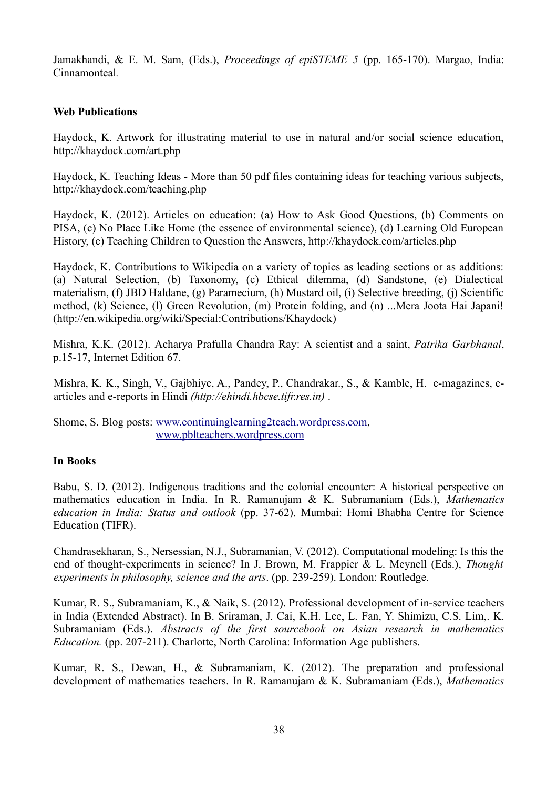Jamakhandi, & E. M. Sam, (Eds.), *Proceedings of epiSTEME 5* (pp. 165-170). Margao, India: Cinnamonteal*.*

#### **Web Publications**

Haydock, K. Artwork for illustrating material to use in natural and/or social science education, http://khaydock.com/art.php

Haydock, K. Teaching Ideas - More than 50 pdf files containing ideas for teaching various subjects, http://khaydock.com/teaching.php

Haydock, K. (2012). Articles on education: (a) How to Ask Good Questions, (b) Comments on PISA, (c) No Place Like Home (the essence of environmental science), (d) Learning Old European History, (e) Teaching Children to Question the Answers, http://khaydock.com/articles.php

Haydock, K. Contributions to Wikipedia on a variety of topics as leading sections or as additions: (a) Natural Selection, (b) Taxonomy, (c) Ethical dilemma, (d) Sandstone, (e) Dialectical materialism, (f) JBD Haldane, (g) Paramecium, (h) Mustard oil, (i) Selective breeding, (j) Scientific method, (k) Science, (l) Green Revolution, (m) Protein folding, and (n) ...Mera Joota Hai Japani! [\(http://en.wikipedia.org/wiki/Special:Contributions/Khaydock\)](http://en.wikipedia.org/wiki/Special:Contributions/Khaydock)

Mishra, K.K. (2012). Acharya Prafulla Chandra Ray: A scientist and a saint, *Patrika Garbhanal*, p.15-17, Internet Edition 67.

Mishra, K. K., Singh, V., Gajbhiye, A., Pandey, P., Chandrakar., S., & Kamble, H. e-magazines, earticles and e-reports in Hindi *(http://ehindi.hbcse.tifr.res.in)* .

Shome, S. Blog posts: [www.continuinglearning2teach.wordpress.com,](http://www.continuinglearning2teach.wordpress.com/) www.pblteachers.wordpress.com

#### **In Books**

Babu, S. D. (2012). Indigenous traditions and the colonial encounter: A historical perspective on mathematics education in India. In R. Ramanujam & K. Subramaniam (Eds.), *Mathematics education in India: Status and outlook* (pp. 37-62). Mumbai: Homi Bhabha Centre for Science Education (TIFR).

Chandrasekharan, S., Nersessian, N.J., Subramanian, V. (2012). Computational modeling: Is this the end of thought-experiments in science? In J. Brown, M. Frappier & L. Meynell (Eds.), *Thought experiments in philosophy, science and the arts*. (pp. 239-259). London: Routledge.

Kumar, R. S., Subramaniam, K., & Naik, S. (2012). Professional development of in-service teachers in India (Extended Abstract). In B. Sriraman, J. Cai, K.H. Lee, L. Fan, Y. Shimizu, C.S. Lim,. K. Subramaniam (Eds.). *Abstracts of the first sourcebook on Asian research in mathematics Education.* (pp. 207-211). Charlotte, North Carolina: Information Age publishers.

Kumar, R. S., Dewan, H., & Subramaniam, K. (2012). The preparation and professional development of mathematics teachers. In R. Ramanujam & K. Subramaniam (Eds.), *Mathematics*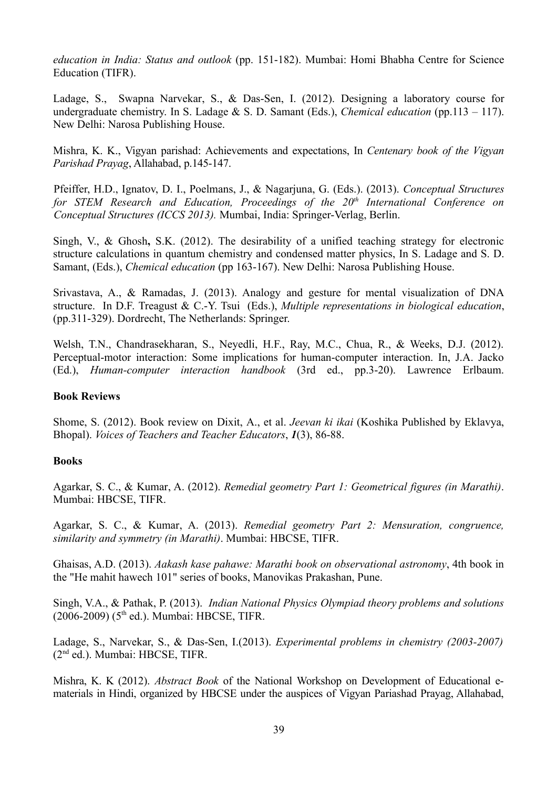*education in India: Status and outlook* (pp. 151-182). Mumbai: Homi Bhabha Centre for Science Education (TIFR).

Ladage, S., Swapna Narvekar, S., & Das-Sen, I. (2012). Designing a laboratory course for undergraduate chemistry. In S. Ladage & S. D. Samant (Eds.), *Chemical education* (pp.113 – 117). New Delhi: Narosa Publishing House.

Mishra, K. K., Vigyan parishad: Achievements and expectations, In *Centenary book of the Vigyan Parishad Prayag*, Allahabad, p.145-147.

Pfeiffer, H.D., Ignatov, D. I., Poelmans, J., & Nagarjuna, G. (Eds.). (2013). *Conceptual Structures for STEM Research and Education, Proceedings of the 20th International Conference on Conceptual Structures (ICCS 2013).* Mumbai, India: Springer-Verlag, Berlin.

Singh, V., & Ghosh**,** S.K. (2012). The desirability of a unified teaching strategy for electronic structure calculations in quantum chemistry and condensed matter physics, In S. Ladage and S. D. Samant, (Eds.), *Chemical education* (pp 163-167). New Delhi: Narosa Publishing House.

Srivastava, A., & Ramadas, J. (2013). Analogy and gesture for mental visualization of DNA structure. In D.F. Treagust & C.-Y. Tsui (Eds.), *Multiple representations in biological education*, (pp.311-329). Dordrecht, The Netherlands: Springer.

Welsh, T.N., Chandrasekharan, S., Neyedli, H.F., Ray, M.C., Chua, R., & Weeks, D.J. (2012). Perceptual-motor interaction: Some implications for human-computer interaction. In, J.A. Jacko (Ed.), *Human-computer interaction handbook* (3rd ed., pp.3-20). Lawrence Erlbaum.

#### **Book Reviews**

Shome, S. (2012). Book review on Dixit, A., et al. *Jeevan ki ikai* (Koshika Published by Eklavya, Bhopal). *Voices of Teachers and Teacher Educators*, *1*(3), 86-88.

#### **Books**

Agarkar, S. C., & Kumar, A. (2012). *Remedial geometry Part 1: Geometrical figures (in Marathi)*. Mumbai: HBCSE, TIFR.

Agarkar, S. C., & Kumar, A. (2013). *Remedial geometry Part 2: Mensuration, congruence, similarity and symmetry (in Marathi)*. Mumbai: HBCSE, TIFR.

Ghaisas, A.D. (2013). *Aakash kase pahawe: Marathi book on observational astronomy*, 4th book in the "He mahit hawech 101" series of books, Manovikas Prakashan, Pune.

Singh, V.A., & Pathak, P. (2013). *Indian National Physics Olympiad theory problems and solutions*  $(2006-2009)$  ( $5<sup>th</sup>$  ed.). Mumbai: HBCSE, TIFR.

Ladage, S., Narvekar, S., & Das-Sen, I.(2013). *Experimental problems in chemistry (2003-2007)* (2nd ed.). Mumbai: HBCSE, TIFR.

Mishra, K. K (2012). *Abstract Book* of the National Workshop on Development of Educational ematerials in Hindi, organized by HBCSE under the auspices of Vigyan Pariashad Prayag, Allahabad,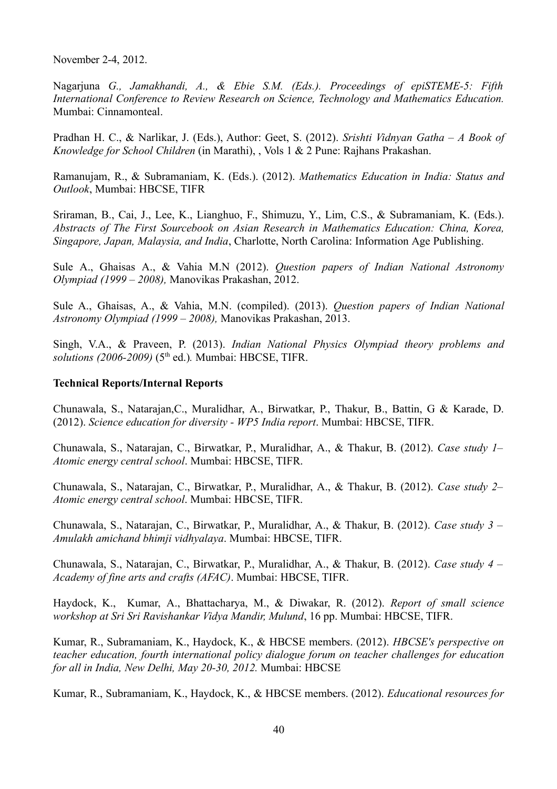November 2-4, 2012.

Nagarjuna *G., Jamakhandi, A., & Ebie S.M. (Eds.). Proceedings of epiSTEME-5: Fifth International Conference to Review Research on Science, Technology and Mathematics Education.* Mumbai: Cinnamonteal.

Pradhan H. C., & Narlikar, J. (Eds.), Author: Geet, S. (2012). *Srishti Vidnyan Gatha – A Book of Knowledge for School Children* (in Marathi), , Vols 1 & 2 Pune: Rajhans Prakashan.

Ramanujam, R., & Subramaniam, K. (Eds.). (2012). *Mathematics Education in India: Status and Outlook*, Mumbai: HBCSE, TIFR

Sriraman, B., Cai, J., Lee, K., Lianghuo, F., Shimuzu, Y., Lim, C.S., & Subramaniam, K. (Eds.). *Abstracts of The First Sourcebook on Asian Research in Mathematics Education: China, Korea, Singapore, Japan, Malaysia, and India*, Charlotte, North Carolina: Information Age Publishing.

Sule A., Ghaisas A., & Vahia M.N (2012). *Question papers of Indian National Astronomy Olympiad (1999 – 2008),* Manovikas Prakashan, 2012.

Sule A., Ghaisas, A., & Vahia, M.N. (compiled). (2013). *Question papers of Indian National Astronomy Olympiad (1999 – 2008),* Manovikas Prakashan, 2013.

Singh, V.A., & Praveen, P. (2013). *Indian National Physics Olympiad theory problems and solutions (2006-2009)* (5th ed.)*.* Mumbai: HBCSE, TIFR.

#### **Technical Reports/Internal Reports**

Chunawala, S., Natarajan,C., Muralidhar, A., Birwatkar, P., Thakur, B., Battin, G & Karade, D. (2012). *Science education for diversity - WP5 India report*. Mumbai: HBCSE, TIFR.

Chunawala, S., Natarajan, C., Birwatkar, P., Muralidhar, A., & Thakur, B. (2012). *Case study 1– Atomic energy central school*. Mumbai: HBCSE, TIFR.

Chunawala, S., Natarajan, C., Birwatkar, P., Muralidhar, A., & Thakur, B. (2012). *Case study 2– Atomic energy central school*. Mumbai: HBCSE, TIFR.

Chunawala, S., Natarajan, C., Birwatkar, P., Muralidhar, A., & Thakur, B. (2012). *Case study 3 – Amulakh amichand bhimji vidhyalaya*. Mumbai: HBCSE, TIFR.

Chunawala, S., Natarajan, C., Birwatkar, P., Muralidhar, A., & Thakur, B. (2012). *Case study 4 – Academy of fine arts and crafts (AFAC)*. Mumbai: HBCSE, TIFR.

Haydock, K., Kumar, A., Bhattacharya, M., & Diwakar, R. (2012). *Report of small science workshop at Sri Sri Ravishankar Vidya Mandir, Mulund*, 16 pp. Mumbai: HBCSE, TIFR.

Kumar, R., Subramaniam, K., Haydock, K., & HBCSE members. (2012). *HBCSE's perspective on teacher education, fourth international policy dialogue forum on teacher challenges for education for all in India, New Delhi, May 20-30, 2012.* Mumbai: HBCSE

Kumar, R., Subramaniam, K., Haydock, K., & HBCSE members. (2012). *Educational resources for*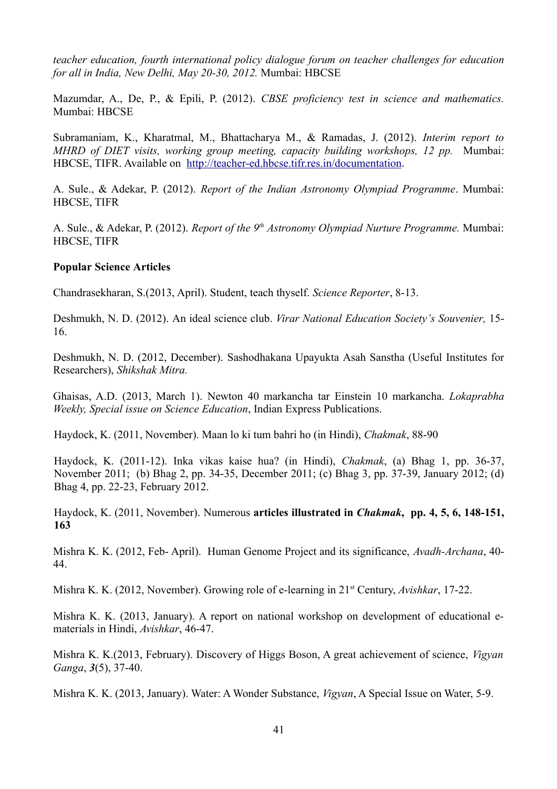*teacher education, fourth international policy dialogue forum on teacher challenges for education for all in India, New Delhi, May 20-30, 2012.* Mumbai: HBCSE

Mazumdar, A., De, P., & Epili, P. (2012). *CBSE proficiency test in science and mathematics.* Mumbai: HBCSE

Subramaniam, K., Kharatmal, M., Bhattacharya M., & Ramadas, J. (2012). *Interim report to MHRD of DIET visits, working group meeting, capacity building workshops, 12 pp.* Mumbai: HBCSE, TIFR. Available on [http://teacher-ed.hbcse.tifr.res.in/documentation.](http://teacher-ed.hbcse.tifr.res.in/documentation)

A. Sule., & Adekar, P. (2012). *Report of the Indian Astronomy Olympiad Programme*. Mumbai: HBCSE, TIFR

A. Sule., & Adekar, P. (2012). *Report of the 9 th Astronomy Olympiad Nurture Programme.* Mumbai: HBCSE, TIFR

#### **Popular Science Articles**

Chandrasekharan, S.(2013, April). Student, teach thyself. *Science Reporter*, 8-13.

Deshmukh, N. D. (2012). An ideal science club. *Virar National Education Society's Souvenier,* 15- 16.

Deshmukh, N. D. (2012, December). Sashodhakana Upayukta Asah Sanstha (Useful Institutes for Researchers), *Shikshak Mitra.*

Ghaisas, A.D. (2013, March 1). Newton 40 markancha tar Einstein 10 markancha. *Lokaprabha Weekly, Special issue on Science Education*, Indian Express Publications.

Haydock, K. (2011, November). Maan lo ki tum bahri ho (in Hindi), *Chakmak*, 88-90

Haydock, K. (2011-12). Inka vikas kaise hua? (in Hindi), *Chakmak*, (a) Bhag 1, pp. 36-37, November 2011; (b) Bhag 2, pp. 34-35, December 2011; (c) Bhag 3, pp. 37-39, January 2012; (d) Bhag 4, pp. 22-23, February 2012.

Haydock, K. (2011, November). Numerous **articles illustrated in** *Chakmak***, pp. 4, 5, 6, 148-151, 163**

Mishra K. K. (2012, Feb- April). Human Genome Project and its significance, *Avadh-Archana*, 40- 44.

Mishra K. K. (2012, November). Growing role of e-learning in 21st Century, *Avishkar*, 17-22.

Mishra K. K. (2013, January). A report on national workshop on development of educational ematerials in Hindi, *Avishkar*, 46-47.

Mishra K. K.(2013, February). Discovery of Higgs Boson, A great achievement of science, *Vigyan Ganga*, *3*(5), 37-40.

Mishra K. K. (2013, January). Water: A Wonder Substance, *Vigyan*, A Special Issue on Water, 5-9.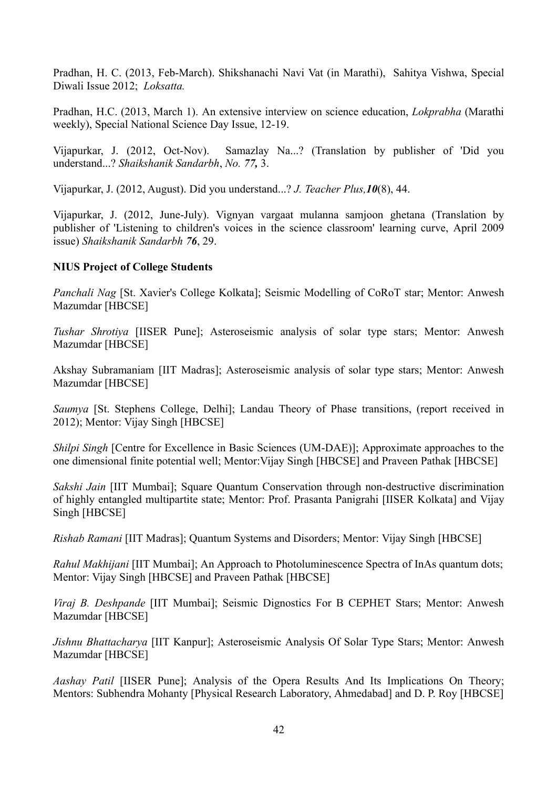Pradhan, H. C. (2013, Feb-March). Shikshanachi Navi Vat (in Marathi), Sahitya Vishwa, Special Diwali Issue 2012; *Loksatta.*

Pradhan, H.C. (2013, March 1). An extensive interview on science education, *Lokprabha* (Marathi weekly), Special National Science Day Issue, 12-19.

Vijapurkar, J. (2012, Oct-Nov). Samazlay Na...? (Translation by publisher of 'Did you understand...? *Shaikshanik Sandarbh*, *No. 77,* 3.

Vijapurkar, J. (2012, August). Did you understand...? *J. Teacher Plus,10*(8), 44.

Vijapurkar, J. (2012, June-July). Vignyan vargaat mulanna samjoon ghetana (Translation by publisher of 'Listening to children's voices in the science classroom' learning curve, April 2009 issue) *Shaikshanik Sandarbh 76*, 29.

#### **NIUS Project of College Students**

*Panchali Nag* [St. Xavier's College Kolkata]; Seismic Modelling of CoRoT star; Mentor: Anwesh Mazumdar [HBCSE]

*Tushar Shrotiya* [IISER Pune]; Asteroseismic analysis of solar type stars; Mentor: Anwesh Mazumdar [HBCSE]

Akshay Subramaniam [IIT Madras]; Asteroseismic analysis of solar type stars; Mentor: Anwesh Mazumdar [HBCSE]

*Saumya* [St. Stephens College, Delhi]; Landau Theory of Phase transitions, (report received in 2012); Mentor: Vijay Singh [HBCSE]

*Shilpi Singh* [Centre for Excellence in Basic Sciences (UM-DAE)]; Approximate approaches to the one dimensional finite potential well; Mentor:Vijay Singh [HBCSE] and Praveen Pathak [HBCSE]

*Sakshi Jain* [IIT Mumbai]; Square Quantum Conservation through non-destructive discrimination of highly entangled multipartite state; Mentor: Prof. Prasanta Panigrahi [IISER Kolkata] and Vijay Singh [HBCSE]

*Rishab Ramani* [IIT Madras]; Quantum Systems and Disorders; Mentor: Vijay Singh [HBCSE]

*Rahul Makhijani* [IIT Mumbai]; An Approach to Photoluminescence Spectra of InAs quantum dots; Mentor: Vijay Singh [HBCSE] and Praveen Pathak [HBCSE]

*Viraj B. Deshpande* [IIT Mumbai]; Seismic Dignostics For B CEPHET Stars; Mentor: Anwesh Mazumdar [HBCSE]

*Jishnu Bhattacharya* [IIT Kanpur]; Asteroseismic Analysis Of Solar Type Stars; Mentor: Anwesh Mazumdar [HBCSE]

*Aashay Patil* [IISER Pune]; Analysis of the Opera Results And Its Implications On Theory; Mentors: Subhendra Mohanty [Physical Research Laboratory, Ahmedabad] and D. P. Roy [HBCSE]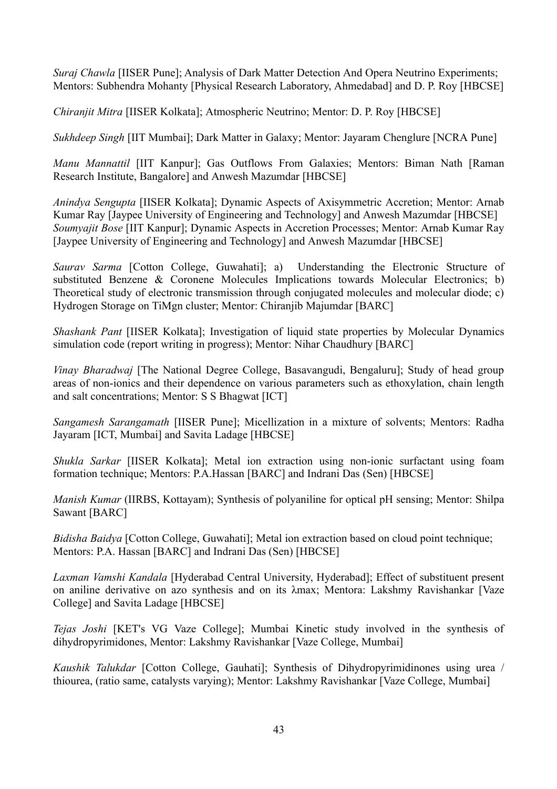*Suraj Chawla* [IISER Pune]; Analysis of Dark Matter Detection And Opera Neutrino Experiments; Mentors: Subhendra Mohanty [Physical Research Laboratory, Ahmedabad] and D. P. Roy [HBCSE]

*Chiranjit Mitra* [IISER Kolkata]; Atmospheric Neutrino; Mentor: D. P. Roy [HBCSE]

*Sukhdeep Singh* [IIT Mumbai]; Dark Matter in Galaxy; Mentor: Jayaram Chenglure [NCRA Pune]

*Manu Mannattil* [IIT Kanpur]; Gas Outflows From Galaxies; Mentors: Biman Nath [Raman Research Institute, Bangalore] and Anwesh Mazumdar [HBCSE]

*Anindya Sengupta* [IISER Kolkata]; Dynamic Aspects of Axisymmetric Accretion; Mentor: Arnab Kumar Ray [Jaypee University of Engineering and Technology] and Anwesh Mazumdar [HBCSE] *Soumyajit Bose* [IIT Kanpur]; Dynamic Aspects in Accretion Processes; Mentor: Arnab Kumar Ray [Jaypee University of Engineering and Technology] and Anwesh Mazumdar [HBCSE]

*Saurav Sarma* [Cotton College, Guwahati]; a) Understanding the Electronic Structure of substituted Benzene & Coronene Molecules Implications towards Molecular Electronics; b) Theoretical study of electronic transmission through conjugated molecules and molecular diode; c) Hydrogen Storage on TiMgn cluster; Mentor: Chiranjib Majumdar [BARC]

*Shashank Pant* [IISER Kolkata]; Investigation of liquid state properties by Molecular Dynamics simulation code (report writing in progress); Mentor: Nihar Chaudhury [BARC]

*Vinay Bharadwaj* [The National Degree College, Basavangudi, Bengaluru]; Study of head group areas of non-ionics and their dependence on various parameters such as ethoxylation, chain length and salt concentrations; Mentor: S S Bhagwat [ICT]

*Sangamesh Sarangamath* [IISER Pune]; Micellization in a mixture of solvents; Mentors: Radha Jayaram [ICT, Mumbai] and Savita Ladage [HBCSE]

*Shukla Sarkar* [IISER Kolkata]; Metal ion extraction using non-ionic surfactant using foam formation technique; Mentors: P.A.Hassan [BARC] and Indrani Das (Sen) [HBCSE]

*Manish Kumar* (IIRBS, Kottayam); Synthesis of polyaniline for optical pH sensing; Mentor: Shilpa Sawant [BARC]

*Bidisha Baidya* [Cotton College, Guwahati]; Metal ion extraction based on cloud point technique; Mentors: P.A. Hassan [BARC] and Indrani Das (Sen) [HBCSE]

*Laxman Vamshi Kandala* [Hyderabad Central University, Hyderabad]; Effect of substituent present on aniline derivative on azo synthesis and on its λmax; Mentora: Lakshmy Ravishankar [Vaze College] and Savita Ladage [HBCSE]

*Tejas Joshi* [KET's VG Vaze College]; Mumbai Kinetic study involved in the synthesis of dihydropyrimidones, Mentor: Lakshmy Ravishankar [Vaze College, Mumbai]

*Kaushik Talukdar* [Cotton College, Gauhati]; Synthesis of Dihydropyrimidinones using urea / thiourea, (ratio same, catalysts varying); Mentor: Lakshmy Ravishankar [Vaze College, Mumbai]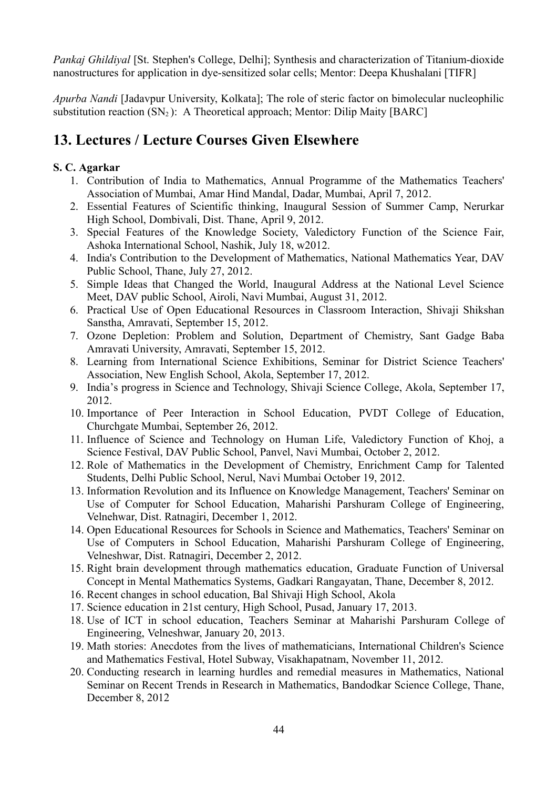*Pankaj Ghildiyal* [St. Stephen's College, Delhi]; Synthesis and characterization of Titanium-dioxide nanostructures for application in dye-sensitized solar cells; Mentor: Deepa Khushalani [TIFR]

*Apurba Nandi* [Jadavpur University, Kolkata]; The role of steric factor on bimolecular nucleophilic substitution reaction  $(SN_2)$ : A Theoretical approach; Mentor: Dilip Maity [BARC]

# **13. Lectures / Lecture Courses Given Elsewhere**

# **S. C. Agarkar**

- 1. Contribution of India to Mathematics, Annual Programme of the Mathematics Teachers' Association of Mumbai, Amar Hind Mandal, Dadar, Mumbai, April 7, 2012.
- 2. Essential Features of Scientific thinking, Inaugural Session of Summer Camp, Nerurkar High School, Dombivali, Dist. Thane, April 9, 2012.
- 3. Special Features of the Knowledge Society, Valedictory Function of the Science Fair, Ashoka International School, Nashik, July 18, w2012.
- 4. India's Contribution to the Development of Mathematics, National Mathematics Year, DAV Public School, Thane, July 27, 2012.
- 5. Simple Ideas that Changed the World, Inaugural Address at the National Level Science Meet, DAV public School, Airoli, Navi Mumbai, August 31, 2012.
- 6. Practical Use of Open Educational Resources in Classroom Interaction, Shivaji Shikshan Sanstha, Amravati, September 15, 2012.
- 7. Ozone Depletion: Problem and Solution, Department of Chemistry, Sant Gadge Baba Amravati University, Amravati, September 15, 2012.
- 8. Learning from International Science Exhibitions, Seminar for District Science Teachers' Association, New English School, Akola, September 17, 2012.
- 9. India's progress in Science and Technology, Shivaji Science College, Akola, September 17, 2012.
- 10. Importance of Peer Interaction in School Education, PVDT College of Education, Churchgate Mumbai, September 26, 2012.
- 11. Influence of Science and Technology on Human Life, Valedictory Function of Khoj, a Science Festival, DAV Public School, Panvel, Navi Mumbai, October 2, 2012.
- 12. Role of Mathematics in the Development of Chemistry, Enrichment Camp for Talented Students, Delhi Public School, Nerul, Navi Mumbai October 19, 2012.
- 13. Information Revolution and its Influence on Knowledge Management, Teachers' Seminar on Use of Computer for School Education, Maharishi Parshuram College of Engineering, Velnehwar, Dist. Ratnagiri, December 1, 2012.
- 14. Open Educational Resources for Schools in Science and Mathematics, Teachers' Seminar on Use of Computers in School Education, Maharishi Parshuram College of Engineering, Velneshwar, Dist. Ratnagiri, December 2, 2012.
- 15. Right brain development through mathematics education, Graduate Function of Universal Concept in Mental Mathematics Systems, Gadkari Rangayatan, Thane, December 8, 2012.
- 16. Recent changes in school education, Bal Shivaji High School, Akola
- 17. Science education in 21st century, High School, Pusad, January 17, 2013.
- 18. Use of ICT in school education, Teachers Seminar at Maharishi Parshuram College of Engineering, Velneshwar, January 20, 2013.
- 19. Math stories: Anecdotes from the lives of mathematicians, International Children's Science and Mathematics Festival, Hotel Subway, Visakhapatnam, November 11, 2012.
- 20. Conducting research in learning hurdles and remedial measures in Mathematics, National Seminar on Recent Trends in Research in Mathematics, Bandodkar Science College, Thane, December 8, 2012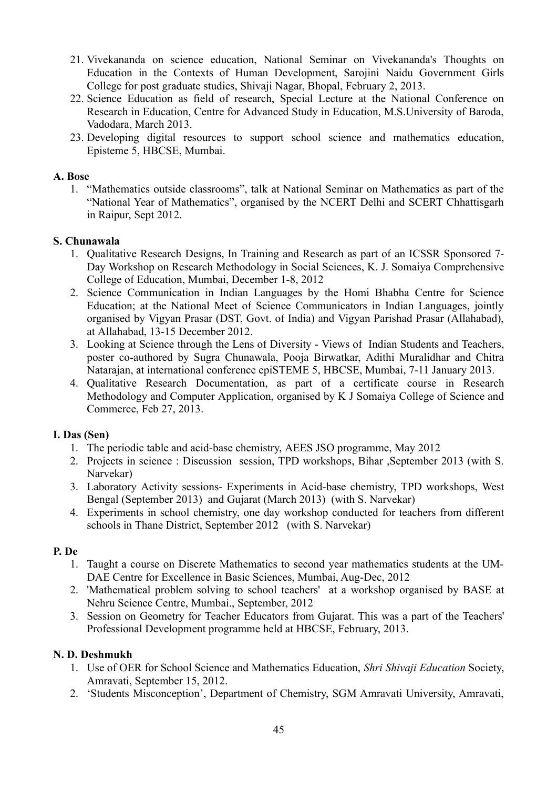- 21. Vivekananda on science education, National Seminar on Vivekananda's Thoughts on Education in the Contexts of Human Development, Sarojini Naidu Government Girls College for post graduate studies, Shivaji Nagar, Bhopal, February 2, 2013.
- 22. Science Education as field of research, Special Lecture at the National Conference on Research in Education, Centre for Advanced Study in Education, M.S.University of Baroda, Vadodara, March 2013.
- 23. Developing digital resources to support school science and mathematics education, Episteme 5, HBCSE, Mumbai.

#### **A. Bose**

1. "Mathematics outside classrooms", talk at National Seminar on Mathematics as part of the "National Year of Mathematics", organised by the NCERT Delhi and SCERT Chhattisgarh in Raipur, Sept 2012.

#### **S. Chunawala**

- 1. Qualitative Research Designs, In Training and Research as part of an ICSSR Sponsored 7- Day Workshop on Research Methodology in Social Sciences, K. J. Somaiya Comprehensive College of Education, Mumbai, December 1-8, 2012
- 2. Science Communication in Indian Languages by the Homi Bhabha Centre for Science Education; at the National Meet of Science Communicators in Indian Languages, jointly organised by Vigyan Prasar (DST, Govt. of India) and Vigyan Parishad Prasar (Allahabad), at Allahabad, 13-15 December 2012.
- 3. Looking at Science through the Lens of Diversity Views of Indian Students and Teachers, poster co-authored by Sugra Chunawala, Pooja Birwatkar, Adithi Muralidhar and Chitra Natarajan, at international conference epiSTEME 5, HBCSE, Mumbai, 7-11 January 2013.
- 4. Qualitative Research Documentation, as part of a certificate course in Research Methodology and Computer Application, organised by K J Somaiya College of Science and Commerce, Feb 27, 2013.

## **I. Das (Sen)**

- 1. The periodic table and acid-base chemistry, AEES JSO programme, May 2012
- 2. Projects in science : Discussion session, TPD workshops, Bihar ,September 2013 (with S. Narvekar)
- 3. Laboratory Activity sessions- Experiments in Acid-base chemistry, TPD workshops, West Bengal (September 2013) and Gujarat (March 2013) (with S. Narvekar)
- 4. Experiments in school chemistry, one day workshop conducted for teachers from different schools in Thane District, September 2012 (with S. Narvekar)

## **P. De**

- 1. Taught a course on Discrete Mathematics to second year mathematics students at the UM-DAE Centre for Excellence in Basic Sciences, Mumbai, Aug-Dec, 2012
- 2. 'Mathematical problem solving to school teachers' at a workshop organised by BASE at Nehru Science Centre, Mumbai., September, 2012
- 3. Session on Geometry for Teacher Educators from Gujarat. This was a part of the Teachers' Professional Development programme held at HBCSE, February, 2013.

## **N. D. Deshmukh**

- 1. Use of OER for School Science and Mathematics Education, *Shri Shivaji Education* Society, Amravati, September 15, 2012.
- 2. 'Students Misconception', Department of Chemistry, SGM Amravati University, Amravati,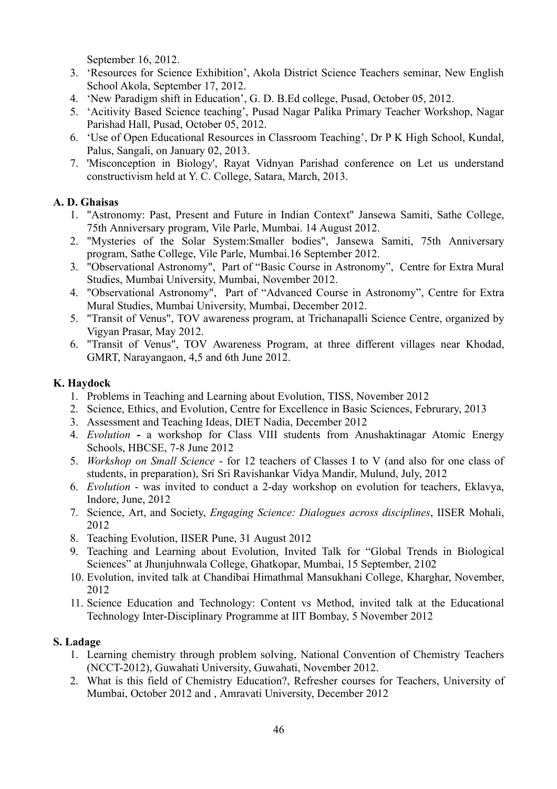September 16, 2012.

- 3. 'Resources for Science Exhibition', Akola District Science Teachers seminar, New English School Akola, September 17, 2012.
- 4. 'New Paradigm shift in Education', G. D. B.Ed college, Pusad, October 05, 2012.
- 5. 'Acitivity Based Science teaching', Pusad Nagar Palika Primary Teacher Workshop, Nagar Parishad Hall, Pusad, October 05, 2012.
- 6. 'Use of Open Educational Resources in Classroom Teaching', Dr P K High School, Kundal, Palus, Sangali, on January 02, 2013.
- 7. 'Misconception in Biology', Rayat Vidnyan Parishad conference on Let us understand constructivism held at Y. C. College, Satara, March, 2013.

## **A. D. Ghaisas**

- 1. "Astronomy: Past, Present and Future in Indian Context" Jansewa Samiti, Sathe College, 75th Anniversary program, Vile Parle, Mumbai. 14 August 2012.
- 2. "Mysteries of the Solar System:Smaller bodies", Jansewa Samiti, 75th Anniversary program, Sathe College, Vile Parle, Mumbai.16 September 2012.
- 3. "Observational Astronomy", Part of "Basic Course in Astronomy", Centre for Extra Mural Studies, Mumbai University, Mumbai, November 2012.
- 4. "Observational Astronomy", Part of "Advanced Course in Astronomy", Centre for Extra Mural Studies, Mumbai University, Mumbai, December 2012.
- 5. "Transit of Venus", TOV awareness program, at Trichanapalli Science Centre, organized by Vigyan Prasar, May 2012.
- 6. "Transit of Venus", TOV Awareness Program, at three different villages near Khodad, GMRT, Narayangaon, 4,5 and 6th June 2012.

## **K. Haydock**

- 1. Problems in Teaching and Learning about Evolution, TISS, November 2012
- 2. Science, Ethics, and Evolution, Centre for Excellence in Basic Sciences, Februrary, 2013
- 3. Assessment and Teaching Ideas, DIET Nadia, December 2012
- 4. *Evolution* **-** a workshop for Class VIII students from Anushaktinagar Atomic Energy Schools, HBCSE, 7-8 June 2012
- 5. *Workshop on Small Science* for 12 teachers of Classes I to V (and also for one class of students, in preparation), Sri Sri Ravishankar Vidya Mandir, Mulund, July, 2012
- 6. *Evolution* was invited to conduct a 2-day workshop on evolution for teachers, Eklavya, Indore, June, 2012
- 7. Science, Art, and Society, *Engaging Science: Dialogues across disciplines*, IISER Mohali, 2012
- 8. Teaching Evolution, IISER Pune, 31 August 2012
- 9. Teaching and Learning about Evolution, Invited Talk for "Global Trends in Biological Sciences" at Jhunjuhnwala College, Ghatkopar, Mumbai, 15 September, 2102
- 10. Evolution, invited talk at Chandibai Himathmal Mansukhani College, Kharghar, November, 2012
- 11. Science Education and Technology: Content vs Method, invited talk at the Educational Technology Inter-Disciplinary Programme at IIT Bombay, 5 November 2012

# **S. Ladage**

- 1. Learning chemistry through problem solving, National Convention of Chemistry Teachers (NCCT-2012), Guwahati University, Guwahati, November 2012.
- 2. What is this field of Chemistry Education?, Refresher courses for Teachers, University of Mumbai, October 2012 and , Amravati University, December 2012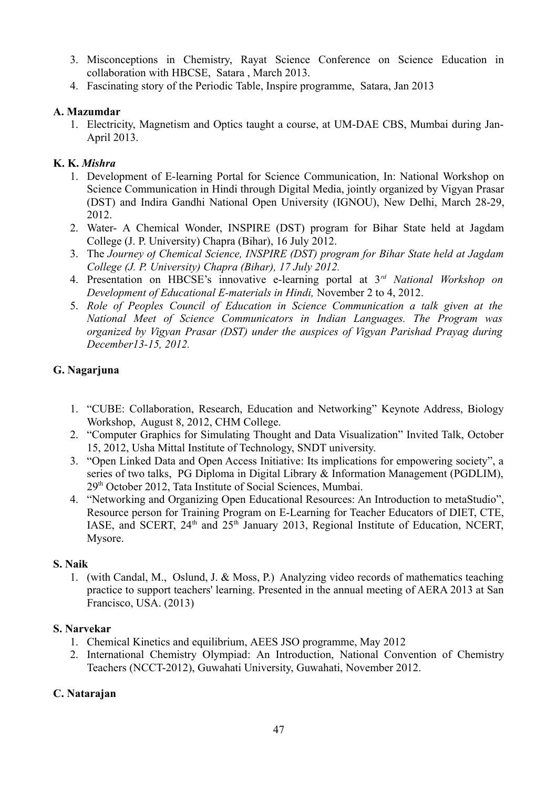- 3. Misconceptions in Chemistry, Rayat Science Conference on Science Education in collaboration with HBCSE, Satara , March 2013.
- 4. Fascinating story of the Periodic Table, Inspire programme, Satara, Jan 2013

## **A. Mazumdar**

1. Electricity, Magnetism and Optics taught a course, at UM-DAE CBS, Mumbai during Jan-April 2013.

# **K. K.** *Mishra*

- 1. Development of E-learning Portal for Science Communication, In: National Workshop on Science Communication in Hindi through Digital Media, jointly organized by Vigyan Prasar (DST) and Indira Gandhi National Open University (IGNOU), New Delhi, March 28-29, 2012.
- 2. Water- A Chemical Wonder, INSPIRE (DST) program for Bihar State held at Jagdam College (J. P. University) Chapra (Bihar), 16 July 2012.
- 3. The *Journey of Chemical Science, INSPIRE (DST) program for Bihar State held at Jagdam College (J. P. University) Chapra (Bihar), 17 July 2012.*
- 4. Presentation on HBCSE's innovative e-learning portal at 3*rd National Workshop on Development of Educational E-materials in Hindi,* November 2 to 4, 2012.
- 5. *Role of Peoples Council of Education in Science Communication a talk given at the National Meet of Science Communicators in Indian Languages. The Program was organized by Vigyan Prasar (DST) under the auspices of Vigyan Parishad Prayag during December13-15, 2012.*

# **G. Nagarjuna**

- 1. "CUBE: Collaboration, Research, Education and Networking" Keynote Address, Biology Workshop, August 8, 2012, CHM College.
- 2. "Computer Graphics for Simulating Thought and Data Visualization" Invited Talk, October 15, 2012, Usha Mittal Institute of Technology, SNDT university.
- 3. "Open Linked Data and Open Access Initiative: Its implications for empowering society", a series of two talks, PG Diploma in Digital Library & Information Management (PGDLIM), 29th October 2012, Tata Institute of Social Sciences, Mumbai.
- 4. "Networking and Organizing Open Educational Resources: An Introduction to metaStudio", Resource person for Training Program on E-Learning for Teacher Educators of DIET, CTE, IASE, and SCERT, 24<sup>th</sup> and 25<sup>th</sup> January 2013, Regional Institute of Education, NCERT, Mysore.

# **S. Naik**

1. (with Candal, M., Oslund, J. & Moss, P.) Analyzing video records of mathematics teaching practice to support teachers' learning. Presented in the annual meeting of AERA 2013 at San Francisco, USA. (2013)

# **S. Narvekar**

- 1. Chemical Kinetics and equilibrium, AEES JSO programme, May 2012
- 2. International Chemistry Olympiad: An Introduction, National Convention of Chemistry Teachers (NCCT-2012), Guwahati University, Guwahati, November 2012.

# **C. Natarajan**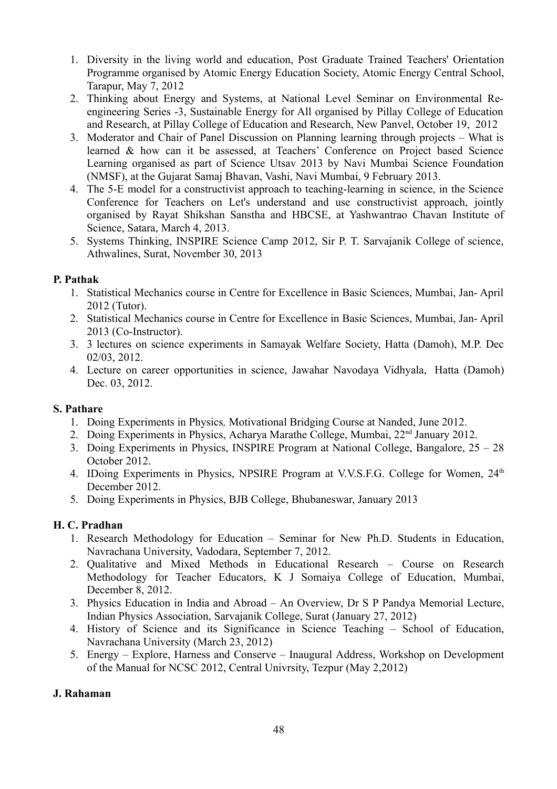- 1. Diversity in the living world and education, Post Graduate Trained Teachers' Orientation Programme organised by Atomic Energy Education Society, Atomic Energy Central School, Tarapur, May 7, 2012
- 2. Thinking about Energy and Systems, at National Level Seminar on Environmental Reengineering Series -3, Sustainable Energy for All organised by Pillay College of Education and Research, at Pillay College of Education and Research, New Panvel, October 19, 2012
- 3. Moderator and Chair of Panel Discussion on Planning learning through projects What is learned & how can it be assessed, at Teachers' Conference on Project based Science Learning organised as part of Science Utsav 2013 by Navi Mumbai Science Foundation (NMSF), at the Gujarat Samaj Bhavan, Vashi, Navi Mumbai, 9 February 2013.
- 4. The 5-E model for a constructivist approach to teaching-learning in science, in the Science Conference for Teachers on Let's understand and use constructivist approach, jointly organised by Rayat Shikshan Sanstha and HBCSE, at Yashwantrao Chavan Institute of Science, Satara, March 4, 2013.
- 5. Systems Thinking, INSPIRE Science Camp 2012, Sir P. T. Sarvajanik College of science, Athwalines, Surat, November 30, 2013

## **P. Pathak**

- 1. Statistical Mechanics course in Centre for Excellence in Basic Sciences, Mumbai, Jan- April 2012 (Tutor).
- 2. Statistical Mechanics course in Centre for Excellence in Basic Sciences, Mumbai, Jan- April 2013 (Co-Instructor).
- 3. 3 lectures on science experiments in Samayak Welfare Society, Hatta (Damoh), M.P. Dec 02/03, 2012.
- 4. Lecture on career opportunities in science, Jawahar Navodaya Vidhyala, Hatta (Damoh) Dec. 03, 2012.

# **S. Pathare**

- 1. Doing Experiments in Physics*,* Motivational Bridging Course at Nanded, June 2012.
- 2. Doing Experiments in Physics, Acharya Marathe College, Mumbai, 22nd January 2012.
- 3. Doing Experiments in Physics, INSPIRE Program at National College, Bangalore, 25 28 October 2012.
- 4. IDoing Experiments in Physics, NPSIRE Program at V.V.S.F.G. College for Women,  $24<sup>th</sup>$ December 2012.
- 5. Doing Experiments in Physics, BJB College, Bhubaneswar, January 2013

# **H. C. Pradhan**

- 1. Research Methodology for Education Seminar for New Ph.D. Students in Education, Navrachana University, Vadodara, September 7, 2012.
- 2. Qualitative and Mixed Methods in Educational Research Course on Research Methodology for Teacher Educators, K J Somaiya College of Education, Mumbai, December 8, 2012.
- 3. Physics Education in India and Abroad An Overview, Dr S P Pandya Memorial Lecture, Indian Physics Association, Sarvajanik College, Surat (January 27, 2012)
- 4. History of Science and its Significance in Science Teaching School of Education, Navrachana University (March 23, 2012)
- 5. Energy Explore, Harness and Conserve Inaugural Address, Workshop on Development of the Manual for NCSC 2012, Central Univrsity, Tezpur (May 2,2012)

## **J. Rahaman**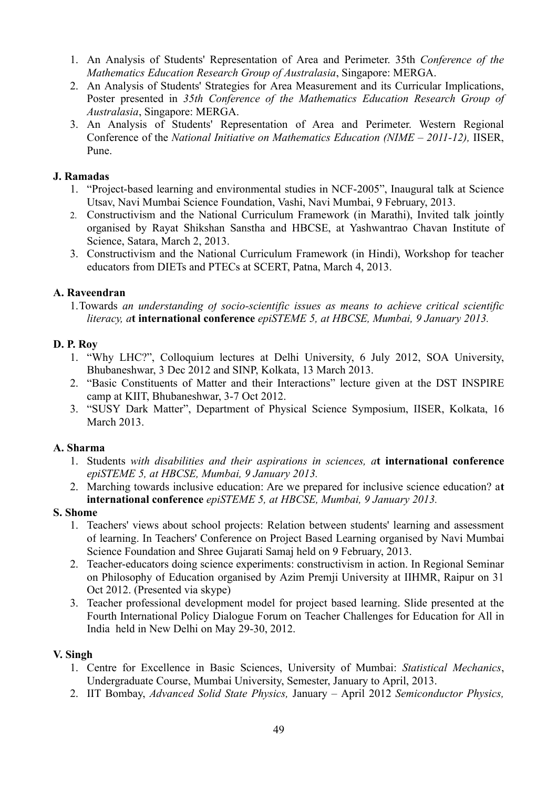- 1. An Analysis of Students' Representation of Area and Perimeter. 35th *Conference of the Mathematics Education Research Group of Australasia*, Singapore: MERGA.
- 2. An Analysis of Students' Strategies for Area Measurement and its Curricular Implications, Poster presented in *35th Conference of the Mathematics Education Research Group of Australasia*, Singapore: MERGA.
- 3. An Analysis of Students' Representation of Area and Perimeter. Western Regional Conference of the *National Initiative on Mathematics Education (NIME – 2011-12),* IISER, Pune.

#### **J. Ramadas**

- 1. "Project-based learning and environmental studies in NCF-2005", Inaugural talk at Science Utsav, Navi Mumbai Science Foundation, Vashi, Navi Mumbai, 9 February, 2013.
- 2. Constructivism and the National Curriculum Framework (in Marathi), Invited talk jointly organised by Rayat Shikshan Sanstha and HBCSE, at Yashwantrao Chavan Institute of Science, Satara, March 2, 2013.
- 3. Constructivism and the National Curriculum Framework (in Hindi), Workshop for teacher educators from DIETs and PTECs at SCERT, Patna, March 4, 2013.

## **A. Raveendran**

1.Towards *an understanding of socio-scientific issues as means to achieve critical scientific literacy, a***t international conference** *epiSTEME 5, at HBCSE, Mumbai, 9 January 2013.*

#### **D. P. Roy**

- 1. "Why LHC?", Colloquium lectures at Delhi University, 6 July 2012, SOA University, Bhubaneshwar, 3 Dec 2012 and SINP, Kolkata, 13 March 2013.
- 2. "Basic Constituents of Matter and their Interactions" lecture given at the DST INSPIRE camp at KIIT, Bhubaneshwar, 3-7 Oct 2012.
- 3. "SUSY Dark Matter", Department of Physical Science Symposium, IISER, Kolkata, 16 March 2013.

#### **A. Sharma**

- 1. Students *with disabilities and their aspirations in sciences, a***t international conference** *epiSTEME 5, at HBCSE, Mumbai, 9 January 2013.*
- 2. Marching towards inclusive education: Are we prepared for inclusive science education? a**t international conference** *epiSTEME 5, at HBCSE, Mumbai, 9 January 2013.*

#### **S. Shome**

- 1. Teachers' views about school projects: Relation between students' learning and assessment of learning. In Teachers' Conference on Project Based Learning organised by Navi Mumbai Science Foundation and Shree Gujarati Samaj held on 9 February, 2013.
- 2. Teacher-educators doing science experiments: constructivism in action. In Regional Seminar on Philosophy of Education organised by Azim Premji University at IIHMR, Raipur on 31 Oct 2012. (Presented via skype)
- 3. Teacher professional development model for project based learning. Slide presented at the Fourth International Policy Dialogue Forum on Teacher Challenges for Education for All in India held in New Delhi on May 29-30, 2012.

#### **V. Singh**

- 1. Centre for Excellence in Basic Sciences, University of Mumbai: *Statistical Mechanics*, Undergraduate Course, Mumbai University, Semester, January to April, 2013.
- 2. IIT Bombay, *Advanced Solid State Physics,* January April 2012 *Semiconductor Physics,*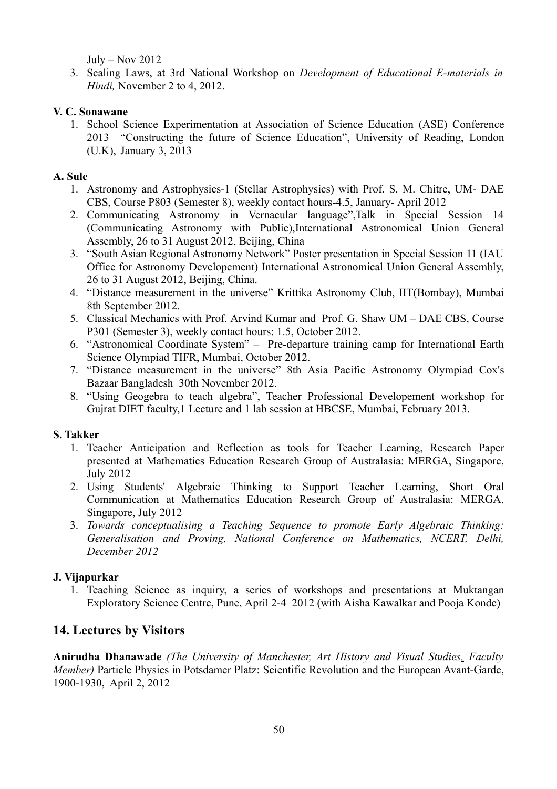July – Nov  $2012$ 

3. Scaling Laws, at 3rd National Workshop on *Development of Educational E-materials in Hindi,* November 2 to 4, 2012.

## **V. C. Sonawane**

1. School Science Experimentation at Association of Science Education (ASE) Conference 2013 "Constructing the future of Science Education", University of Reading, London (U.K), January 3, 2013

## **A. Sule**

- 1. Astronomy and Astrophysics-1 (Stellar Astrophysics) with Prof. S. M. Chitre, UM- DAE CBS, Course P803 (Semester 8), weekly contact hours-4.5, January- April 2012
- 2. Communicating Astronomy in Vernacular language",Talk in Special Session 14 (Communicating Astronomy with Public),International Astronomical Union General Assembly, 26 to 31 August 2012, Beijing, China
- 3. "South Asian Regional Astronomy Network" Poster presentation in Special Session 11 (IAU Office for Astronomy Developement) International Astronomical Union General Assembly, 26 to 31 August 2012, Beijing, China.
- 4. "Distance measurement in the universe" Krittika Astronomy Club, IIT(Bombay), Mumbai 8th September 2012.
- 5. Classical Mechanics with Prof. Arvind Kumar and Prof. G. Shaw UM DAE CBS, Course P301 (Semester 3), weekly contact hours: 1.5, October 2012.
- 6. "Astronomical Coordinate System" Pre-departure training camp for International Earth Science Olympiad TIFR, Mumbai, October 2012.
- 7. "Distance measurement in the universe" 8th Asia Pacific Astronomy Olympiad Cox's Bazaar Bangladesh 30th November 2012.
- 8. "Using Geogebra to teach algebra", Teacher Professional Developement workshop for Gujrat DIET faculty,1 Lecture and 1 lab session at HBCSE, Mumbai, February 2013.

# **S. Takker**

- 1. Teacher Anticipation and Reflection as tools for Teacher Learning, Research Paper presented at Mathematics Education Research Group of Australasia: MERGA, Singapore, July 2012
- 2. Using Students' Algebraic Thinking to Support Teacher Learning, Short Oral Communication at Mathematics Education Research Group of Australasia: MERGA, Singapore, July 2012
- 3. *Towards conceptualising a Teaching Sequence to promote Early Algebraic Thinking: Generalisation and Proving, National Conference on Mathematics, NCERT, Delhi, December 2012*

# **J. Vijapurkar**

1. Teaching Science as inquiry, a series of workshops and presentations at Muktangan Exploratory Science Centre, Pune, April 2-4 2012 (with Aisha Kawalkar and Pooja Konde)

# **14. Lectures by Visitors**

**Anirudha Dhanawade** *(The University of Manchester, Art History and Visual Studies, Faculty Member)* Particle Physics in Potsdamer Platz: Scientific Revolution and the European Avant-Garde, 1900-1930, April 2, 2012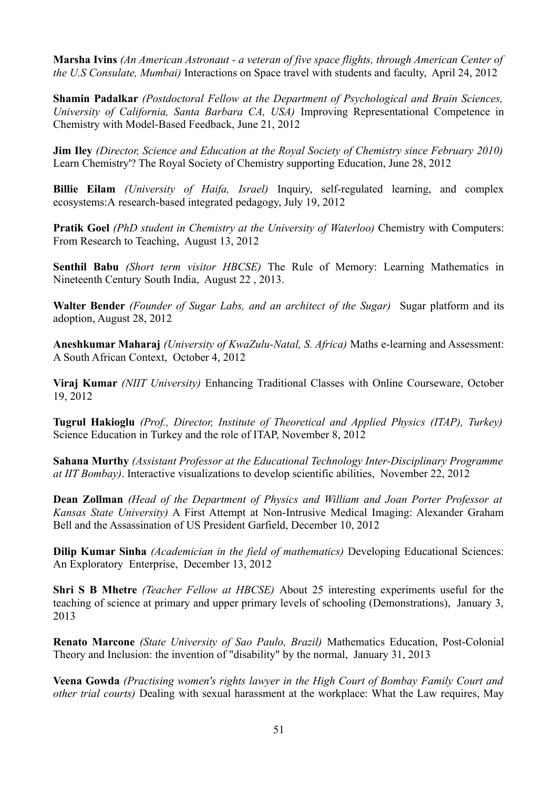**Marsha Ivins** *(An American Astronaut - a veteran of five space flights, through American Center of the U.S Consulate, Mumbai)* Interactions on Space travel with students and faculty, April 24, 2012

**Shamin Padalkar** *(Postdoctoral Fellow at the Department of Psychological and Brain Sciences, University of California, Santa Barbara CA, USA)* Improving Representational Competence in Chemistry with Model-Based Feedback, June 21, 2012

**Jim Iley** *(Director, Science and Education at the Royal Society of Chemistry since February 2010)* Learn Chemistry'? The Royal Society of Chemistry supporting Education, June 28, 2012

**Billie Eilam** *(University of Haifa, Israel)* Inquiry, self-regulated learning, and complex ecosystems:A research-based integrated pedagogy, July 19, 2012

**Pratik Goel** *(PhD student in Chemistry at the University of Waterloo)* Chemistry with Computers: From Research to Teaching, August 13, 2012

**Senthil Babu** *(Short term visitor HBCSE)* The Rule of Memory: Learning Mathematics in Nineteenth Century South India, August 22 , 2013.

**Walter Bender** *(Founder of Sugar Labs, and an architect of the Sugar)* Sugar platform and its adoption, August 28, 2012

**Aneshkumar Maharaj** *(University of KwaZulu-Natal, S. Africa)* Maths e-learning and Assessment: A South African Context, October 4, 2012

**Viraj Kumar** *(NIIT University)* Enhancing Traditional Classes with Online Courseware, October 19, 2012

**Tugrul Hakioglu** *(Prof., Director, Institute of Theoretical and Applied Physics (ITAP), Turkey)* Science Education in Turkey and the role of ITAP, November 8, 2012

**Sahana Murthy** *(Assistant Professor at the Educational Technology Inter-Disciplinary Programme at IIT Bombay)*. Interactive visualizations to develop scientific abilities, November 22, 2012

**Dean Zollman** *(Head of the Department of Physics and William and Joan Porter Professor at Kansas State University)* A First Attempt at Non-Intrusive Medical Imaging: Alexander Graham Bell and the Assassination of US President Garfield, December 10, 2012

**Dilip Kumar Sinha** *(Academician in the field of mathematics)* Developing Educational Sciences: An Exploratory Enterprise, December 13, 2012

**Shri S B Mhetre** *(Teacher Fellow at HBCSE)* About 25 interesting experiments useful for the teaching of science at primary and upper primary levels of schooling (Demonstrations), January 3, 2013

**Renato Marcone** *(State University of Sao Paulo, Brazil)* Mathematics Education, Post-Colonial Theory and Inclusion: the invention of "disability" by the normal, January 31, 2013

**Veena Gowda** *(Practising women's rights lawyer in the High Court of Bombay Family Court and other trial courts)* Dealing with sexual harassment at the workplace: What the Law requires, May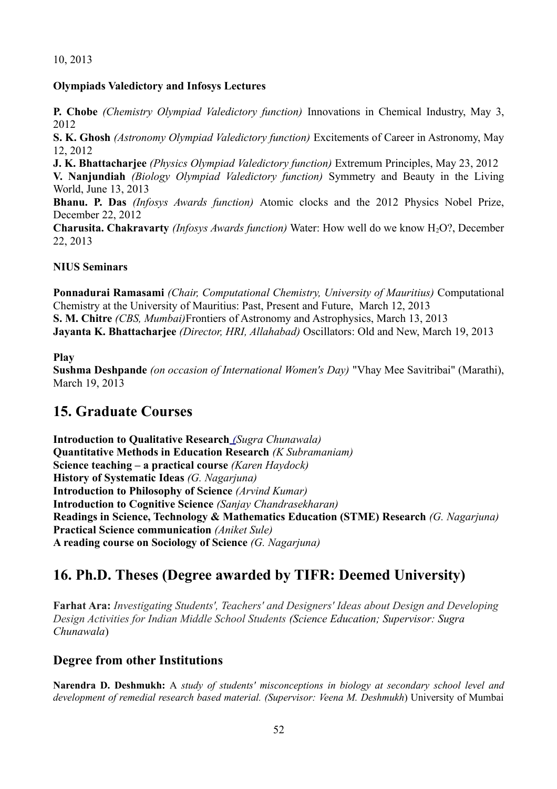## 10, 2013

#### **Olympiads Valedictory and Infosys Lectures**

**P. Chobe** *(Chemistry Olympiad Valedictory function)* Innovations in Chemical Industry, May 3, 2012

**S. K. Ghosh** *(Astronomy Olympiad Valedictory function)* Excitements of Career in Astronomy, May 12, 2012

**J. K. Bhattacharjee** *(Physics Olympiad Valedictory function)* Extremum Principles, May 23, 2012

**V. Nanjundiah** *(Biology Olympiad Valedictory function)* Symmetry and Beauty in the Living World, June 13, 2013

**Bhanu. P. Das** *(Infosys Awards function)* Atomic clocks and the 2012 Physics Nobel Prize, December 22, 2012

**Charusita. Chakravarty** *(Infosys Awards function)* Water: How well do we know H<sub>2</sub>O?, December 22, 2013

#### **NIUS Seminars**

**Ponnadurai Ramasami** *(Chair, Computational Chemistry, University of Mauritius)* Computational Chemistry at the University of Mauritius: Past, Present and Future, March 12, 2013 **S. M. Chitre** *(CBS, Mumbai)*Frontiers of Astronomy and Astrophysics, March 13, 2013 **Jayanta K. Bhattacharjee** *(Director, HRI, Allahabad)* Oscillators: Old and New, March 19, 2013

#### **Play**

**Sushma Deshpande** *(on occasion of International Women's Day)* "Vhay Mee Savitribai" (Marathi), March 19, 2013

# **15. Graduate Courses**

**Introduction to Qualitative Research** *(Sugra Chunawala)* **Quantitative Methods in Education Research** *(K Subramaniam)* **Science teaching – a practical course** *(Karen Haydock)* **History of Systematic Ideas** *(G. Nagarjuna)* **Introduction to Philosophy of Science** *(Arvind Kumar)* **Introduction to Cognitive Science** *(Sanjay Chandrasekharan)* **Readings in Science, Technology & Mathematics Education (STME) Research** *(G. Nagarjuna)* **Practical Science communication** *(Aniket Sule)* **A reading course on Sociology of Science** *(G. Nagarjuna)*

# **16. Ph.D. Theses (Degree awarded by TIFR: Deemed University)**

**Farhat Ara:** *Investigating Students', Teachers' and Designers' Ideas about Design and Developing Design Activities for Indian Middle School Students (Science Education; Supervisor: Sugra Chunawala*)

# **Degree from other Institutions**

**Narendra D. Deshmukh:** A *study of students' misconceptions in biology at secondary school level and development of remedial research based material. (Supervisor: Veena M. Deshmukh*) University of Mumbai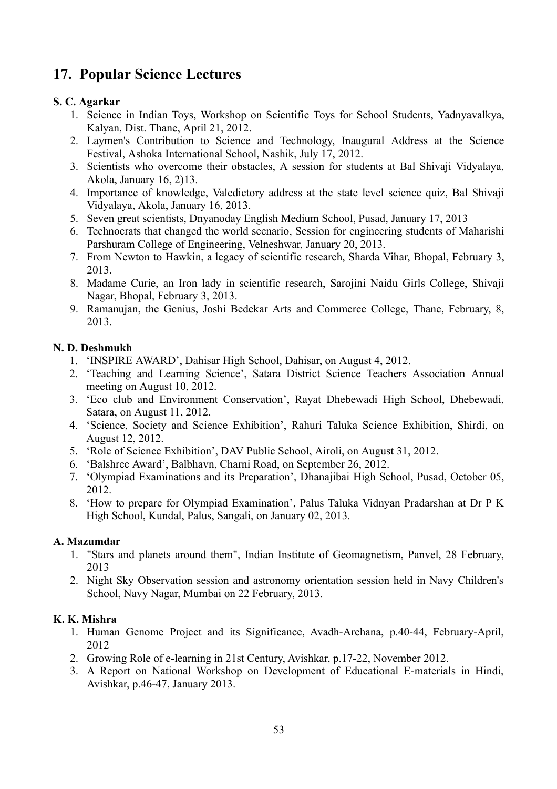# **17. Popular Science Lectures**

# **S. C. Agarkar**

- 1. Science in Indian Toys, Workshop on Scientific Toys for School Students, Yadnyavalkya, Kalyan, Dist. Thane, April 21, 2012.
- 2. Laymen's Contribution to Science and Technology, Inaugural Address at the Science Festival, Ashoka International School, Nashik, July 17, 2012.
- 3. Scientists who overcome their obstacles, A session for students at Bal Shivaji Vidyalaya, Akola, January 16, 2)13.
- 4. Importance of knowledge, Valedictory address at the state level science quiz, Bal Shivaji Vidyalaya, Akola, January 16, 2013.
- 5. Seven great scientists, Dnyanoday English Medium School, Pusad, January 17, 2013
- 6. Technocrats that changed the world scenario, Session for engineering students of Maharishi Parshuram College of Engineering, Velneshwar, January 20, 2013.
- 7. From Newton to Hawkin, a legacy of scientific research, Sharda Vihar, Bhopal, February 3, 2013.
- 8. Madame Curie, an Iron lady in scientific research, Sarojini Naidu Girls College, Shivaji Nagar, Bhopal, February 3, 2013.
- 9. Ramanujan, the Genius, Joshi Bedekar Arts and Commerce College, Thane, February, 8, 2013.

# **N. D. Deshmukh**

- 1. 'INSPIRE AWARD', Dahisar High School, Dahisar, on August 4, 2012.
- 2. 'Teaching and Learning Science', Satara District Science Teachers Association Annual meeting on August 10, 2012.
- 3. 'Eco club and Environment Conservation', Rayat Dhebewadi High School, Dhebewadi, Satara, on August 11, 2012.
- 4. 'Science, Society and Science Exhibition', Rahuri Taluka Science Exhibition, Shirdi, on August 12, 2012.
- 5. 'Role of Science Exhibition', DAV Public School, Airoli, on August 31, 2012.
- 6. 'Balshree Award', Balbhavn, Charni Road, on September 26, 2012.
- 7. 'Olympiad Examinations and its Preparation', Dhanajibai High School, Pusad, October 05, 2012.
- 8. 'How to prepare for Olympiad Examination', Palus Taluka Vidnyan Pradarshan at Dr P K High School, Kundal, Palus, Sangali, on January 02, 2013.

# **A. Mazumdar**

- 1. "Stars and planets around them", Indian Institute of Geomagnetism, Panvel, 28 February, 2013
- 2. Night Sky Observation session and astronomy orientation session held in Navy Children's School, Navy Nagar, Mumbai on 22 February, 2013.

# **K. K. Mishra**

- 1. Human Genome Project and its Significance, Avadh-Archana, p.40-44, February-April, 2012
- 2. Growing Role of e-learning in 21st Century, Avishkar, p.17-22, November 2012.
- 3. A Report on National Workshop on Development of Educational E-materials in Hindi, Avishkar, p.46-47, January 2013.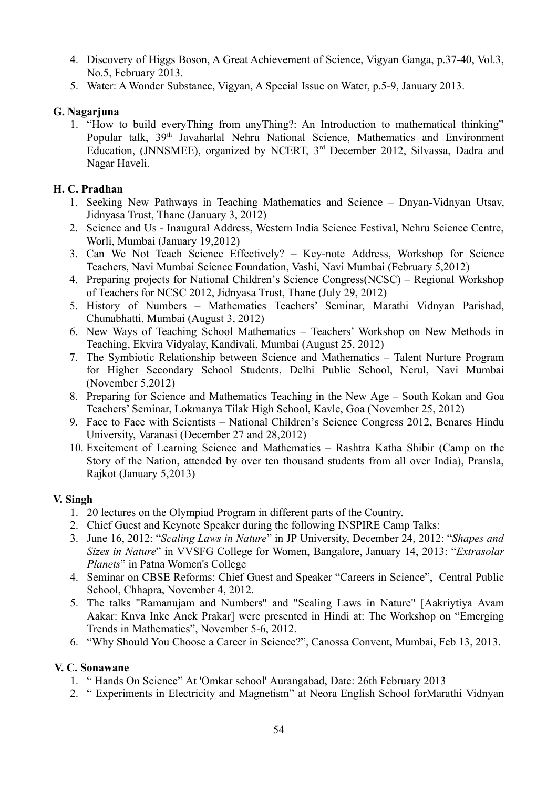- 4. Discovery of Higgs Boson, A Great Achievement of Science, Vigyan Ganga, p.37-40, Vol.3, No.5, February 2013.
- 5. Water: A Wonder Substance, Vigyan, A Special Issue on Water, p.5-9, January 2013.

## **G. Nagarjuna**

1. "How to build everyThing from anyThing?: An Introduction to mathematical thinking" Popular talk, 39<sup>th</sup> Javaharlal Nehru National Science, Mathematics and Environment Education, (JNNSMEE), organized by NCERT, 3<sup>rd</sup> December 2012, Silvassa, Dadra and Nagar Haveli.

## **H. C. Pradhan**

- 1. Seeking New Pathways in Teaching Mathematics and Science Dnyan-Vidnyan Utsav, Jidnyasa Trust, Thane (January 3, 2012)
- 2. Science and Us Inaugural Address, Western India Science Festival, Nehru Science Centre, Worli, Mumbai (January 19,2012)
- 3. Can We Not Teach Science Effectively? Key-note Address, Workshop for Science Teachers, Navi Mumbai Science Foundation, Vashi, Navi Mumbai (February 5,2012)
- 4. Preparing projects for National Children's Science Congress(NCSC) Regional Workshop of Teachers for NCSC 2012, Jidnyasa Trust, Thane (July 29, 2012)
- 5. History of Numbers Mathematics Teachers' Seminar, Marathi Vidnyan Parishad, Chunabhatti, Mumbai (August 3, 2012)
- 6. New Ways of Teaching School Mathematics Teachers' Workshop on New Methods in Teaching, Ekvira Vidyalay, Kandivali, Mumbai (August 25, 2012)
- 7. The Symbiotic Relationship between Science and Mathematics Talent Nurture Program for Higher Secondary School Students, Delhi Public School, Nerul, Navi Mumbai (November 5,2012)
- 8. Preparing for Science and Mathematics Teaching in the New Age South Kokan and Goa Teachers' Seminar, Lokmanya Tilak High School, Kavle, Goa (November 25, 2012)
- 9. Face to Face with Scientists National Children's Science Congress 2012, Benares Hindu University, Varanasi (December 27 and 28,2012)
- 10. Excitement of Learning Science and Mathematics Rashtra Katha Shibir (Camp on the Story of the Nation, attended by over ten thousand students from all over India), Pransla, Rajkot (January 5,2013)

## **V. Singh**

- 1. 20 lectures on the Olympiad Program in different parts of the Country.
- 2. Chief Guest and Keynote Speaker during the following INSPIRE Camp Talks:
- 3. June 16, 2012: "*Scaling Laws in Nature*" in JP University, December 24, 2012: "*Shapes and Sizes in Nature*" in VVSFG College for Women, Bangalore, January 14, 2013: "*Extrasolar Planets*" in Patna Women's College
- 4. Seminar on CBSE Reforms: Chief Guest and Speaker "Careers in Science", Central Public School, Chhapra, November 4, 2012.
- 5. The talks "Ramanujam and Numbers" and "Scaling Laws in Nature" [Aakriytiya Avam Aakar: Knva Inke Anek Prakar] were presented in Hindi at: The Workshop on "Emerging Trends in Mathematics", November 5-6, 2012.
- 6. "Why Should You Choose a Career in Science?", Canossa Convent, Mumbai, Feb 13, 2013.

# **V. C. Sonawane**

- 1. " Hands On Science" At 'Omkar school' Aurangabad, Date: 26th February 2013
- 2. " Experiments in Electricity and Magnetism" at Neora English School forMarathi Vidnyan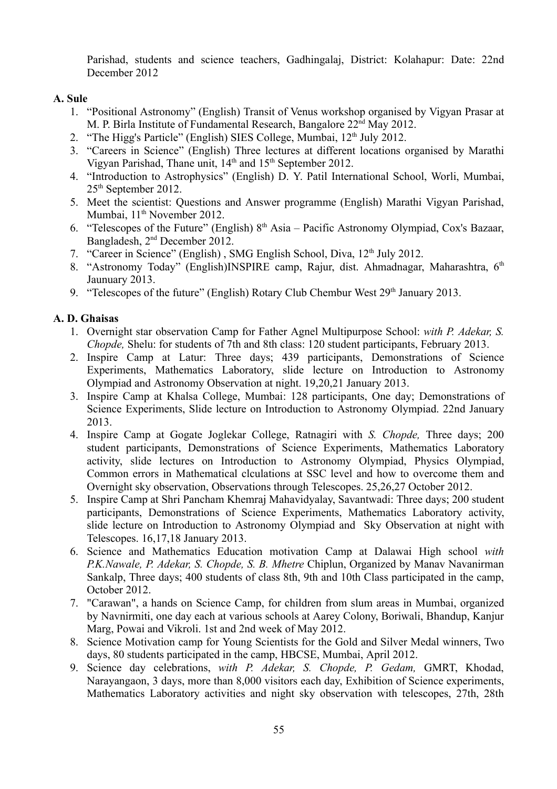Parishad, students and science teachers, Gadhingalaj, District: Kolahapur: Date: 22nd December 2012

#### **A. Sule**

- 1. "Positional Astronomy" (English) Transit of Venus workshop organised by Vigyan Prasar at M. P. Birla Institute of Fundamental Research, Bangalore 22<sup>nd</sup> May 2012.
- 2. "The Higg's Particle" (English) SIES College, Mumbai,  $12<sup>th</sup>$  July 2012.
- 3. "Careers in Science" (English) Three lectures at different locations organised by Marathi Vigyan Parishad, Thane unit,  $14<sup>th</sup>$  and  $15<sup>th</sup>$  September 2012.
- 4. "Introduction to Astrophysics" (English) D. Y. Patil International School, Worli, Mumbai, 25th September 2012.
- 5. Meet the scientist: Questions and Answer programme (English) Marathi Vigyan Parishad, Mumbai, 11<sup>th</sup> November 2012.
- 6. "Telescopes of the Future" (English)  $8<sup>th</sup> Asia Pacific Astronomy Olympiad, Cox's Bazaar,$ Bangladesh, 2 nd December 2012.
- 7. "Career in Science" (English), SMG English School, Diva, 12<sup>th</sup> July 2012.
- 8. "Astronomy Today" (English)INSPIRE camp, Rajur, dist. Ahmadnagar, Maharashtra, 6<sup>th</sup> Jaunuary 2013.
- 9. "Telescopes of the future" (English) Rotary Club Chembur West  $29<sup>th</sup>$  January 2013.

## **A. D. Ghaisas**

- 1. Overnight star observation Camp for Father Agnel Multipurpose School: *with P. Adekar, S. Chopde,* Shelu: for students of 7th and 8th class: 120 student participants, February 2013.
- 2. Inspire Camp at Latur: Three days; 439 participants, Demonstrations of Science Experiments, Mathematics Laboratory, slide lecture on Introduction to Astronomy Olympiad and Astronomy Observation at night. 19,20,21 January 2013.
- 3. Inspire Camp at Khalsa College, Mumbai: 128 participants, One day; Demonstrations of Science Experiments, Slide lecture on Introduction to Astronomy Olympiad. 22nd January 2013.
- 4. Inspire Camp at Gogate Joglekar College, Ratnagiri with *S. Chopde,* Three days; 200 student participants, Demonstrations of Science Experiments, Mathematics Laboratory activity, slide lectures on Introduction to Astronomy Olympiad, Physics Olympiad, Common errors in Mathematical clculations at SSC level and how to overcome them and Overnight sky observation, Observations through Telescopes. 25,26,27 October 2012.
- 5. Inspire Camp at Shri Pancham Khemraj Mahavidyalay, Savantwadi: Three days; 200 student participants, Demonstrations of Science Experiments, Mathematics Laboratory activity, slide lecture on Introduction to Astronomy Olympiad and Sky Observation at night with Telescopes. 16,17,18 January 2013.
- 6. Science and Mathematics Education motivation Camp at Dalawai High school *with P.K.Nawale, P. Adekar, S. Chopde, S. B. Mhetre* Chiplun, Organized by Manav Navanirman Sankalp, Three days; 400 students of class 8th, 9th and 10th Class participated in the camp, October 2012.
- 7. "Carawan", a hands on Science Camp, for children from slum areas in Mumbai, organized by Navnirmiti, one day each at various schools at Aarey Colony, Boriwali, Bhandup, Kanjur Marg, Powai and Vikroli. 1st and 2nd week of May 2012.
- 8. Science Motivation camp for Young Scientists for the Gold and Silver Medal winners, Two days, 80 students participated in the camp, HBCSE, Mumbai, April 2012.
- 9. Science day celebrations, *with P. Adekar, S. Chopde, P. Gedam,* GMRT, Khodad, Narayangaon, 3 days, more than 8,000 visitors each day, Exhibition of Science experiments, Mathematics Laboratory activities and night sky observation with telescopes, 27th, 28th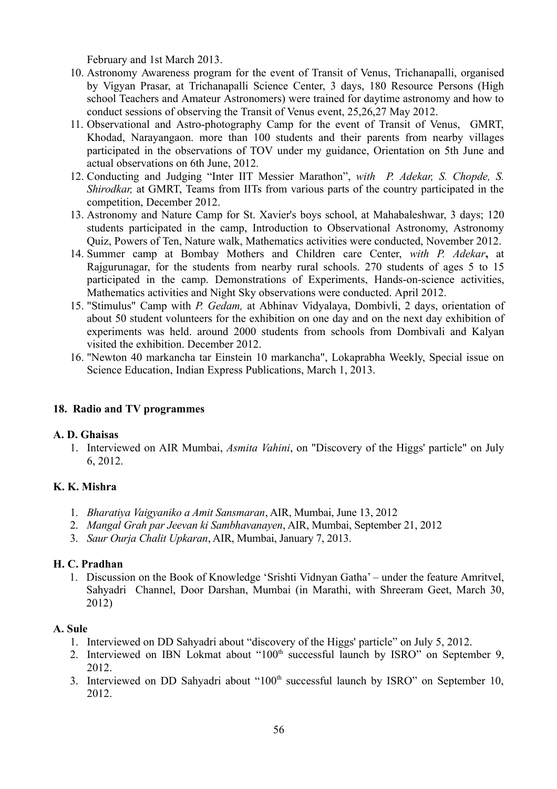February and 1st March 2013.

- 10. Astronomy Awareness program for the event of Transit of Venus, Trichanapalli, organised by Vigyan Prasar, at Trichanapalli Science Center, 3 days, 180 Resource Persons (High school Teachers and Amateur Astronomers) were trained for daytime astronomy and how to conduct sessions of observing the Transit of Venus event, 25,26,27 May 2012.
- 11. Observational and Astro-photography Camp for the event of Transit of Venus, GMRT, Khodad, Narayangaon. more than 100 students and their parents from nearby villages participated in the observations of TOV under my guidance, Orientation on 5th June and actual observations on 6th June, 2012.
- 12. Conducting and Judging "Inter IIT Messier Marathon", *with P. Adekar, S. Chopde, S. Shirodkar,* at GMRT, Teams from IITs from various parts of the country participated in the competition, December 2012.
- 13. Astronomy and Nature Camp for St. Xavier's boys school, at Mahabaleshwar, 3 days; 120 students participated in the camp, Introduction to Observational Astronomy, Astronomy Quiz, Powers of Ten, Nature walk, Mathematics activities were conducted, November 2012.
- 14. Summer camp at Bombay Mothers and Children care Center, *with P. Adekar***,** at Rajgurunagar, for the students from nearby rural schools. 270 students of ages 5 to 15 participated in the camp. Demonstrations of Experiments, Hands-on-science activities, Mathematics activities and Night Sky observations were conducted. April 2012.
- 15. "Stimulus" Camp with *P. Gedam,* at Abhinav Vidyalaya, Dombivli, 2 days, orientation of about 50 student volunteers for the exhibition on one day and on the next day exhibition of experiments was held. around 2000 students from schools from Dombivali and Kalyan visited the exhibition. December 2012.
- 16. "Newton 40 markancha tar Einstein 10 markancha", Lokaprabha Weekly, Special issue on Science Education, Indian Express Publications, March 1, 2013.

# **18. Radio and TV programmes**

## **A. D. Ghaisas**

1. Interviewed on AIR Mumbai, *Asmita Vahini*, on "Discovery of the Higgs' particle" on July 6, 2012.

# **K. K. Mishra**

- 1. *Bharatiya Vaigyaniko a Amit Sansmaran*, AIR, Mumbai, June 13, 2012
- 2. *Mangal Grah par Jeevan ki Sambhavanayen*, AIR, Mumbai, September 21, 2012
- 3. *Saur Ourja Chalit Upkaran*, AIR, Mumbai, January 7, 2013.

# **H. C. Pradhan**

1. Discussion on the Book of Knowledge 'Srishti Vidnyan Gatha' – under the feature Amritvel, Sahyadri Channel, Door Darshan, Mumbai (in Marathi, with Shreeram Geet, March 30, 2012)

## **A. Sule**

- 1. Interviewed on DD Sahyadri about "discovery of the Higgs' particle" on July 5, 2012.
- 2. Interviewed on IBN Lokmat about "100<sup>th</sup> successful launch by ISRO" on September 9, 2012.
- 3. Interviewed on DD Sahyadri about "100<sup>th</sup> successful launch by ISRO" on September 10, 2012.